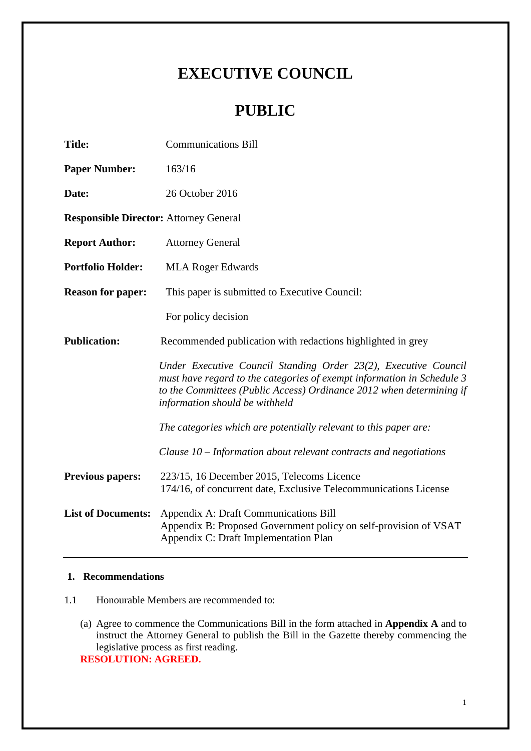# **EXECUTIVE COUNCIL**

# **PUBLIC**

| <b>Title:</b>                                 | <b>Communications Bill</b>                                                                                                                                                                                                                          |  |  |  |
|-----------------------------------------------|-----------------------------------------------------------------------------------------------------------------------------------------------------------------------------------------------------------------------------------------------------|--|--|--|
| <b>Paper Number:</b>                          | 163/16                                                                                                                                                                                                                                              |  |  |  |
| Date:                                         | 26 October 2016                                                                                                                                                                                                                                     |  |  |  |
| <b>Responsible Director: Attorney General</b> |                                                                                                                                                                                                                                                     |  |  |  |
| <b>Report Author:</b>                         | <b>Attorney General</b>                                                                                                                                                                                                                             |  |  |  |
| <b>Portfolio Holder:</b>                      | <b>MLA Roger Edwards</b>                                                                                                                                                                                                                            |  |  |  |
| <b>Reason for paper:</b>                      | This paper is submitted to Executive Council:                                                                                                                                                                                                       |  |  |  |
|                                               | For policy decision                                                                                                                                                                                                                                 |  |  |  |
| <b>Publication:</b>                           | Recommended publication with redactions highlighted in grey                                                                                                                                                                                         |  |  |  |
|                                               | Under Executive Council Standing Order 23(2), Executive Council<br>must have regard to the categories of exempt information in Schedule 3<br>to the Committees (Public Access) Ordinance 2012 when determining if<br>information should be withheld |  |  |  |
|                                               | The categories which are potentially relevant to this paper are:                                                                                                                                                                                    |  |  |  |
|                                               | Clause $10$ – Information about relevant contracts and negotiations                                                                                                                                                                                 |  |  |  |
| <b>Previous papers:</b>                       | 223/15, 16 December 2015, Telecoms Licence<br>174/16, of concurrent date, Exclusive Telecommunications License                                                                                                                                      |  |  |  |
| <b>List of Documents:</b>                     | Appendix A: Draft Communications Bill<br>Appendix B: Proposed Government policy on self-provision of VSAT<br>Appendix C: Draft Implementation Plan                                                                                                  |  |  |  |

## **1. Recommendations**

- 1.1 Honourable Members are recommended to:
	- (a) Agree to commence the Communications Bill in the form attached in **Appendix A** and to instruct the Attorney General to publish the Bill in the Gazette thereby commencing the legislative process as first reading. **RESOLUTION: AGREED.**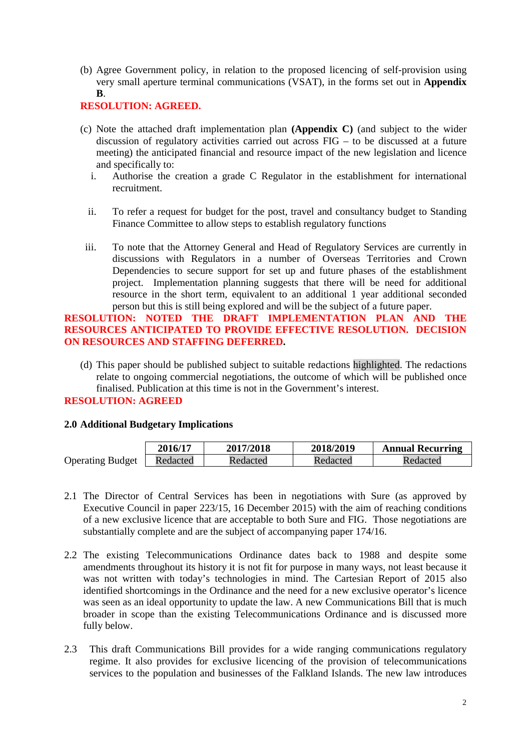(b) Agree Government policy, in relation to the proposed licencing of self-provision using very small aperture terminal communications (VSAT), in the forms set out in **Appendix B**.

## **RESOLUTION: AGREED.**

- (c) Note the attached draft implementation plan **(Appendix C)** (and subject to the wider discussion of regulatory activities carried out across FIG – to be discussed at a future meeting) the anticipated financial and resource impact of the new legislation and licence and specifically to:
	- i. Authorise the creation a grade C Regulator in the establishment for international recruitment.
	- ii. To refer a request for budget for the post, travel and consultancy budget to Standing Finance Committee to allow steps to establish regulatory functions
- iii. To note that the Attorney General and Head of Regulatory Services are currently in discussions with Regulators in a number of Overseas Territories and Crown Dependencies to secure support for set up and future phases of the establishment project. Implementation planning suggests that there will be need for additional resource in the short term, equivalent to an additional 1 year additional seconded person but this is still being explored and will be the subject of a future paper.

## **RESOLUTION: NOTED THE DRAFT IMPLEMENTATION PLAN AND THE RESOURCES ANTICIPATED TO PROVIDE EFFECTIVE RESOLUTION. DECISION ON RESOURCES AND STAFFING DEFERRED.**

(d) This paper should be published subject to suitable redactions highlighted. The redactions relate to ongoing commercial negotiations, the outcome of which will be published once finalised. Publication at this time is not in the Government's interest.

## **RESOLUTION: AGREED**

## **2.0 Additional Budgetary Implications**

|                         | <b>2016/17</b> | 2017/2018 | 2018/2019 | <b>Annual Recurring</b> |
|-------------------------|----------------|-----------|-----------|-------------------------|
| <b>Operating Budget</b> | Redacted       | Redacted  | Redacted  | Redacted                |

- 2.1 The Director of Central Services has been in negotiations with Sure (as approved by Executive Council in paper 223/15, 16 December 2015) with the aim of reaching conditions of a new exclusive licence that are acceptable to both Sure and FIG. Those negotiations are substantially complete and are the subject of accompanying paper 174/16.
- 2.2 The existing Telecommunications Ordinance dates back to 1988 and despite some amendments throughout its history it is not fit for purpose in many ways, not least because it was not written with today's technologies in mind. The Cartesian Report of 2015 also identified shortcomings in the Ordinance and the need for a new exclusive operator's licence was seen as an ideal opportunity to update the law. A new Communications Bill that is much broader in scope than the existing Telecommunications Ordinance and is discussed more fully below.
- 2.3 This draft Communications Bill provides for a wide ranging communications regulatory regime. It also provides for exclusive licencing of the provision of telecommunications services to the population and businesses of the Falkland Islands. The new law introduces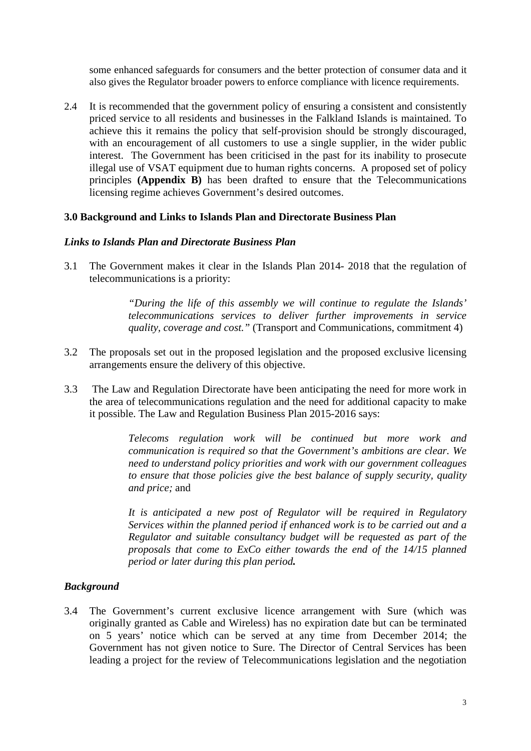some enhanced safeguards for consumers and the better protection of consumer data and it also gives the Regulator broader powers to enforce compliance with licence requirements.

2.4 It is recommended that the government policy of ensuring a consistent and consistently priced service to all residents and businesses in the Falkland Islands is maintained. To achieve this it remains the policy that self-provision should be strongly discouraged, with an encouragement of all customers to use a single supplier, in the wider public interest. The Government has been criticised in the past for its inability to prosecute illegal use of VSAT equipment due to human rights concerns. A proposed set of policy principles **(Appendix B)** has been drafted to ensure that the Telecommunications licensing regime achieves Government's desired outcomes.

## **3.0 Background and Links to Islands Plan and Directorate Business Plan**

#### *Links to Islands Plan and Directorate Business Plan*

3.1 The Government makes it clear in the Islands Plan 2014- 2018 that the regulation of telecommunications is a priority:

> *"During the life of this assembly we will continue to regulate the Islands' telecommunications services to deliver further improvements in service quality, coverage and cost."* (Transport and Communications, commitment 4)

- 3.2 The proposals set out in the proposed legislation and the proposed exclusive licensing arrangements ensure the delivery of this objective.
- 3.3 The Law and Regulation Directorate have been anticipating the need for more work in the area of telecommunications regulation and the need for additional capacity to make it possible. The Law and Regulation Business Plan 2015-2016 says:

*Telecoms regulation work will be continued but more work and communication is required so that the Government's ambitions are clear. We need to understand policy priorities and work with our government colleagues to ensure that those policies give the best balance of supply security, quality and price;* and

*It is anticipated a new post of Regulator will be required in Regulatory Services within the planned period if enhanced work is to be carried out and a Regulator and suitable consultancy budget will be requested as part of the proposals that come to ExCo either towards the end of the 14/15 planned period or later during this plan period.*

#### *Background*

3.4 The Government's current exclusive licence arrangement with Sure (which was originally granted as Cable and Wireless) has no expiration date but can be terminated on 5 years' notice which can be served at any time from December 2014; the Government has not given notice to Sure. The Director of Central Services has been leading a project for the review of Telecommunications legislation and the negotiation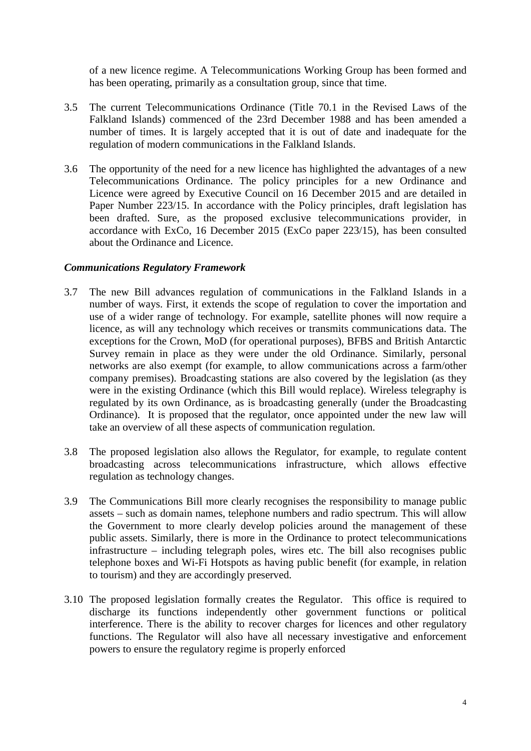of a new licence regime. A Telecommunications Working Group has been formed and has been operating, primarily as a consultation group, since that time.

- 3.5 The current Telecommunications Ordinance (Title 70.1 in the Revised Laws of the Falkland Islands) commenced of the 23rd December 1988 and has been amended a number of times. It is largely accepted that it is out of date and inadequate for the regulation of modern communications in the Falkland Islands.
- 3.6 The opportunity of the need for a new licence has highlighted the advantages of a new Telecommunications Ordinance. The policy principles for a new Ordinance and Licence were agreed by Executive Council on 16 December 2015 and are detailed in Paper Number 223/15. In accordance with the Policy principles, draft legislation has been drafted. Sure, as the proposed exclusive telecommunications provider, in accordance with ExCo, 16 December 2015 (ExCo paper 223/15), has been consulted about the Ordinance and Licence.

## *Communications Regulatory Framework*

- 3.7 The new Bill advances regulation of communications in the Falkland Islands in a number of ways. First, it extends the scope of regulation to cover the importation and use of a wider range of technology. For example, satellite phones will now require a licence, as will any technology which receives or transmits communications data. The exceptions for the Crown, MoD (for operational purposes), BFBS and British Antarctic Survey remain in place as they were under the old Ordinance. Similarly, personal networks are also exempt (for example, to allow communications across a farm/other company premises). Broadcasting stations are also covered by the legislation (as they were in the existing Ordinance (which this Bill would replace). Wireless telegraphy is regulated by its own Ordinance, as is broadcasting generally (under the Broadcasting Ordinance). It is proposed that the regulator, once appointed under the new law will take an overview of all these aspects of communication regulation.
- 3.8 The proposed legislation also allows the Regulator, for example, to regulate content broadcasting across telecommunications infrastructure, which allows effective regulation as technology changes.
- 3.9 The Communications Bill more clearly recognises the responsibility to manage public assets – such as domain names, telephone numbers and radio spectrum. This will allow the Government to more clearly develop policies around the management of these public assets. Similarly, there is more in the Ordinance to protect telecommunications infrastructure – including telegraph poles, wires etc. The bill also recognises public telephone boxes and Wi-Fi Hotspots as having public benefit (for example, in relation to tourism) and they are accordingly preserved.
- 3.10 The proposed legislation formally creates the Regulator. This office is required to discharge its functions independently other government functions or political interference. There is the ability to recover charges for licences and other regulatory functions. The Regulator will also have all necessary investigative and enforcement powers to ensure the regulatory regime is properly enforced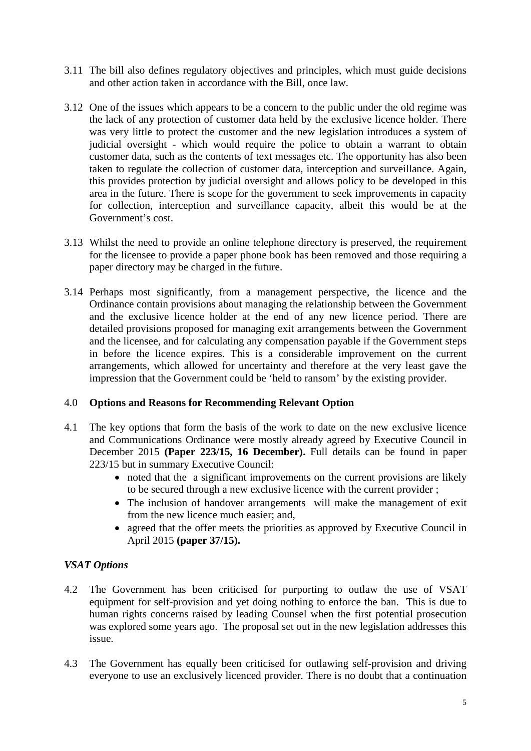- 3.11 The bill also defines regulatory objectives and principles, which must guide decisions and other action taken in accordance with the Bill, once law.
- 3.12 One of the issues which appears to be a concern to the public under the old regime was the lack of any protection of customer data held by the exclusive licence holder. There was very little to protect the customer and the new legislation introduces a system of judicial oversight - which would require the police to obtain a warrant to obtain customer data, such as the contents of text messages etc. The opportunity has also been taken to regulate the collection of customer data, interception and surveillance. Again, this provides protection by judicial oversight and allows policy to be developed in this area in the future. There is scope for the government to seek improvements in capacity for collection, interception and surveillance capacity, albeit this would be at the Government's cost.
- 3.13 Whilst the need to provide an online telephone directory is preserved, the requirement for the licensee to provide a paper phone book has been removed and those requiring a paper directory may be charged in the future.
- 3.14 Perhaps most significantly, from a management perspective, the licence and the Ordinance contain provisions about managing the relationship between the Government and the exclusive licence holder at the end of any new licence period. There are detailed provisions proposed for managing exit arrangements between the Government and the licensee, and for calculating any compensation payable if the Government steps in before the licence expires. This is a considerable improvement on the current arrangements, which allowed for uncertainty and therefore at the very least gave the impression that the Government could be 'held to ransom' by the existing provider.

# 4.0 **Options and Reasons for Recommending Relevant Option**

- 4.1 The key options that form the basis of the work to date on the new exclusive licence and Communications Ordinance were mostly already agreed by Executive Council in December 2015 **(Paper 223/15, 16 December).** Full details can be found in paper 223/15 but in summary Executive Council:
	- noted that the a significant improvements on the current provisions are likely to be secured through a new exclusive licence with the current provider ;
	- The inclusion of handover arrangements will make the management of exit from the new licence much easier; and,
	- agreed that the offer meets the priorities as approved by Executive Council in April 2015 **(paper 37/15).**

# *VSAT Options*

- 4.2 The Government has been criticised for purporting to outlaw the use of VSAT equipment for self-provision and yet doing nothing to enforce the ban. This is due to human rights concerns raised by leading Counsel when the first potential prosecution was explored some years ago. The proposal set out in the new legislation addresses this issue.
- 4.3 The Government has equally been criticised for outlawing self-provision and driving everyone to use an exclusively licenced provider. There is no doubt that a continuation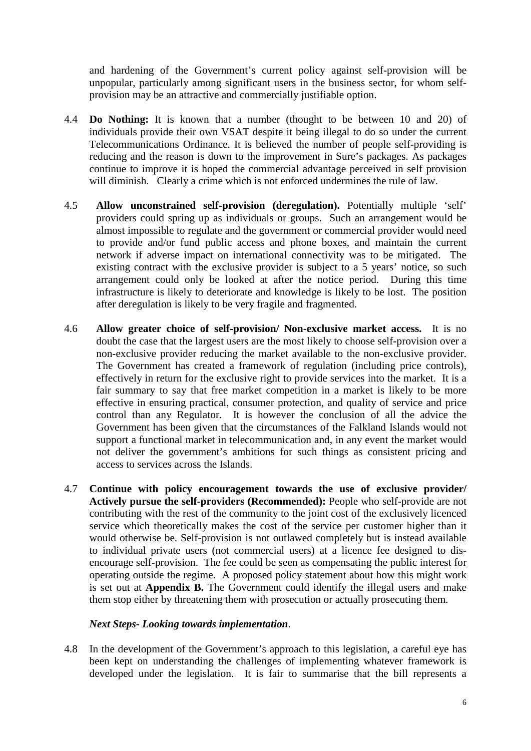and hardening of the Government's current policy against self-provision will be unpopular, particularly among significant users in the business sector, for whom selfprovision may be an attractive and commercially justifiable option.

- 4.4 **Do Nothing:** It is known that a number (thought to be between 10 and 20) of individuals provide their own VSAT despite it being illegal to do so under the current Telecommunications Ordinance. It is believed the number of people self-providing is reducing and the reason is down to the improvement in Sure's packages. As packages continue to improve it is hoped the commercial advantage perceived in self provision will diminish. Clearly a crime which is not enforced undermines the rule of law.
- 4.5 **Allow unconstrained self-provision (deregulation).** Potentially multiple 'self' providers could spring up as individuals or groups. Such an arrangement would be almost impossible to regulate and the government or commercial provider would need to provide and/or fund public access and phone boxes, and maintain the current network if adverse impact on international connectivity was to be mitigated. The existing contract with the exclusive provider is subject to a 5 years' notice, so such arrangement could only be looked at after the notice period. During this time infrastructure is likely to deteriorate and knowledge is likely to be lost. The position after deregulation is likely to be very fragile and fragmented.
- 4.6 **Allow greater choice of self-provision/ Non-exclusive market access.** It is no doubt the case that the largest users are the most likely to choose self-provision over a non-exclusive provider reducing the market available to the non-exclusive provider. The Government has created a framework of regulation (including price controls), effectively in return for the exclusive right to provide services into the market. It is a fair summary to say that free market competition in a market is likely to be more effective in ensuring practical, consumer protection, and quality of service and price control than any Regulator. It is however the conclusion of all the advice the Government has been given that the circumstances of the Falkland Islands would not support a functional market in telecommunication and, in any event the market would not deliver the government's ambitions for such things as consistent pricing and access to services across the Islands.
- 4.7 **Continue with policy encouragement towards the use of exclusive provider/ Actively pursue the self-providers (Recommended):** People who self-provide are not contributing with the rest of the community to the joint cost of the exclusively licenced service which theoretically makes the cost of the service per customer higher than it would otherwise be. Self-provision is not outlawed completely but is instead available to individual private users (not commercial users) at a licence fee designed to disencourage self-provision. The fee could be seen as compensating the public interest for operating outside the regime. A proposed policy statement about how this might work is set out at **Appendix B.** The Government could identify the illegal users and make them stop either by threatening them with prosecution or actually prosecuting them.

## *Next Steps- Looking towards implementation*.

4.8 In the development of the Government's approach to this legislation, a careful eye has been kept on understanding the challenges of implementing whatever framework is developed under the legislation. It is fair to summarise that the bill represents a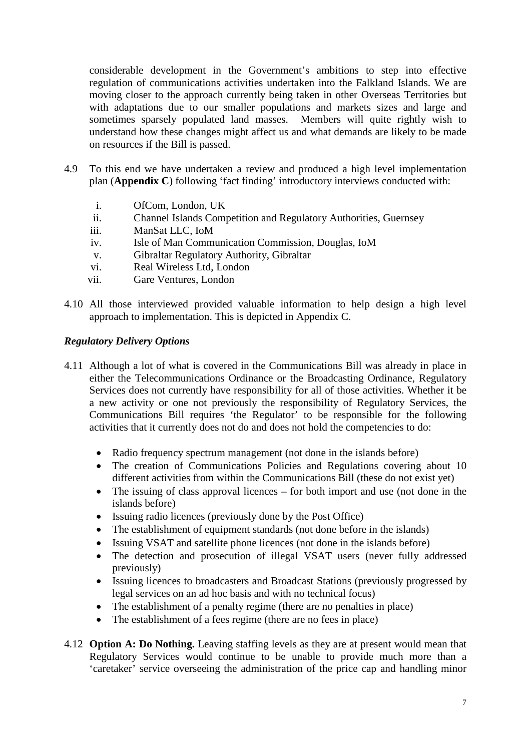considerable development in the Government's ambitions to step into effective regulation of communications activities undertaken into the Falkland Islands. We are moving closer to the approach currently being taken in other Overseas Territories but with adaptations due to our smaller populations and markets sizes and large and sometimes sparsely populated land masses. Members will quite rightly wish to understand how these changes might affect us and what demands are likely to be made on resources if the Bill is passed.

- 4.9 To this end we have undertaken a review and produced a high level implementation plan (**Appendix C**) following 'fact finding' introductory interviews conducted with:
	- i. OfCom, London, UK
	- ii. Channel Islands Competition and Regulatory Authorities, Guernsey
	- iii. ManSat LLC, IoM
	- iv. Isle of Man Communication Commission, Douglas, IoM
	- v. Gibraltar Regulatory Authority, Gibraltar
	- vi. Real Wireless Ltd, London
	- vii. Gare Ventures, London
- 4.10 All those interviewed provided valuable information to help design a high level approach to implementation. This is depicted in Appendix C.

## *Regulatory Delivery Options*

- 4.11 Although a lot of what is covered in the Communications Bill was already in place in either the Telecommunications Ordinance or the Broadcasting Ordinance, Regulatory Services does not currently have responsibility for all of those activities. Whether it be a new activity or one not previously the responsibility of Regulatory Services, the Communications Bill requires 'the Regulator' to be responsible for the following activities that it currently does not do and does not hold the competencies to do:
	- Radio frequency spectrum management (not done in the islands before)
	- The creation of Communications Policies and Regulations covering about 10 different activities from within the Communications Bill (these do not exist yet)
	- The issuing of class approval licences for both import and use (not done in the islands before)
	- Issuing radio licences (previously done by the Post Office)
	- The establishment of equipment standards (not done before in the islands)
	- Issuing VSAT and satellite phone licences (not done in the islands before)
	- The detection and prosecution of illegal VSAT users (never fully addressed previously)
	- Issuing licences to broadcasters and Broadcast Stations (previously progressed by legal services on an ad hoc basis and with no technical focus)
	- The establishment of a penalty regime (there are no penalties in place)
	- The establishment of a fees regime (there are no fees in place)
- 4.12 **Option A: Do Nothing.** Leaving staffing levels as they are at present would mean that Regulatory Services would continue to be unable to provide much more than a 'caretaker' service overseeing the administration of the price cap and handling minor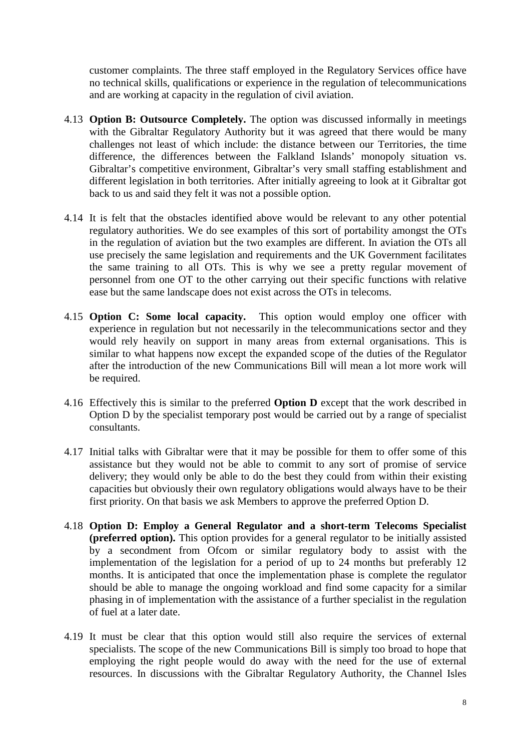customer complaints. The three staff employed in the Regulatory Services office have no technical skills, qualifications or experience in the regulation of telecommunications and are working at capacity in the regulation of civil aviation.

- 4.13 **Option B: Outsource Completely.** The option was discussed informally in meetings with the Gibraltar Regulatory Authority but it was agreed that there would be many challenges not least of which include: the distance between our Territories, the time difference, the differences between the Falkland Islands' monopoly situation vs. Gibraltar's competitive environment, Gibraltar's very small staffing establishment and different legislation in both territories. After initially agreeing to look at it Gibraltar got back to us and said they felt it was not a possible option.
- 4.14 It is felt that the obstacles identified above would be relevant to any other potential regulatory authorities. We do see examples of this sort of portability amongst the OTs in the regulation of aviation but the two examples are different. In aviation the OTs all use precisely the same legislation and requirements and the UK Government facilitates the same training to all OTs. This is why we see a pretty regular movement of personnel from one OT to the other carrying out their specific functions with relative ease but the same landscape does not exist across the OTs in telecoms.
- 4.15 **Option C: Some local capacity.** This option would employ one officer with experience in regulation but not necessarily in the telecommunications sector and they would rely heavily on support in many areas from external organisations. This is similar to what happens now except the expanded scope of the duties of the Regulator after the introduction of the new Communications Bill will mean a lot more work will be required.
- 4.16 Effectively this is similar to the preferred **Option D** except that the work described in Option D by the specialist temporary post would be carried out by a range of specialist consultants.
- 4.17 Initial talks with Gibraltar were that it may be possible for them to offer some of this assistance but they would not be able to commit to any sort of promise of service delivery; they would only be able to do the best they could from within their existing capacities but obviously their own regulatory obligations would always have to be their first priority. On that basis we ask Members to approve the preferred Option D.
- 4.18 **Option D: Employ a General Regulator and a short-term Telecoms Specialist (preferred option).** This option provides for a general regulator to be initially assisted by a secondment from Ofcom or similar regulatory body to assist with the implementation of the legislation for a period of up to 24 months but preferably 12 months. It is anticipated that once the implementation phase is complete the regulator should be able to manage the ongoing workload and find some capacity for a similar phasing in of implementation with the assistance of a further specialist in the regulation of fuel at a later date.
- 4.19 It must be clear that this option would still also require the services of external specialists. The scope of the new Communications Bill is simply too broad to hope that employing the right people would do away with the need for the use of external resources. In discussions with the Gibraltar Regulatory Authority, the Channel Isles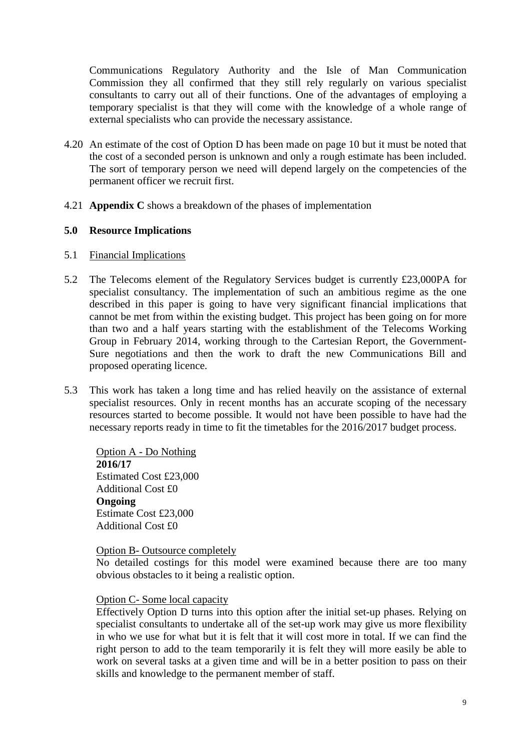Communications Regulatory Authority and the Isle of Man Communication Commission they all confirmed that they still rely regularly on various specialist consultants to carry out all of their functions. One of the advantages of employing a temporary specialist is that they will come with the knowledge of a whole range of external specialists who can provide the necessary assistance.

- 4.20 An estimate of the cost of Option D has been made on page 10 but it must be noted that the cost of a seconded person is unknown and only a rough estimate has been included. The sort of temporary person we need will depend largely on the competencies of the permanent officer we recruit first.
- 4.21 **Appendix C** shows a breakdown of the phases of implementation

## **5.0 Resource Implications**

- 5.1 Financial Implications
- 5.2 The Telecoms element of the Regulatory Services budget is currently £23,000PA for specialist consultancy. The implementation of such an ambitious regime as the one described in this paper is going to have very significant financial implications that cannot be met from within the existing budget. This project has been going on for more than two and a half years starting with the establishment of the Telecoms Working Group in February 2014, working through to the Cartesian Report, the Government-Sure negotiations and then the work to draft the new Communications Bill and proposed operating licence.
- 5.3 This work has taken a long time and has relied heavily on the assistance of external specialist resources. Only in recent months has an accurate scoping of the necessary resources started to become possible. It would not have been possible to have had the necessary reports ready in time to fit the timetables for the 2016/2017 budget process.

Option A - Do Nothing **2016/17** Estimated Cost £23,000 Additional Cost £0 **Ongoing** Estimate Cost £23,000 Additional Cost £0

## Option B- Outsource completely

No detailed costings for this model were examined because there are too many obvious obstacles to it being a realistic option.

# Option C- Some local capacity

Effectively Option D turns into this option after the initial set-up phases. Relying on specialist consultants to undertake all of the set-up work may give us more flexibility in who we use for what but it is felt that it will cost more in total. If we can find the right person to add to the team temporarily it is felt they will more easily be able to work on several tasks at a given time and will be in a better position to pass on their skills and knowledge to the permanent member of staff.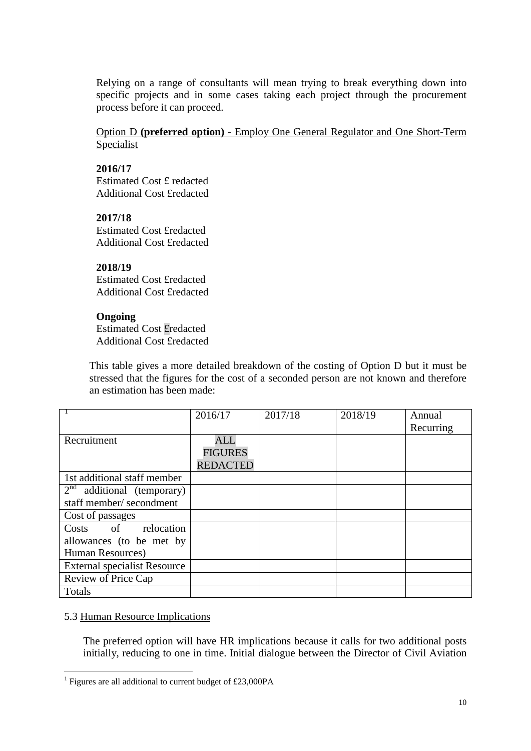Relying on a range of consultants will mean trying to break everything down into specific projects and in some cases taking each project through the procurement process before it can proceed.

Option D **(preferred option)** - Employ One General Regulator and One Short-Term Specialist

## **2016/17**

Estimated Cost £ redacted Additional Cost £redacted

## **2017/18**

Estimated Cost £redacted Additional Cost £redacted

# **2018/19**

Estimated Cost £redacted Additional Cost £redacted

# **Ongoing**

Estimated Cost £redacted Additional Cost £redacted

This table gives a more detailed breakdown of the costing of Option D but it must be stressed that the figures for the cost of a seconded person are not known and therefore an estimation has been made:

|                                     | 2016/17         | 2017/18 | 2018/19 | Annual<br>Recurring |
|-------------------------------------|-----------------|---------|---------|---------------------|
| Recruitment                         | <b>ALL</b>      |         |         |                     |
|                                     | <b>FIGURES</b>  |         |         |                     |
|                                     | <b>REDACTED</b> |         |         |                     |
| 1st additional staff member         |                 |         |         |                     |
| $2nd$ additional (temporary)        |                 |         |         |                     |
| staff member/secondment             |                 |         |         |                     |
| Cost of passages                    |                 |         |         |                     |
| Costs of<br>relocation              |                 |         |         |                     |
| allowances (to be met by            |                 |         |         |                     |
| Human Resources)                    |                 |         |         |                     |
| <b>External specialist Resource</b> |                 |         |         |                     |
| Review of Price Cap                 |                 |         |         |                     |
| Totals                              |                 |         |         |                     |

# 5.3 Human Resource Implications

The preferred option will have HR implications because it calls for two additional posts initially, reducing to one in time. Initial dialogue between the Director of Civil Aviation

<span id="page-9-0"></span><sup>&</sup>lt;sup>1</sup> Figures are all additional to current budget of £23,000PA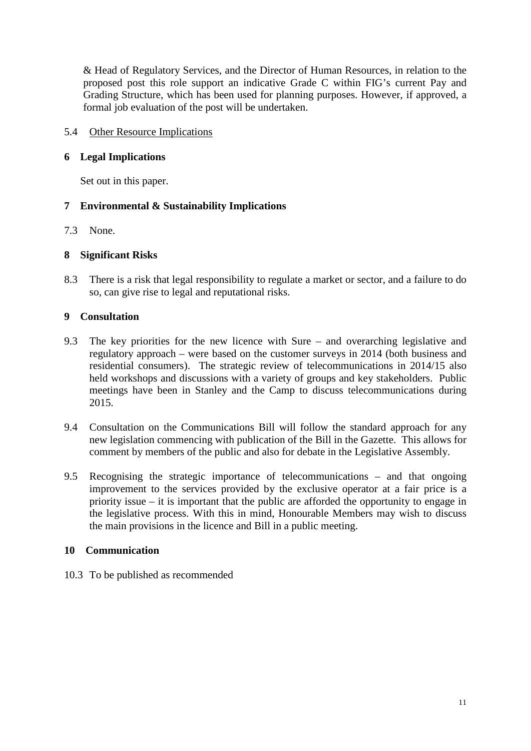& Head of Regulatory Services, and the Director of Human Resources, in relation to the proposed post this role support an indicative Grade C within FIG's current Pay and Grading Structure, which has been used for planning purposes. However, if approved, a formal job evaluation of the post will be undertaken.

5.4 Other Resource Implications

## **6 Legal Implications**

Set out in this paper.

# **7 Environmental & Sustainability Implications**

7.3 None.

## **8 Significant Risks**

8.3 There is a risk that legal responsibility to regulate a market or sector, and a failure to do so, can give rise to legal and reputational risks.

## **9 Consultation**

- 9.3 The key priorities for the new licence with Sure and overarching legislative and regulatory approach – were based on the customer surveys in 2014 (both business and residential consumers). The strategic review of telecommunications in 2014/15 also held workshops and discussions with a variety of groups and key stakeholders. Public meetings have been in Stanley and the Camp to discuss telecommunications during 2015.
- 9.4 Consultation on the Communications Bill will follow the standard approach for any new legislation commencing with publication of the Bill in the Gazette. This allows for comment by members of the public and also for debate in the Legislative Assembly.
- 9.5 Recognising the strategic importance of telecommunications and that ongoing improvement to the services provided by the exclusive operator at a fair price is a priority issue – it is important that the public are afforded the opportunity to engage in the legislative process. With this in mind, Honourable Members may wish to discuss the main provisions in the licence and Bill in a public meeting.

# **10 Communication**

10.3 To be published as recommended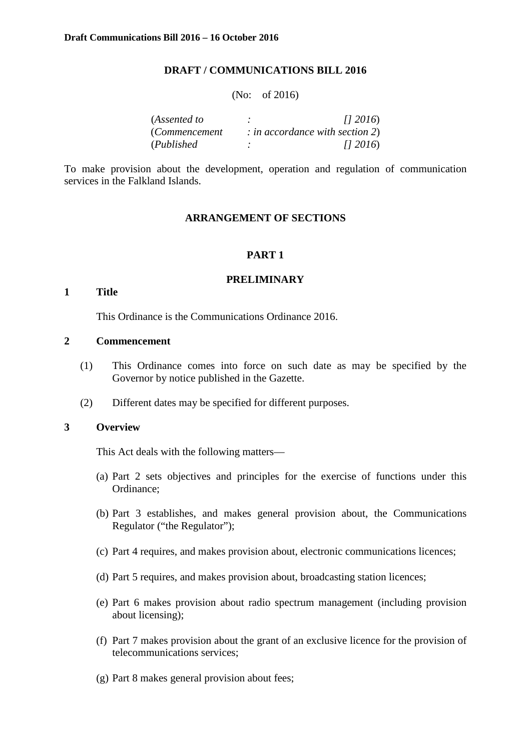#### **DRAFT / COMMUNICATIONS BILL 2016**

#### (No: of 2016)

| (Assented to  | (12016)                           |
|---------------|-----------------------------------|
| (Commencement | $:$ in accordance with section 2) |
| (Published)   | (12016)                           |

To make provision about the development, operation and regulation of communication services in the Falkland Islands.

#### **ARRANGEMENT OF SECTIONS**

#### **PART 1**

#### **PRELIMINARY**

#### **1 Title**

This Ordinance is the Communications Ordinance 2016.

#### **2 Commencement**

- (1) This Ordinance comes into force on such date as may be specified by the Governor by notice published in the Gazette.
- (2) Different dates may be specified for different purposes.

#### **3 Overview**

This Act deals with the following matters—

- (a) Part 2 sets objectives and principles for the exercise of functions under this Ordinance;
- (b) Part 3 establishes, and makes general provision about, the Communications Regulator ("the Regulator");
- (c) Part 4 requires, and makes provision about, electronic communications licences;
- (d) Part 5 requires, and makes provision about, broadcasting station licences;
- (e) Part 6 makes provision about radio spectrum management (including provision about licensing);
- (f) Part 7 makes provision about the grant of an exclusive licence for the provision of telecommunications services;
- (g) Part 8 makes general provision about fees;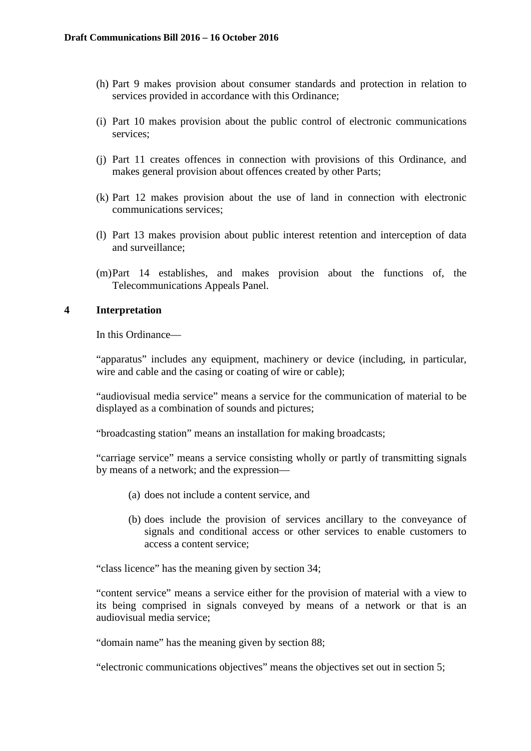- (h) Part 9 makes provision about consumer standards and protection in relation to services provided in accordance with this Ordinance;
- (i) Part 10 makes provision about the public control of electronic communications services;
- (j) Part 11 creates offences in connection with provisions of this Ordinance, and makes general provision about offences created by other Parts;
- (k) Part 12 makes provision about the use of land in connection with electronic communications services;
- (l) Part 13 makes provision about public interest retention and interception of data and surveillance;
- (m)Part 14 establishes, and makes provision about the functions of, the Telecommunications Appeals Panel.

## **4 Interpretation**

In this Ordinance—

"apparatus" includes any equipment, machinery or device (including, in particular, wire and cable and the casing or coating of wire or cable);

"audiovisual media service" means a service for the communication of material to be displayed as a combination of sounds and pictures;

"broadcasting station" means an installation for making broadcasts;

"carriage service" means a service consisting wholly or partly of transmitting signals by means of a network; and the expression—

- (a) does not include a content service, and
- (b) does include the provision of services ancillary to the conveyance of signals and conditional access or other services to enable customers to access a content service;

"class licence" has the meaning given by section 34;

"content service" means a service either for the provision of material with a view to its being comprised in signals conveyed by means of a network or that is an audiovisual media service;

"domain name" has the meaning given by section 88;

"electronic communications objectives" means the objectives set out in section 5;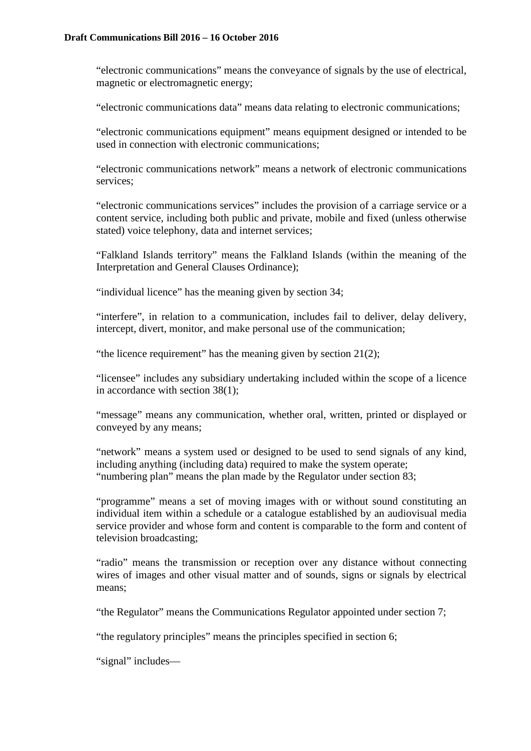"electronic communications" means the conveyance of signals by the use of electrical, magnetic or electromagnetic energy;

"electronic communications data" means data relating to electronic communications;

"electronic communications equipment" means equipment designed or intended to be used in connection with electronic communications;

"electronic communications network" means a network of electronic communications services;

"electronic communications services" includes the provision of a carriage service or a content service, including both public and private, mobile and fixed (unless otherwise stated) voice telephony, data and internet services;

"Falkland Islands territory" means the Falkland Islands (within the meaning of the Interpretation and General Clauses Ordinance);

"individual licence" has the meaning given by section 34;

"interfere", in relation to a communication, includes fail to deliver, delay delivery, intercept, divert, monitor, and make personal use of the communication;

"the licence requirement" has the meaning given by section 21(2);

"licensee" includes any subsidiary undertaking included within the scope of a licence in accordance with section 38(1);

"message" means any communication, whether oral, written, printed or displayed or conveyed by any means;

"network" means a system used or designed to be used to send signals of any kind, including anything (including data) required to make the system operate; "numbering plan" means the plan made by the Regulator under section 83;

"programme" means a set of moving images with or without sound constituting an individual item within a schedule or a catalogue established by an audiovisual media service provider and whose form and content is comparable to the form and content of television broadcasting;

"radio" means the transmission or reception over any distance without connecting wires of images and other visual matter and of sounds, signs or signals by electrical means;

"the Regulator" means the Communications Regulator appointed under section 7;

"the regulatory principles" means the principles specified in section 6;

"signal" includes—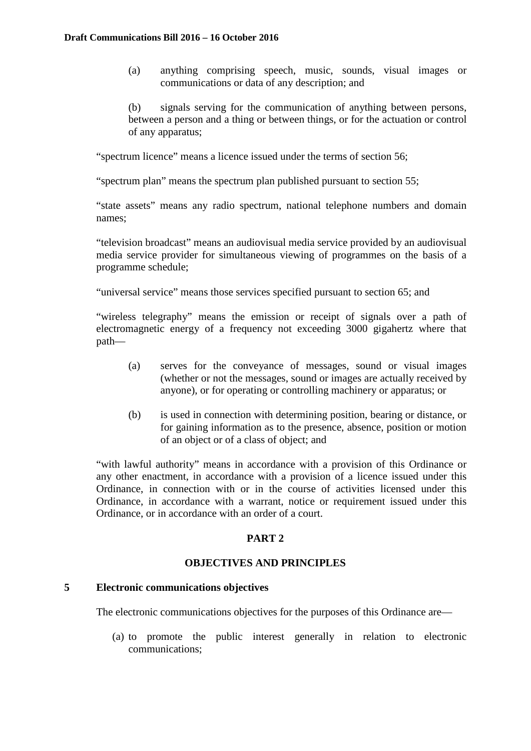(a) anything comprising speech, music, sounds, visual images or communications or data of any description; and

(b) signals serving for the communication of anything between persons, between a person and a thing or between things, or for the actuation or control of any apparatus;

"spectrum licence" means a licence issued under the terms of section 56;

"spectrum plan" means the spectrum plan published pursuant to section 55;

"state assets" means any radio spectrum, national telephone numbers and domain names;

"television broadcast" means an audiovisual media service provided by an audiovisual media service provider for simultaneous viewing of programmes on the basis of a programme schedule;

"universal service" means those services specified pursuant to section 65; and

"wireless telegraphy" means the emission or receipt of signals over a path of electromagnetic energy of a frequency not exceeding 3000 gigahertz where that path—

- (a) serves for the conveyance of messages, sound or visual images (whether or not the messages, sound or images are actually received by anyone), or for operating or controlling machinery or apparatus; or
- (b) is used in connection with determining position, bearing or distance, or for gaining information as to the presence, absence, position or motion of an object or of a class of object; and

"with lawful authority" means in accordance with a provision of this Ordinance or any other enactment, in accordance with a provision of a licence issued under this Ordinance, in connection with or in the course of activities licensed under this Ordinance, in accordance with a warrant, notice or requirement issued under this Ordinance, or in accordance with an order of a court.

# **PART 2**

# **OBJECTIVES AND PRINCIPLES**

#### **5 Electronic communications objectives**

The electronic communications objectives for the purposes of this Ordinance are—

(a) to promote the public interest generally in relation to electronic communications;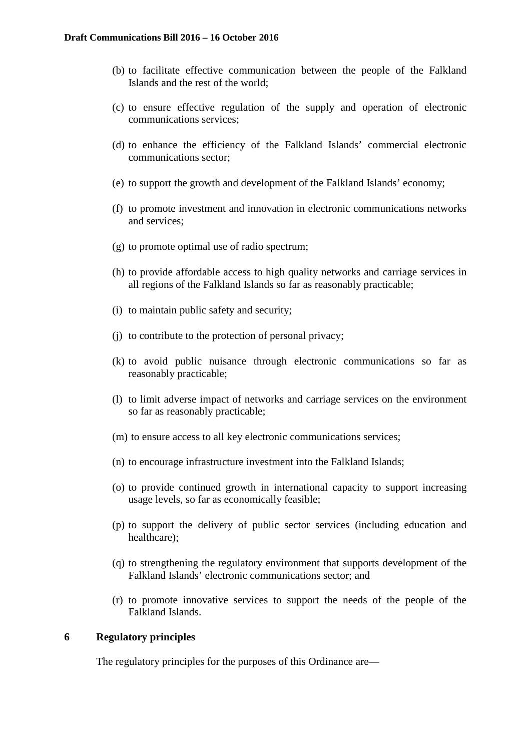- (b) to facilitate effective communication between the people of the Falkland Islands and the rest of the world;
- (c) to ensure effective regulation of the supply and operation of electronic communications services;
- (d) to enhance the efficiency of the Falkland Islands' commercial electronic communications sector;
- (e) to support the growth and development of the Falkland Islands' economy;
- (f) to promote investment and innovation in electronic communications networks and services;
- (g) to promote optimal use of radio spectrum;
- (h) to provide affordable access to high quality networks and carriage services in all regions of the Falkland Islands so far as reasonably practicable;
- (i) to maintain public safety and security;
- (j) to contribute to the protection of personal privacy;
- (k) to avoid public nuisance through electronic communications so far as reasonably practicable;
- (l) to limit adverse impact of networks and carriage services on the environment so far as reasonably practicable;
- (m) to ensure access to all key electronic communications services;
- (n) to encourage infrastructure investment into the Falkland Islands;
- (o) to provide continued growth in international capacity to support increasing usage levels, so far as economically feasible;
- (p) to support the delivery of public sector services (including education and healthcare);
- (q) to strengthening the regulatory environment that supports development of the Falkland Islands' electronic communications sector; and
- (r) to promote innovative services to support the needs of the people of the Falkland Islands.

## **6 Regulatory principles**

The regulatory principles for the purposes of this Ordinance are—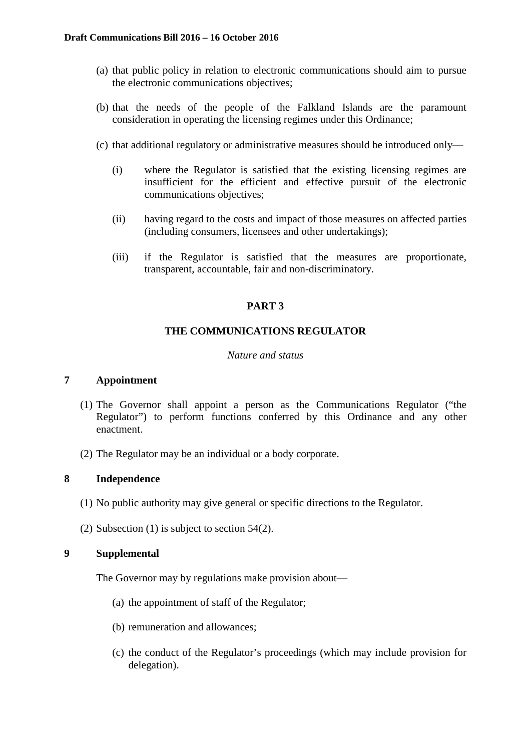- (a) that public policy in relation to electronic communications should aim to pursue the electronic communications objectives;
- (b) that the needs of the people of the Falkland Islands are the paramount consideration in operating the licensing regimes under this Ordinance;
- (c) that additional regulatory or administrative measures should be introduced only—
	- (i) where the Regulator is satisfied that the existing licensing regimes are insufficient for the efficient and effective pursuit of the electronic communications objectives;
	- (ii) having regard to the costs and impact of those measures on affected parties (including consumers, licensees and other undertakings);
	- (iii) if the Regulator is satisfied that the measures are proportionate, transparent, accountable, fair and non-discriminatory.

# **PART 3**

# **THE COMMUNICATIONS REGULATOR**

## *Nature and status*

# **7 Appointment**

- (1) The Governor shall appoint a person as the Communications Regulator ("the Regulator") to perform functions conferred by this Ordinance and any other enactment.
- (2) The Regulator may be an individual or a body corporate.

## **8 Independence**

- (1) No public authority may give general or specific directions to the Regulator.
- (2) Subsection (1) is subject to section 54(2).

# **9 Supplemental**

The Governor may by regulations make provision about—

- (a) the appointment of staff of the Regulator;
- (b) remuneration and allowances;
- (c) the conduct of the Regulator's proceedings (which may include provision for delegation).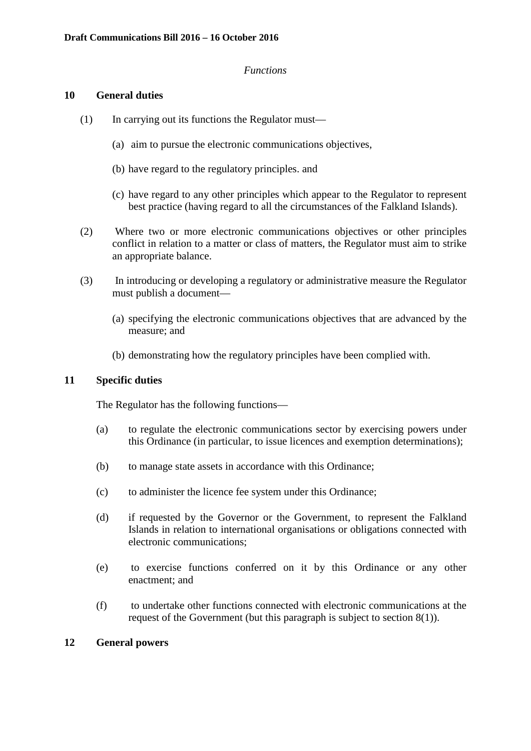#### *Functions*

#### **10 General duties**

- (1) In carrying out its functions the Regulator must—
	- (a) aim to pursue the electronic communications objectives,
	- (b) have regard to the regulatory principles. and
	- (c) have regard to any other principles which appear to the Regulator to represent best practice (having regard to all the circumstances of the Falkland Islands).
- (2) Where two or more electronic communications objectives or other principles conflict in relation to a matter or class of matters, the Regulator must aim to strike an appropriate balance.
- (3) In introducing or developing a regulatory or administrative measure the Regulator must publish a document—
	- (a) specifying the electronic communications objectives that are advanced by the measure; and
	- (b) demonstrating how the regulatory principles have been complied with.

## **11 Specific duties**

The Regulator has the following functions—

- (a) to regulate the electronic communications sector by exercising powers under this Ordinance (in particular, to issue licences and exemption determinations);
- (b) to manage state assets in accordance with this Ordinance;
- (c) to administer the licence fee system under this Ordinance;
- (d) if requested by the Governor or the Government, to represent the Falkland Islands in relation to international organisations or obligations connected with electronic communications;
- (e) to exercise functions conferred on it by this Ordinance or any other enactment; and
- (f) to undertake other functions connected with electronic communications at the request of the Government (but this paragraph is subject to section 8(1)).

## **12 General powers**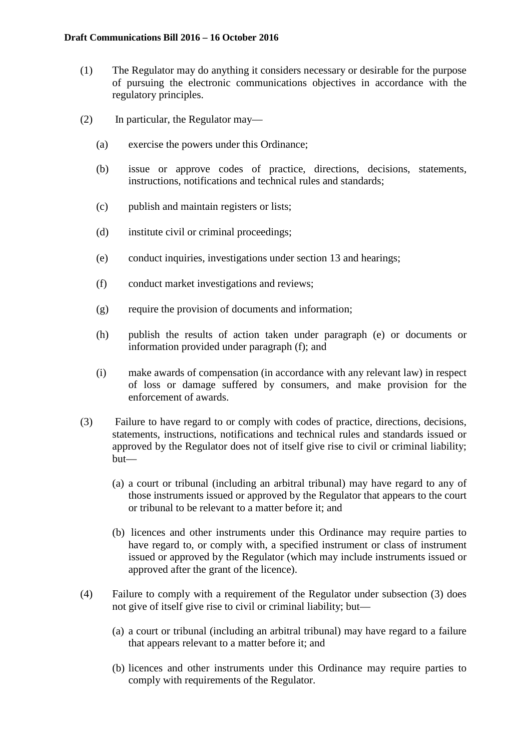- (1) The Regulator may do anything it considers necessary or desirable for the purpose of pursuing the electronic communications objectives in accordance with the regulatory principles.
- (2) In particular, the Regulator may—
	- (a) exercise the powers under this Ordinance;
	- (b) issue or approve codes of practice, directions, decisions, statements, instructions, notifications and technical rules and standards;
	- (c) publish and maintain registers or lists;
	- (d) institute civil or criminal proceedings;
	- (e) conduct inquiries, investigations under section 13 and hearings;
	- (f) conduct market investigations and reviews;
	- (g) require the provision of documents and information;
	- (h) publish the results of action taken under paragraph (e) or documents or information provided under paragraph (f); and
	- (i) make awards of compensation (in accordance with any relevant law) in respect of loss or damage suffered by consumers, and make provision for the enforcement of awards.
- (3) Failure to have regard to or comply with codes of practice, directions, decisions, statements, instructions, notifications and technical rules and standards issued or approved by the Regulator does not of itself give rise to civil or criminal liability; but—
	- (a) a court or tribunal (including an arbitral tribunal) may have regard to any of those instruments issued or approved by the Regulator that appears to the court or tribunal to be relevant to a matter before it; and
	- (b) licences and other instruments under this Ordinance may require parties to have regard to, or comply with, a specified instrument or class of instrument issued or approved by the Regulator (which may include instruments issued or approved after the grant of the licence).
- (4) Failure to comply with a requirement of the Regulator under subsection (3) does not give of itself give rise to civil or criminal liability; but—
	- (a) a court or tribunal (including an arbitral tribunal) may have regard to a failure that appears relevant to a matter before it; and
	- (b) licences and other instruments under this Ordinance may require parties to comply with requirements of the Regulator.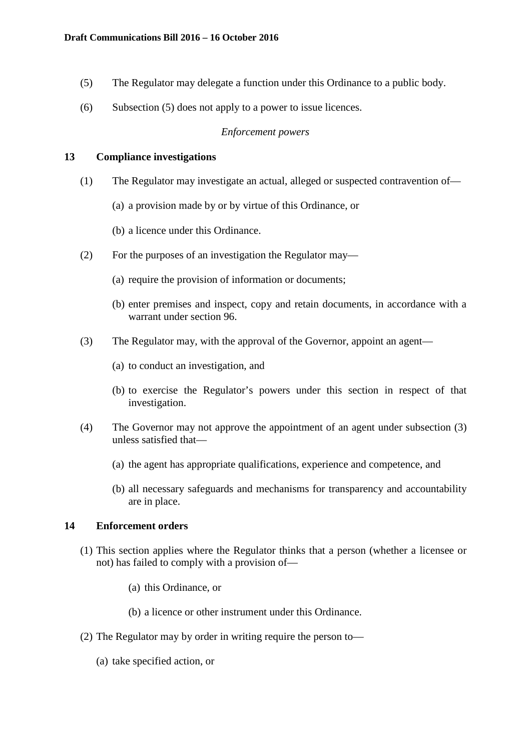- (5) The Regulator may delegate a function under this Ordinance to a public body.
- (6) Subsection (5) does not apply to a power to issue licences.

## *Enforcement powers*

## **13 Compliance investigations**

- (1) The Regulator may investigate an actual, alleged or suspected contravention of—
	- (a) a provision made by or by virtue of this Ordinance, or
	- (b) a licence under this Ordinance.
- (2) For the purposes of an investigation the Regulator may—
	- (a) require the provision of information or documents;
	- (b) enter premises and inspect, copy and retain documents, in accordance with a warrant under section 96.
- (3) The Regulator may, with the approval of the Governor, appoint an agent—
	- (a) to conduct an investigation, and
	- (b) to exercise the Regulator's powers under this section in respect of that investigation.
- (4) The Governor may not approve the appointment of an agent under subsection (3) unless satisfied that—
	- (a) the agent has appropriate qualifications, experience and competence, and
	- (b) all necessary safeguards and mechanisms for transparency and accountability are in place.

# **14 Enforcement orders**

- (1) This section applies where the Regulator thinks that a person (whether a licensee or not) has failed to comply with a provision of—
	- (a) this Ordinance, or
	- (b) a licence or other instrument under this Ordinance.
- (2) The Regulator may by order in writing require the person to—
	- (a) take specified action, or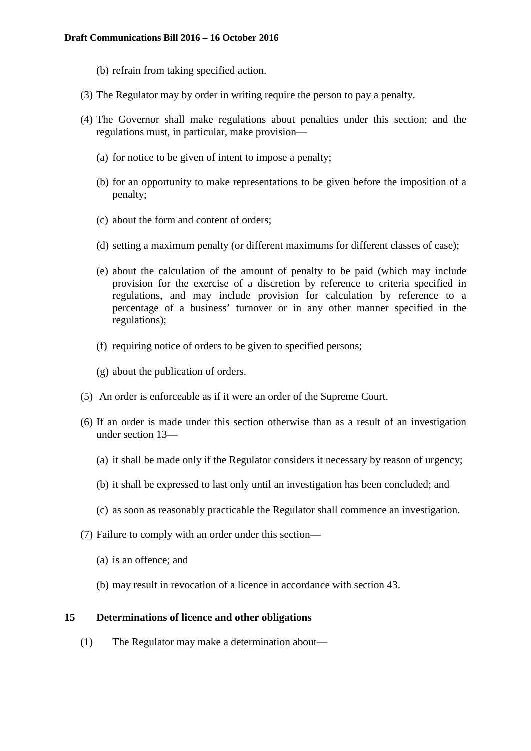- (b) refrain from taking specified action.
- (3) The Regulator may by order in writing require the person to pay a penalty.
- (4) The Governor shall make regulations about penalties under this section; and the regulations must, in particular, make provision—
	- (a) for notice to be given of intent to impose a penalty;
	- (b) for an opportunity to make representations to be given before the imposition of a penalty;
	- (c) about the form and content of orders;
	- (d) setting a maximum penalty (or different maximums for different classes of case);
	- (e) about the calculation of the amount of penalty to be paid (which may include provision for the exercise of a discretion by reference to criteria specified in regulations, and may include provision for calculation by reference to a percentage of a business' turnover or in any other manner specified in the regulations);
	- (f) requiring notice of orders to be given to specified persons;
	- (g) about the publication of orders.
- (5) An order is enforceable as if it were an order of the Supreme Court.
- (6) If an order is made under this section otherwise than as a result of an investigation under section 13—
	- (a) it shall be made only if the Regulator considers it necessary by reason of urgency;
	- (b) it shall be expressed to last only until an investigation has been concluded; and
	- (c) as soon as reasonably practicable the Regulator shall commence an investigation.
- (7) Failure to comply with an order under this section—
	- (a) is an offence; and
	- (b) may result in revocation of a licence in accordance with section 43.

#### **15 Determinations of licence and other obligations**

(1) The Regulator may make a determination about—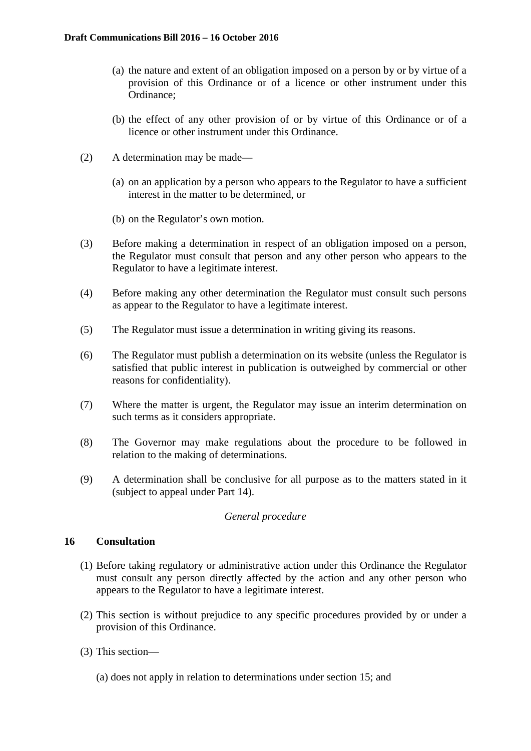- (a) the nature and extent of an obligation imposed on a person by or by virtue of a provision of this Ordinance or of a licence or other instrument under this Ordinance;
- (b) the effect of any other provision of or by virtue of this Ordinance or of a licence or other instrument under this Ordinance.
- (2) A determination may be made—
	- (a) on an application by a person who appears to the Regulator to have a sufficient interest in the matter to be determined, or
	- (b) on the Regulator's own motion.
- (3) Before making a determination in respect of an obligation imposed on a person, the Regulator must consult that person and any other person who appears to the Regulator to have a legitimate interest.
- (4) Before making any other determination the Regulator must consult such persons as appear to the Regulator to have a legitimate interest.
- (5) The Regulator must issue a determination in writing giving its reasons.
- (6) The Regulator must publish a determination on its website (unless the Regulator is satisfied that public interest in publication is outweighed by commercial or other reasons for confidentiality).
- (7) Where the matter is urgent, the Regulator may issue an interim determination on such terms as it considers appropriate.
- (8) The Governor may make regulations about the procedure to be followed in relation to the making of determinations.
- (9) A determination shall be conclusive for all purpose as to the matters stated in it (subject to appeal under Part 14).

## *General procedure*

## **16 Consultation**

- (1) Before taking regulatory or administrative action under this Ordinance the Regulator must consult any person directly affected by the action and any other person who appears to the Regulator to have a legitimate interest.
- (2) This section is without prejudice to any specific procedures provided by or under a provision of this Ordinance.
- (3) This section—
	- (a) does not apply in relation to determinations under section 15; and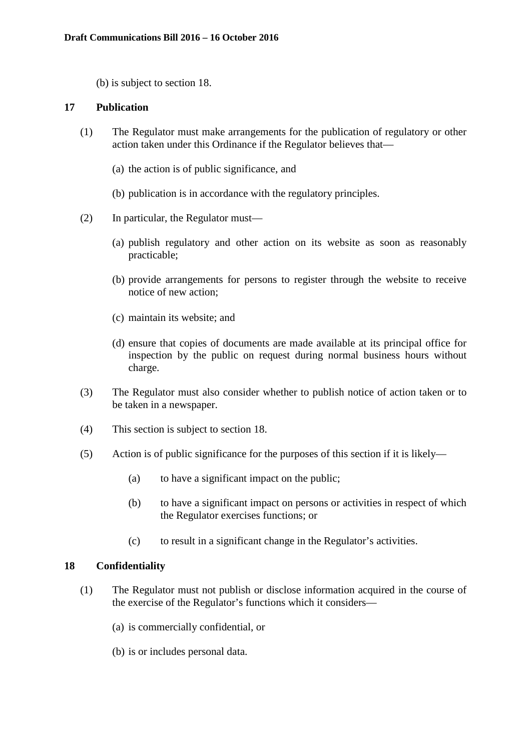(b) is subject to section 18.

## **17 Publication**

- (1) The Regulator must make arrangements for the publication of regulatory or other action taken under this Ordinance if the Regulator believes that—
	- (a) the action is of public significance, and
	- (b) publication is in accordance with the regulatory principles.
- (2) In particular, the Regulator must—
	- (a) publish regulatory and other action on its website as soon as reasonably practicable;
	- (b) provide arrangements for persons to register through the website to receive notice of new action;
	- (c) maintain its website; and
	- (d) ensure that copies of documents are made available at its principal office for inspection by the public on request during normal business hours without charge.
- (3) The Regulator must also consider whether to publish notice of action taken or to be taken in a newspaper.
- (4) This section is subject to section 18.
- (5) Action is of public significance for the purposes of this section if it is likely—
	- (a) to have a significant impact on the public;
	- (b) to have a significant impact on persons or activities in respect of which the Regulator exercises functions; or
	- (c) to result in a significant change in the Regulator's activities.

## **18 Confidentiality**

- (1) The Regulator must not publish or disclose information acquired in the course of the exercise of the Regulator's functions which it considers—
	- (a) is commercially confidential, or
	- (b) is or includes personal data.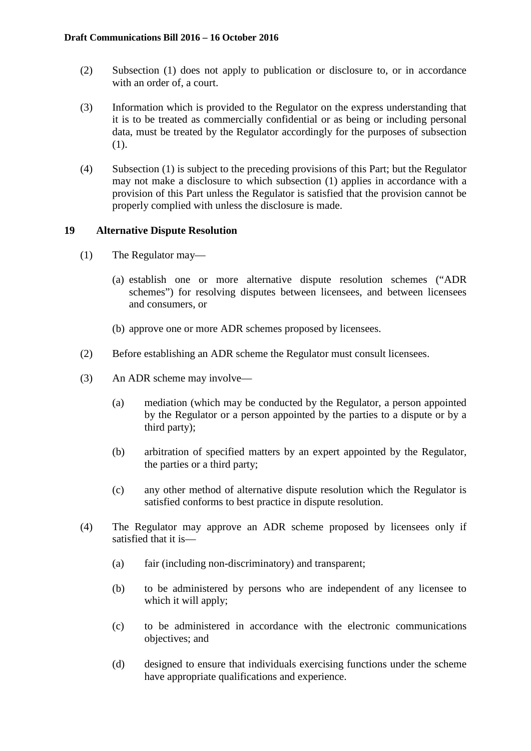- (2) Subsection (1) does not apply to publication or disclosure to, or in accordance with an order of, a court.
- (3) Information which is provided to the Regulator on the express understanding that it is to be treated as commercially confidential or as being or including personal data, must be treated by the Regulator accordingly for the purposes of subsection (1).
- (4) Subsection (1) is subject to the preceding provisions of this Part; but the Regulator may not make a disclosure to which subsection (1) applies in accordance with a provision of this Part unless the Regulator is satisfied that the provision cannot be properly complied with unless the disclosure is made.

## **19 Alternative Dispute Resolution**

- (1) The Regulator may—
	- (a) establish one or more alternative dispute resolution schemes ("ADR schemes") for resolving disputes between licensees, and between licensees and consumers, or
	- (b) approve one or more ADR schemes proposed by licensees.
- (2) Before establishing an ADR scheme the Regulator must consult licensees.
- (3) An ADR scheme may involve—
	- (a) mediation (which may be conducted by the Regulator, a person appointed by the Regulator or a person appointed by the parties to a dispute or by a third party);
	- (b) arbitration of specified matters by an expert appointed by the Regulator, the parties or a third party;
	- (c) any other method of alternative dispute resolution which the Regulator is satisfied conforms to best practice in dispute resolution.
- (4) The Regulator may approve an ADR scheme proposed by licensees only if satisfied that it is—
	- (a) fair (including non-discriminatory) and transparent;
	- (b) to be administered by persons who are independent of any licensee to which it will apply:
	- (c) to be administered in accordance with the electronic communications objectives; and
	- (d) designed to ensure that individuals exercising functions under the scheme have appropriate qualifications and experience.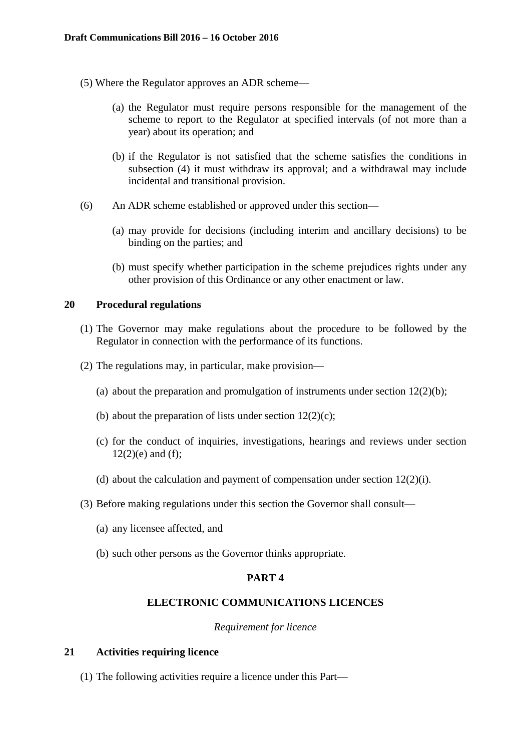- (5) Where the Regulator approves an ADR scheme—
	- (a) the Regulator must require persons responsible for the management of the scheme to report to the Regulator at specified intervals (of not more than a year) about its operation; and
	- (b) if the Regulator is not satisfied that the scheme satisfies the conditions in subsection (4) it must withdraw its approval; and a withdrawal may include incidental and transitional provision.
- (6) An ADR scheme established or approved under this section—
	- (a) may provide for decisions (including interim and ancillary decisions) to be binding on the parties; and
	- (b) must specify whether participation in the scheme prejudices rights under any other provision of this Ordinance or any other enactment or law.

#### **20 Procedural regulations**

- (1) The Governor may make regulations about the procedure to be followed by the Regulator in connection with the performance of its functions.
- (2) The regulations may, in particular, make provision—
	- (a) about the preparation and promulgation of instruments under section  $12(2)(b)$ ;
	- (b) about the preparation of lists under section  $12(2)(c)$ ;
	- (c) for the conduct of inquiries, investigations, hearings and reviews under section  $12(2)(e)$  and (f);
	- (d) about the calculation and payment of compensation under section 12(2)(i).
- (3) Before making regulations under this section the Governor shall consult—
	- (a) any licensee affected, and
	- (b) such other persons as the Governor thinks appropriate.

## **PART 4**

#### **ELECTRONIC COMMUNICATIONS LICENCES**

#### *Requirement for licence*

#### **21 Activities requiring licence**

(1) The following activities require a licence under this Part—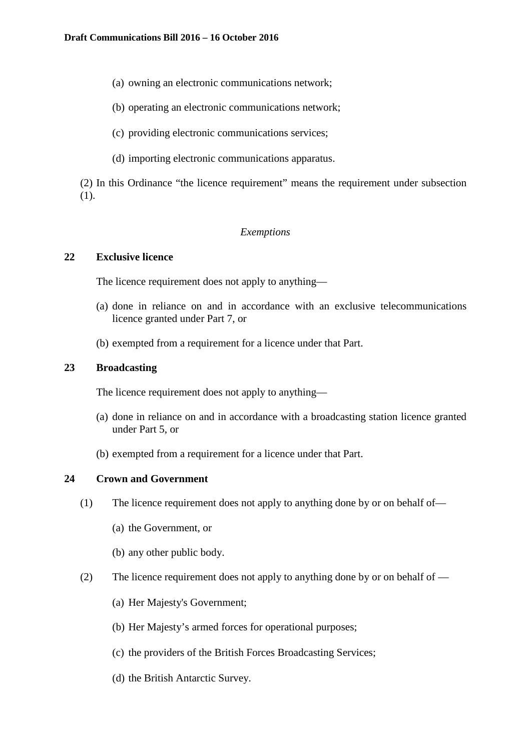- (a) owning an electronic communications network;
- (b) operating an electronic communications network;
- (c) providing electronic communications services;
- (d) importing electronic communications apparatus.

(2) In this Ordinance "the licence requirement" means the requirement under subsection (1).

#### *Exemptions*

## **22 Exclusive licence**

The licence requirement does not apply to anything—

- (a) done in reliance on and in accordance with an exclusive telecommunications licence granted under Part 7, or
- (b) exempted from a requirement for a licence under that Part.

## **23 Broadcasting**

The licence requirement does not apply to anything—

- (a) done in reliance on and in accordance with a broadcasting station licence granted under Part 5, or
- (b) exempted from a requirement for a licence under that Part.

## **24 Crown and Government**

- (1) The licence requirement does not apply to anything done by or on behalf of—
	- (a) the Government, or
	- (b) any other public body.
- (2) The licence requirement does not apply to anything done by or on behalf of
	- (a) Her Majesty's Government;
	- (b) Her Majesty's armed forces for operational purposes;
	- (c) the providers of the British Forces Broadcasting Services;
	- (d) the British Antarctic Survey.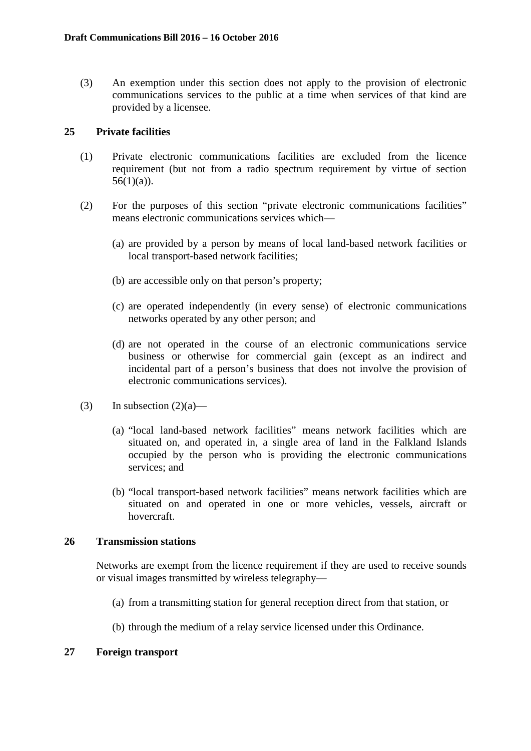(3) An exemption under this section does not apply to the provision of electronic communications services to the public at a time when services of that kind are provided by a licensee.

## **25 Private facilities**

- (1) Private electronic communications facilities are excluded from the licence requirement (but not from a radio spectrum requirement by virtue of section  $56(1)(a)$ ).
- (2) For the purposes of this section "private electronic communications facilities" means electronic communications services which—
	- (a) are provided by a person by means of local land-based network facilities or local transport-based network facilities;
	- (b) are accessible only on that person's property;
	- (c) are operated independently (in every sense) of electronic communications networks operated by any other person; and
	- (d) are not operated in the course of an electronic communications service business or otherwise for commercial gain (except as an indirect and incidental part of a person's business that does not involve the provision of electronic communications services).
- (3) In subsection  $(2)(a)$ 
	- (a) "local land-based network facilities" means network facilities which are situated on, and operated in, a single area of land in the Falkland Islands occupied by the person who is providing the electronic communications services; and
	- (b) "local transport-based network facilities" means network facilities which are situated on and operated in one or more vehicles, vessels, aircraft or hovercraft.

## **26 Transmission stations**

Networks are exempt from the licence requirement if they are used to receive sounds or visual images transmitted by wireless telegraphy—

- (a) from a transmitting station for general reception direct from that station, or
- (b) through the medium of a relay service licensed under this Ordinance.

## **27 Foreign transport**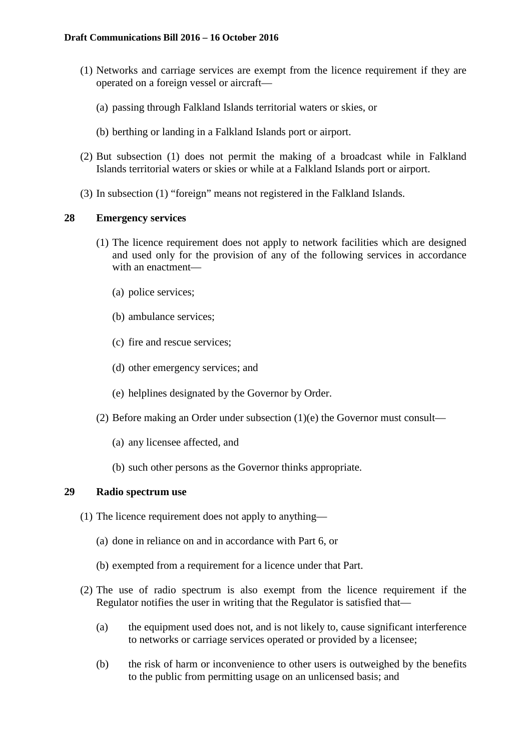- (1) Networks and carriage services are exempt from the licence requirement if they are operated on a foreign vessel or aircraft—
	- (a) passing through Falkland Islands territorial waters or skies, or
	- (b) berthing or landing in a Falkland Islands port or airport.
- (2) But subsection (1) does not permit the making of a broadcast while in Falkland Islands territorial waters or skies or while at a Falkland Islands port or airport.
- (3) In subsection (1) "foreign" means not registered in the Falkland Islands.

## **28 Emergency services**

- (1) The licence requirement does not apply to network facilities which are designed and used only for the provision of any of the following services in accordance with an enactment—
	- (a) police services;
	- (b) ambulance services;
	- (c) fire and rescue services;
	- (d) other emergency services; and
	- (e) helplines designated by the Governor by Order.
- (2) Before making an Order under subsection (1)(e) the Governor must consult—
	- (a) any licensee affected, and
	- (b) such other persons as the Governor thinks appropriate.

# **29 Radio spectrum use**

- (1) The licence requirement does not apply to anything—
	- (a) done in reliance on and in accordance with Part 6, or
	- (b) exempted from a requirement for a licence under that Part.
- (2) The use of radio spectrum is also exempt from the licence requirement if the Regulator notifies the user in writing that the Regulator is satisfied that—
	- (a) the equipment used does not, and is not likely to, cause significant interference to networks or carriage services operated or provided by a licensee;
	- (b) the risk of harm or inconvenience to other users is outweighed by the benefits to the public from permitting usage on an unlicensed basis; and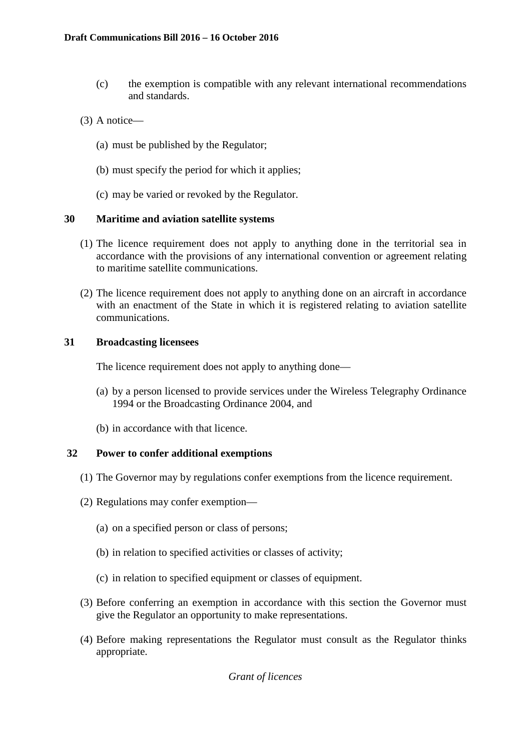- (c) the exemption is compatible with any relevant international recommendations and standards.
- (3) A notice—
	- (a) must be published by the Regulator;
	- (b) must specify the period for which it applies;
	- (c) may be varied or revoked by the Regulator.

## **30 Maritime and aviation satellite systems**

- (1) The licence requirement does not apply to anything done in the territorial sea in accordance with the provisions of any international convention or agreement relating to maritime satellite communications.
- (2) The licence requirement does not apply to anything done on an aircraft in accordance with an enactment of the State in which it is registered relating to aviation satellite communications.

## **31 Broadcasting licensees**

The licence requirement does not apply to anything done—

- (a) by a person licensed to provide services under the Wireless Telegraphy Ordinance 1994 or the Broadcasting Ordinance 2004, and
- (b) in accordance with that licence.

# **32 Power to confer additional exemptions**

- (1) The Governor may by regulations confer exemptions from the licence requirement.
- (2) Regulations may confer exemption—
	- (a) on a specified person or class of persons;
	- (b) in relation to specified activities or classes of activity;
	- (c) in relation to specified equipment or classes of equipment.
- (3) Before conferring an exemption in accordance with this section the Governor must give the Regulator an opportunity to make representations.
- (4) Before making representations the Regulator must consult as the Regulator thinks appropriate.

*Grant of licences*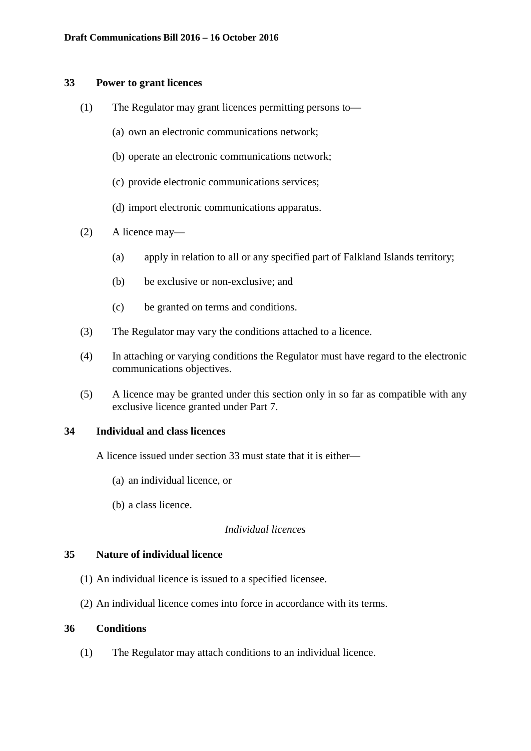#### **33 Power to grant licences**

- (1) The Regulator may grant licences permitting persons to—
	- (a) own an electronic communications network;
	- (b) operate an electronic communications network;
	- (c) provide electronic communications services;
	- (d) import electronic communications apparatus.
- (2) A licence may—
	- (a) apply in relation to all or any specified part of Falkland Islands territory;
	- (b) be exclusive or non-exclusive; and
	- (c) be granted on terms and conditions.
- (3) The Regulator may vary the conditions attached to a licence.
- (4) In attaching or varying conditions the Regulator must have regard to the electronic communications objectives.
- (5) A licence may be granted under this section only in so far as compatible with any exclusive licence granted under Part 7.

#### **34 Individual and class licences**

A licence issued under section 33 must state that it is either—

- (a) an individual licence, or
- (b) a class licence.

# *Individual licences*

#### **35 Nature of individual licence**

- (1) An individual licence is issued to a specified licensee.
- (2) An individual licence comes into force in accordance with its terms.

## **36 Conditions**

(1) The Regulator may attach conditions to an individual licence.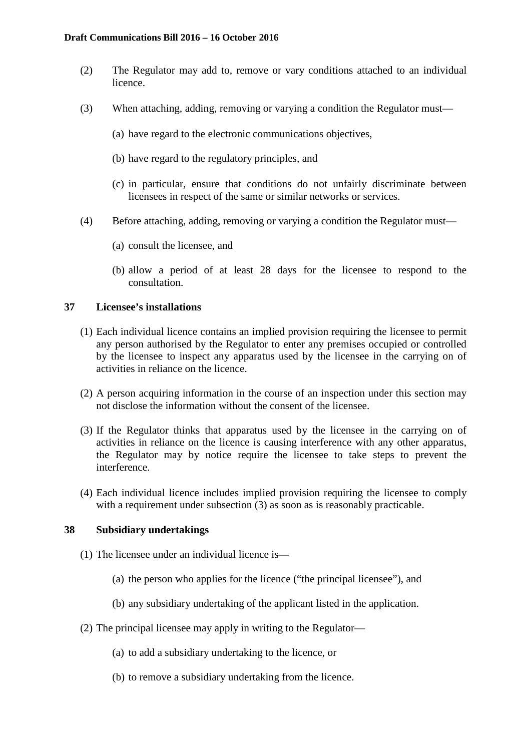- (2) The Regulator may add to, remove or vary conditions attached to an individual licence.
- (3) When attaching, adding, removing or varying a condition the Regulator must—
	- (a) have regard to the electronic communications objectives,
	- (b) have regard to the regulatory principles, and
	- (c) in particular, ensure that conditions do not unfairly discriminate between licensees in respect of the same or similar networks or services.
- (4) Before attaching, adding, removing or varying a condition the Regulator must—
	- (a) consult the licensee, and
	- (b) allow a period of at least 28 days for the licensee to respond to the consultation.

## **37 Licensee's installations**

- (1) Each individual licence contains an implied provision requiring the licensee to permit any person authorised by the Regulator to enter any premises occupied or controlled by the licensee to inspect any apparatus used by the licensee in the carrying on of activities in reliance on the licence.
- (2) A person acquiring information in the course of an inspection under this section may not disclose the information without the consent of the licensee.
- (3) If the Regulator thinks that apparatus used by the licensee in the carrying on of activities in reliance on the licence is causing interference with any other apparatus, the Regulator may by notice require the licensee to take steps to prevent the interference.
- (4) Each individual licence includes implied provision requiring the licensee to comply with a requirement under subsection (3) as soon as is reasonably practicable.

## **38 Subsidiary undertakings**

- (1) The licensee under an individual licence is—
	- (a) the person who applies for the licence ("the principal licensee"), and
	- (b) any subsidiary undertaking of the applicant listed in the application.
- (2) The principal licensee may apply in writing to the Regulator—
	- (a) to add a subsidiary undertaking to the licence, or
	- (b) to remove a subsidiary undertaking from the licence.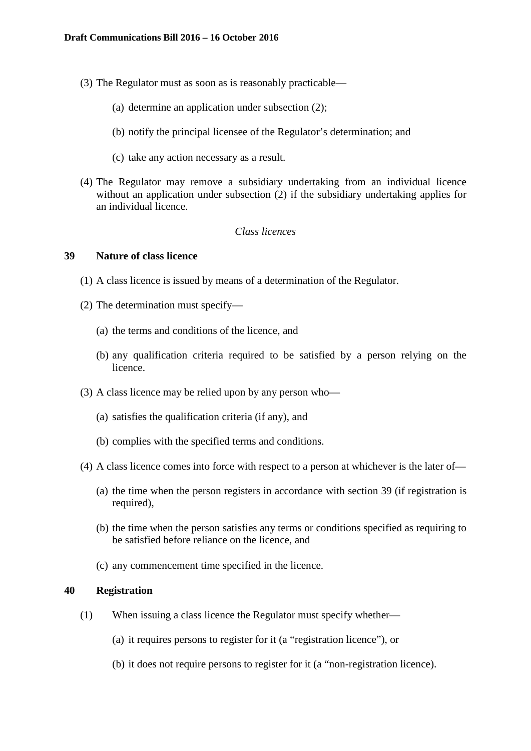- (3) The Regulator must as soon as is reasonably practicable—
	- (a) determine an application under subsection (2);
	- (b) notify the principal licensee of the Regulator's determination; and
	- (c) take any action necessary as a result.
- (4) The Regulator may remove a subsidiary undertaking from an individual licence without an application under subsection (2) if the subsidiary undertaking applies for an individual licence.

## *Class licences*

#### **39 Nature of class licence**

- (1) A class licence is issued by means of a determination of the Regulator.
- (2) The determination must specify—
	- (a) the terms and conditions of the licence, and
	- (b) any qualification criteria required to be satisfied by a person relying on the licence.
- (3) A class licence may be relied upon by any person who—
	- (a) satisfies the qualification criteria (if any), and
	- (b) complies with the specified terms and conditions.
- (4) A class licence comes into force with respect to a person at whichever is the later of—
	- (a) the time when the person registers in accordance with section 39 (if registration is required),
	- (b) the time when the person satisfies any terms or conditions specified as requiring to be satisfied before reliance on the licence, and
	- (c) any commencement time specified in the licence.

## **40 Registration**

- (1) When issuing a class licence the Regulator must specify whether—
	- (a) it requires persons to register for it (a "registration licence"), or
	- (b) it does not require persons to register for it (a "non-registration licence).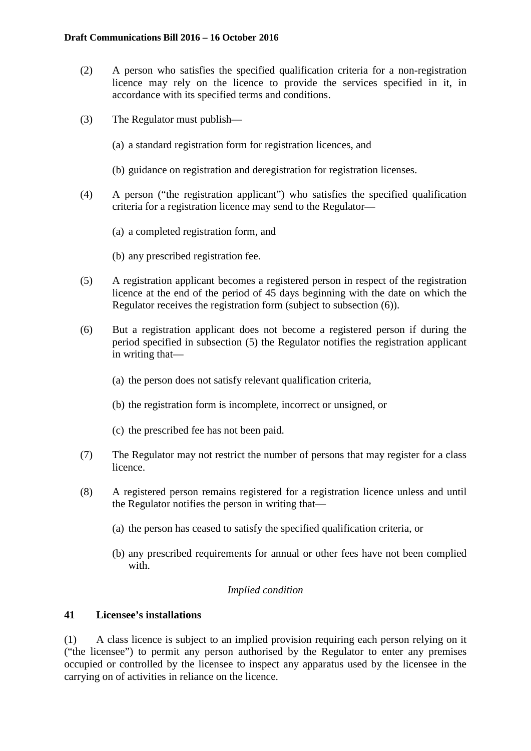- (2) A person who satisfies the specified qualification criteria for a non-registration licence may rely on the licence to provide the services specified in it, in accordance with its specified terms and conditions.
- (3) The Regulator must publish—
	- (a) a standard registration form for registration licences, and
	- (b) guidance on registration and deregistration for registration licenses.
- (4) A person ("the registration applicant") who satisfies the specified qualification criteria for a registration licence may send to the Regulator—
	- (a) a completed registration form, and
	- (b) any prescribed registration fee.
- (5) A registration applicant becomes a registered person in respect of the registration licence at the end of the period of 45 days beginning with the date on which the Regulator receives the registration form (subject to subsection (6)).
- (6) But a registration applicant does not become a registered person if during the period specified in subsection (5) the Regulator notifies the registration applicant in writing that—
	- (a) the person does not satisfy relevant qualification criteria,
	- (b) the registration form is incomplete, incorrect or unsigned, or
	- (c) the prescribed fee has not been paid.
- (7) The Regulator may not restrict the number of persons that may register for a class licence.
- (8) A registered person remains registered for a registration licence unless and until the Regulator notifies the person in writing that—
	- (a) the person has ceased to satisfy the specified qualification criteria, or
	- (b) any prescribed requirements for annual or other fees have not been complied with.

## *Implied condition*

## **41 Licensee's installations**

(1) A class licence is subject to an implied provision requiring each person relying on it ("the licensee") to permit any person authorised by the Regulator to enter any premises occupied or controlled by the licensee to inspect any apparatus used by the licensee in the carrying on of activities in reliance on the licence.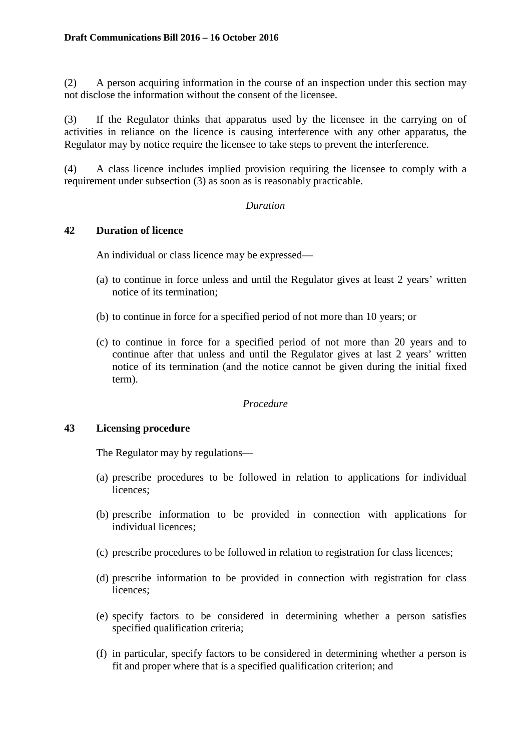(2) A person acquiring information in the course of an inspection under this section may not disclose the information without the consent of the licensee.

(3) If the Regulator thinks that apparatus used by the licensee in the carrying on of activities in reliance on the licence is causing interference with any other apparatus, the Regulator may by notice require the licensee to take steps to prevent the interference.

(4) A class licence includes implied provision requiring the licensee to comply with a requirement under subsection (3) as soon as is reasonably practicable.

## *Duration*

## **42 Duration of licence**

An individual or class licence may be expressed—

- (a) to continue in force unless and until the Regulator gives at least 2 years' written notice of its termination;
- (b) to continue in force for a specified period of not more than 10 years; or
- (c) to continue in force for a specified period of not more than 20 years and to continue after that unless and until the Regulator gives at last 2 years' written notice of its termination (and the notice cannot be given during the initial fixed term).

## *Procedure*

## **43 Licensing procedure**

The Regulator may by regulations—

- (a) prescribe procedures to be followed in relation to applications for individual licences;
- (b) prescribe information to be provided in connection with applications for individual licences;
- (c) prescribe procedures to be followed in relation to registration for class licences;
- (d) prescribe information to be provided in connection with registration for class licences;
- (e) specify factors to be considered in determining whether a person satisfies specified qualification criteria;
- (f) in particular, specify factors to be considered in determining whether a person is fit and proper where that is a specified qualification criterion; and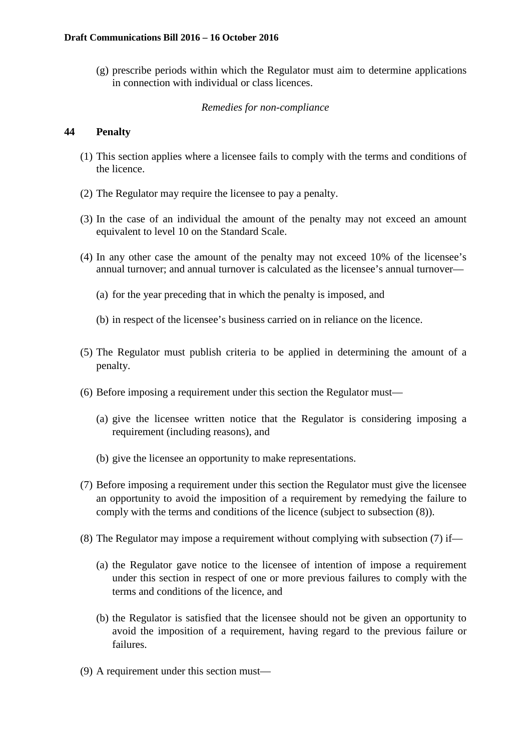(g) prescribe periods within which the Regulator must aim to determine applications in connection with individual or class licences.

## *Remedies for non-compliance*

# **44 Penalty**

- (1) This section applies where a licensee fails to comply with the terms and conditions of the licence.
- (2) The Regulator may require the licensee to pay a penalty.
- (3) In the case of an individual the amount of the penalty may not exceed an amount equivalent to level 10 on the Standard Scale.
- (4) In any other case the amount of the penalty may not exceed 10% of the licensee's annual turnover; and annual turnover is calculated as the licensee's annual turnover—
	- (a) for the year preceding that in which the penalty is imposed, and
	- (b) in respect of the licensee's business carried on in reliance on the licence.
- (5) The Regulator must publish criteria to be applied in determining the amount of a penalty.
- (6) Before imposing a requirement under this section the Regulator must—
	- (a) give the licensee written notice that the Regulator is considering imposing a requirement (including reasons), and
	- (b) give the licensee an opportunity to make representations.
- (7) Before imposing a requirement under this section the Regulator must give the licensee an opportunity to avoid the imposition of a requirement by remedying the failure to comply with the terms and conditions of the licence (subject to subsection (8)).
- (8) The Regulator may impose a requirement without complying with subsection (7) if—
	- (a) the Regulator gave notice to the licensee of intention of impose a requirement under this section in respect of one or more previous failures to comply with the terms and conditions of the licence, and
	- (b) the Regulator is satisfied that the licensee should not be given an opportunity to avoid the imposition of a requirement, having regard to the previous failure or failures.
- (9) A requirement under this section must—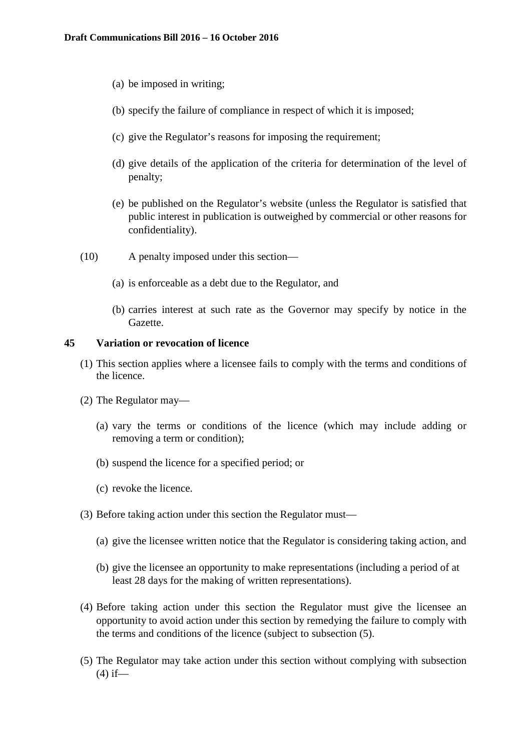- (a) be imposed in writing;
- (b) specify the failure of compliance in respect of which it is imposed;
- (c) give the Regulator's reasons for imposing the requirement;
- (d) give details of the application of the criteria for determination of the level of penalty;
- (e) be published on the Regulator's website (unless the Regulator is satisfied that public interest in publication is outweighed by commercial or other reasons for confidentiality).
- (10) A penalty imposed under this section—
	- (a) is enforceable as a debt due to the Regulator, and
	- (b) carries interest at such rate as the Governor may specify by notice in the Gazette.

## **45 Variation or revocation of licence**

- (1) This section applies where a licensee fails to comply with the terms and conditions of the licence.
- (2) The Regulator may—
	- (a) vary the terms or conditions of the licence (which may include adding or removing a term or condition);
	- (b) suspend the licence for a specified period; or
	- (c) revoke the licence.
- (3) Before taking action under this section the Regulator must—
	- (a) give the licensee written notice that the Regulator is considering taking action, and
	- (b) give the licensee an opportunity to make representations (including a period of at least 28 days for the making of written representations).
- (4) Before taking action under this section the Regulator must give the licensee an opportunity to avoid action under this section by remedying the failure to comply with the terms and conditions of the licence (subject to subsection (5).
- (5) The Regulator may take action under this section without complying with subsection  $(4)$  if—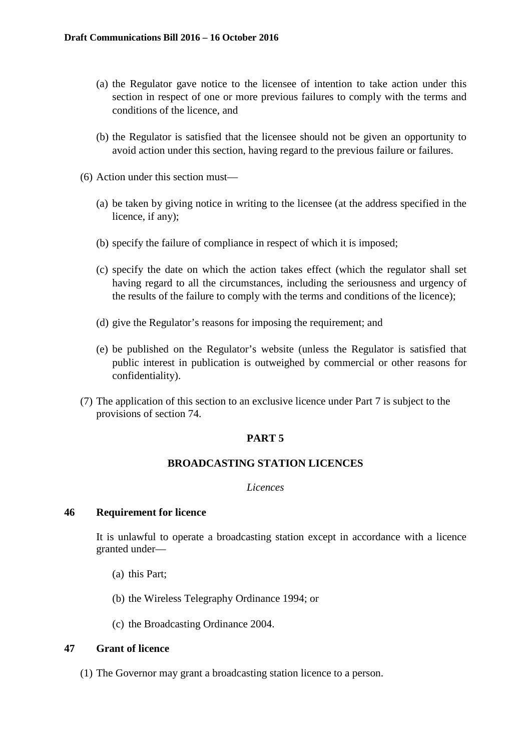- (a) the Regulator gave notice to the licensee of intention to take action under this section in respect of one or more previous failures to comply with the terms and conditions of the licence, and
- (b) the Regulator is satisfied that the licensee should not be given an opportunity to avoid action under this section, having regard to the previous failure or failures.
- (6) Action under this section must—
	- (a) be taken by giving notice in writing to the licensee (at the address specified in the licence, if any);
	- (b) specify the failure of compliance in respect of which it is imposed;
	- (c) specify the date on which the action takes effect (which the regulator shall set having regard to all the circumstances, including the seriousness and urgency of the results of the failure to comply with the terms and conditions of the licence);
	- (d) give the Regulator's reasons for imposing the requirement; and
	- (e) be published on the Regulator's website (unless the Regulator is satisfied that public interest in publication is outweighed by commercial or other reasons for confidentiality).
- (7) The application of this section to an exclusive licence under Part 7 is subject to the provisions of section 74.

#### **PART 5**

### **BROADCASTING STATION LICENCES**

#### *Licences*

### **46 Requirement for licence**

It is unlawful to operate a broadcasting station except in accordance with a licence granted under—

- (a) this Part;
- (b) the Wireless Telegraphy Ordinance 1994; or
- (c) the Broadcasting Ordinance 2004.

# **47 Grant of licence**

(1) The Governor may grant a broadcasting station licence to a person.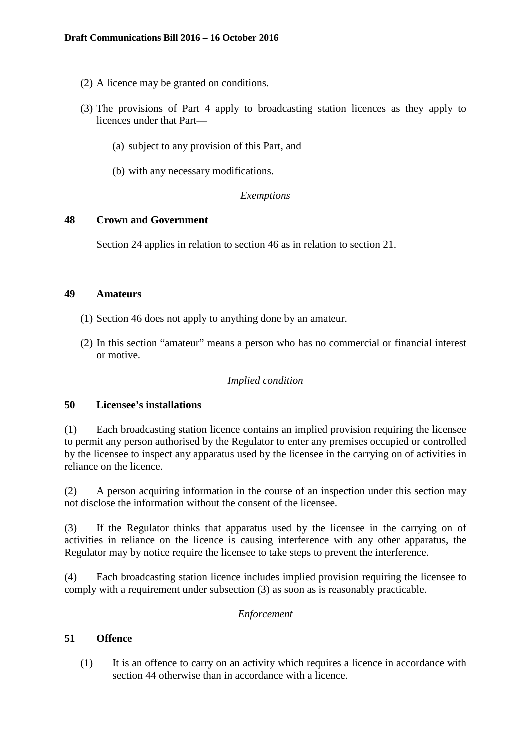- (2) A licence may be granted on conditions.
- (3) The provisions of Part 4 apply to broadcasting station licences as they apply to licences under that Part—
	- (a) subject to any provision of this Part, and
	- (b) with any necessary modifications.

#### *Exemptions*

#### **48 Crown and Government**

Section 24 applies in relation to section 46 as in relation to section 21.

#### **49 Amateurs**

- (1) Section 46 does not apply to anything done by an amateur.
- (2) In this section "amateur" means a person who has no commercial or financial interest or motive.

### *Implied condition*

# **50 Licensee's installations**

(1) Each broadcasting station licence contains an implied provision requiring the licensee to permit any person authorised by the Regulator to enter any premises occupied or controlled by the licensee to inspect any apparatus used by the licensee in the carrying on of activities in reliance on the licence.

(2) A person acquiring information in the course of an inspection under this section may not disclose the information without the consent of the licensee.

(3) If the Regulator thinks that apparatus used by the licensee in the carrying on of activities in reliance on the licence is causing interference with any other apparatus, the Regulator may by notice require the licensee to take steps to prevent the interference.

(4) Each broadcasting station licence includes implied provision requiring the licensee to comply with a requirement under subsection (3) as soon as is reasonably practicable.

#### *Enforcement*

# **51 Offence**

(1) It is an offence to carry on an activity which requires a licence in accordance with section 44 otherwise than in accordance with a licence.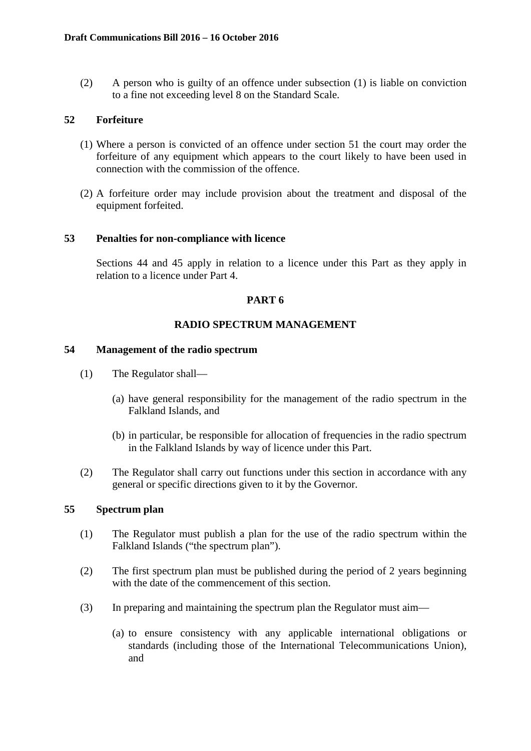(2) A person who is guilty of an offence under subsection (1) is liable on conviction to a fine not exceeding level 8 on the Standard Scale.

# **52 Forfeiture**

- (1) Where a person is convicted of an offence under section 51 the court may order the forfeiture of any equipment which appears to the court likely to have been used in connection with the commission of the offence.
- (2) A forfeiture order may include provision about the treatment and disposal of the equipment forfeited.

## **53 Penalties for non-compliance with licence**

Sections 44 and 45 apply in relation to a licence under this Part as they apply in relation to a licence under Part 4.

# **PART 6**

# **RADIO SPECTRUM MANAGEMENT**

### **54 Management of the radio spectrum**

- (1) The Regulator shall—
	- (a) have general responsibility for the management of the radio spectrum in the Falkland Islands, and
	- (b) in particular, be responsible for allocation of frequencies in the radio spectrum in the Falkland Islands by way of licence under this Part.
- (2) The Regulator shall carry out functions under this section in accordance with any general or specific directions given to it by the Governor.

## **55 Spectrum plan**

- (1) The Regulator must publish a plan for the use of the radio spectrum within the Falkland Islands ("the spectrum plan").
- (2) The first spectrum plan must be published during the period of 2 years beginning with the date of the commencement of this section.
- (3) In preparing and maintaining the spectrum plan the Regulator must aim—
	- (a) to ensure consistency with any applicable international obligations or standards (including those of the International Telecommunications Union), and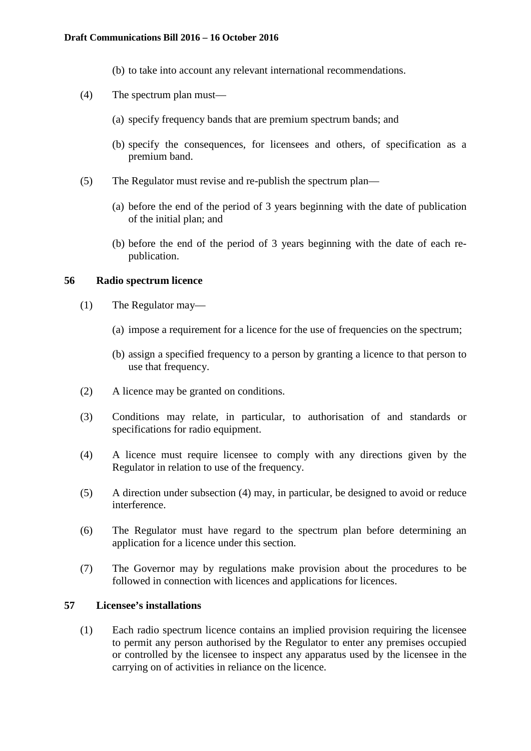#### **Draft Communications Bill 2016 – 16 October 2016**

- (b) to take into account any relevant international recommendations.
- (4) The spectrum plan must—
	- (a) specify frequency bands that are premium spectrum bands; and
	- (b) specify the consequences, for licensees and others, of specification as a premium band.
- (5) The Regulator must revise and re-publish the spectrum plan—
	- (a) before the end of the period of 3 years beginning with the date of publication of the initial plan; and
	- (b) before the end of the period of 3 years beginning with the date of each republication.

# **56 Radio spectrum licence**

- (1) The Regulator may—
	- (a) impose a requirement for a licence for the use of frequencies on the spectrum;
	- (b) assign a specified frequency to a person by granting a licence to that person to use that frequency.
- (2) A licence may be granted on conditions.
- (3) Conditions may relate, in particular, to authorisation of and standards or specifications for radio equipment.
- (4) A licence must require licensee to comply with any directions given by the Regulator in relation to use of the frequency.
- (5) A direction under subsection (4) may, in particular, be designed to avoid or reduce interference.
- (6) The Regulator must have regard to the spectrum plan before determining an application for a licence under this section.
- (7) The Governor may by regulations make provision about the procedures to be followed in connection with licences and applications for licences.

### **57 Licensee's installations**

(1) Each radio spectrum licence contains an implied provision requiring the licensee to permit any person authorised by the Regulator to enter any premises occupied or controlled by the licensee to inspect any apparatus used by the licensee in the carrying on of activities in reliance on the licence.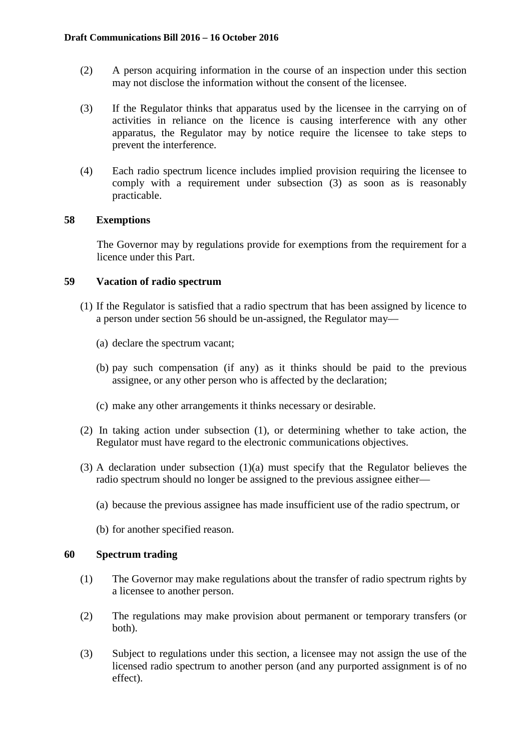- (2) A person acquiring information in the course of an inspection under this section may not disclose the information without the consent of the licensee.
- (3) If the Regulator thinks that apparatus used by the licensee in the carrying on of activities in reliance on the licence is causing interference with any other apparatus, the Regulator may by notice require the licensee to take steps to prevent the interference.
- (4) Each radio spectrum licence includes implied provision requiring the licensee to comply with a requirement under subsection (3) as soon as is reasonably practicable.

# **58 Exemptions**

The Governor may by regulations provide for exemptions from the requirement for a licence under this Part.

## **59 Vacation of radio spectrum**

- (1) If the Regulator is satisfied that a radio spectrum that has been assigned by licence to a person under section 56 should be un-assigned, the Regulator may—
	- (a) declare the spectrum vacant;
	- (b) pay such compensation (if any) as it thinks should be paid to the previous assignee, or any other person who is affected by the declaration;
	- (c) make any other arrangements it thinks necessary or desirable.
- (2) In taking action under subsection (1), or determining whether to take action, the Regulator must have regard to the electronic communications objectives.
- (3) A declaration under subsection (1)(a) must specify that the Regulator believes the radio spectrum should no longer be assigned to the previous assignee either—
	- (a) because the previous assignee has made insufficient use of the radio spectrum, or
	- (b) for another specified reason.

# **60 Spectrum trading**

- (1) The Governor may make regulations about the transfer of radio spectrum rights by a licensee to another person.
- (2) The regulations may make provision about permanent or temporary transfers (or both).
- (3) Subject to regulations under this section, a licensee may not assign the use of the licensed radio spectrum to another person (and any purported assignment is of no effect).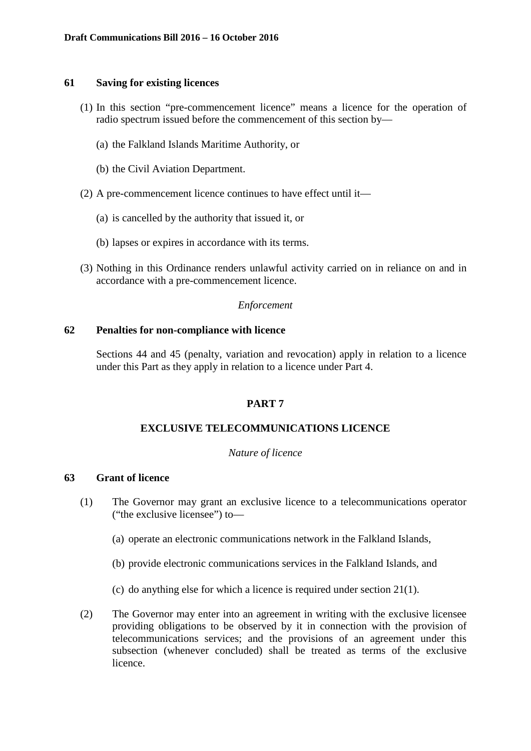## **61 Saving for existing licences**

- (1) In this section "pre-commencement licence" means a licence for the operation of radio spectrum issued before the commencement of this section by—
	- (a) the Falkland Islands Maritime Authority, or
	- (b) the Civil Aviation Department.
- (2) A pre-commencement licence continues to have effect until it—
	- (a) is cancelled by the authority that issued it, or
	- (b) lapses or expires in accordance with its terms.
- (3) Nothing in this Ordinance renders unlawful activity carried on in reliance on and in accordance with a pre-commencement licence.

# *Enforcement*

## **62 Penalties for non-compliance with licence**

Sections 44 and 45 (penalty, variation and revocation) apply in relation to a licence under this Part as they apply in relation to a licence under Part 4.

# **PART 7**

# **EXCLUSIVE TELECOMMUNICATIONS LICENCE**

## *Nature of licence*

## **63 Grant of licence**

- (1) The Governor may grant an exclusive licence to a telecommunications operator ("the exclusive licensee") to—
	- (a) operate an electronic communications network in the Falkland Islands,
	- (b) provide electronic communications services in the Falkland Islands, and
	- (c) do anything else for which a licence is required under section 21(1).
- (2) The Governor may enter into an agreement in writing with the exclusive licensee providing obligations to be observed by it in connection with the provision of telecommunications services; and the provisions of an agreement under this subsection (whenever concluded) shall be treated as terms of the exclusive licence.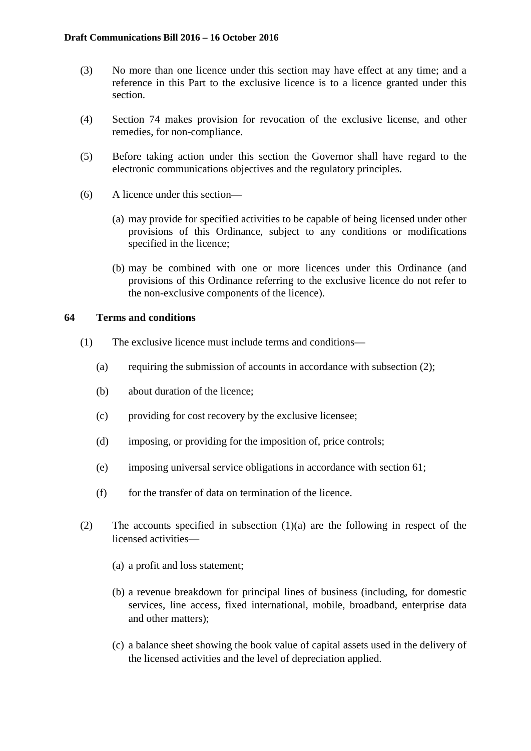- (3) No more than one licence under this section may have effect at any time; and a reference in this Part to the exclusive licence is to a licence granted under this section.
- (4) Section 74 makes provision for revocation of the exclusive license, and other remedies, for non-compliance.
- (5) Before taking action under this section the Governor shall have regard to the electronic communications objectives and the regulatory principles.
- (6) A licence under this section—
	- (a) may provide for specified activities to be capable of being licensed under other provisions of this Ordinance, subject to any conditions or modifications specified in the licence;
	- (b) may be combined with one or more licences under this Ordinance (and provisions of this Ordinance referring to the exclusive licence do not refer to the non-exclusive components of the licence).

## **64 Terms and conditions**

- (1) The exclusive licence must include terms and conditions—
	- (a) requiring the submission of accounts in accordance with subsection (2);
	- (b) about duration of the licence;
	- (c) providing for cost recovery by the exclusive licensee;
	- (d) imposing, or providing for the imposition of, price controls;
	- (e) imposing universal service obligations in accordance with section 61;
	- $(f)$  for the transfer of data on termination of the licence.
- (2) The accounts specified in subsection (1)(a) are the following in respect of the licensed activities—
	- (a) a profit and loss statement;
	- (b) a revenue breakdown for principal lines of business (including, for domestic services, line access, fixed international, mobile, broadband, enterprise data and other matters);
	- (c) a balance sheet showing the book value of capital assets used in the delivery of the licensed activities and the level of depreciation applied.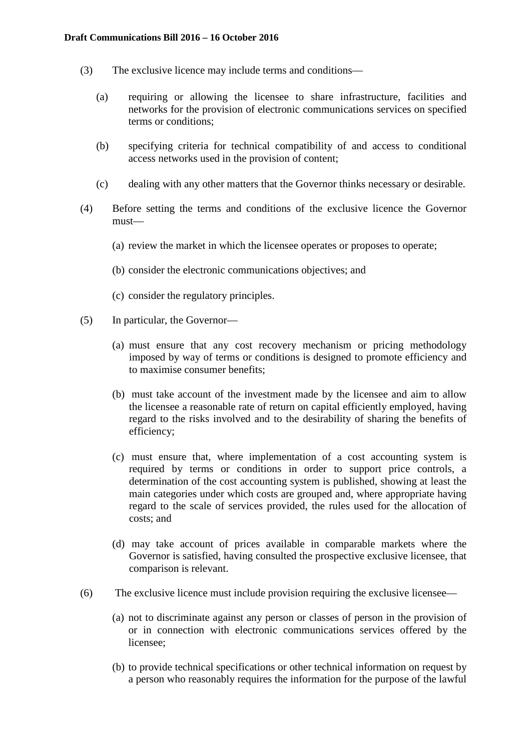- (3) The exclusive licence may include terms and conditions—
	- (a) requiring or allowing the licensee to share infrastructure, facilities and networks for the provision of electronic communications services on specified terms or conditions;
	- (b) specifying criteria for technical compatibility of and access to conditional access networks used in the provision of content;
	- (c) dealing with any other matters that the Governor thinks necessary or desirable.
- (4) Before setting the terms and conditions of the exclusive licence the Governor must—
	- (a) review the market in which the licensee operates or proposes to operate;
	- (b) consider the electronic communications objectives; and
	- (c) consider the regulatory principles.
- (5) In particular, the Governor—
	- (a) must ensure that any cost recovery mechanism or pricing methodology imposed by way of terms or conditions is designed to promote efficiency and to maximise consumer benefits;
	- (b) must take account of the investment made by the licensee and aim to allow the licensee a reasonable rate of return on capital efficiently employed, having regard to the risks involved and to the desirability of sharing the benefits of efficiency;
	- (c) must ensure that, where implementation of a cost accounting system is required by terms or conditions in order to support price controls, a determination of the cost accounting system is published, showing at least the main categories under which costs are grouped and, where appropriate having regard to the scale of services provided, the rules used for the allocation of costs; and
	- (d) may take account of prices available in comparable markets where the Governor is satisfied, having consulted the prospective exclusive licensee, that comparison is relevant.
- (6) The exclusive licence must include provision requiring the exclusive licensee—
	- (a) not to discriminate against any person or classes of person in the provision of or in connection with electronic communications services offered by the licensee;
	- (b) to provide technical specifications or other technical information on request by a person who reasonably requires the information for the purpose of the lawful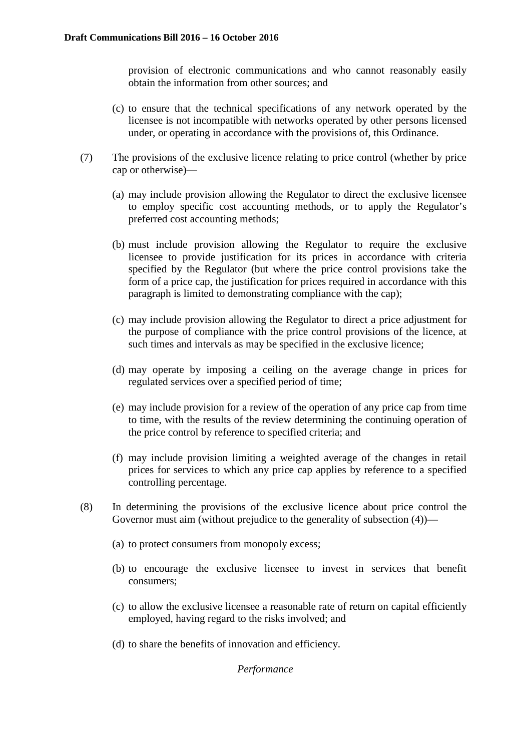provision of electronic communications and who cannot reasonably easily obtain the information from other sources; and

- (c) to ensure that the technical specifications of any network operated by the licensee is not incompatible with networks operated by other persons licensed under, or operating in accordance with the provisions of, this Ordinance.
- (7) The provisions of the exclusive licence relating to price control (whether by price cap or otherwise)—
	- (a) may include provision allowing the Regulator to direct the exclusive licensee to employ specific cost accounting methods, or to apply the Regulator's preferred cost accounting methods;
	- (b) must include provision allowing the Regulator to require the exclusive licensee to provide justification for its prices in accordance with criteria specified by the Regulator (but where the price control provisions take the form of a price cap, the justification for prices required in accordance with this paragraph is limited to demonstrating compliance with the cap);
	- (c) may include provision allowing the Regulator to direct a price adjustment for the purpose of compliance with the price control provisions of the licence, at such times and intervals as may be specified in the exclusive licence;
	- (d) may operate by imposing a ceiling on the average change in prices for regulated services over a specified period of time;
	- (e) may include provision for a review of the operation of any price cap from time to time, with the results of the review determining the continuing operation of the price control by reference to specified criteria; and
	- (f) may include provision limiting a weighted average of the changes in retail prices for services to which any price cap applies by reference to a specified controlling percentage.
- (8) In determining the provisions of the exclusive licence about price control the Governor must aim (without prejudice to the generality of subsection (4))—
	- (a) to protect consumers from monopoly excess;
	- (b) to encourage the exclusive licensee to invest in services that benefit consumers;
	- (c) to allow the exclusive licensee a reasonable rate of return on capital efficiently employed, having regard to the risks involved; and
	- (d) to share the benefits of innovation and efficiency.

*Performance*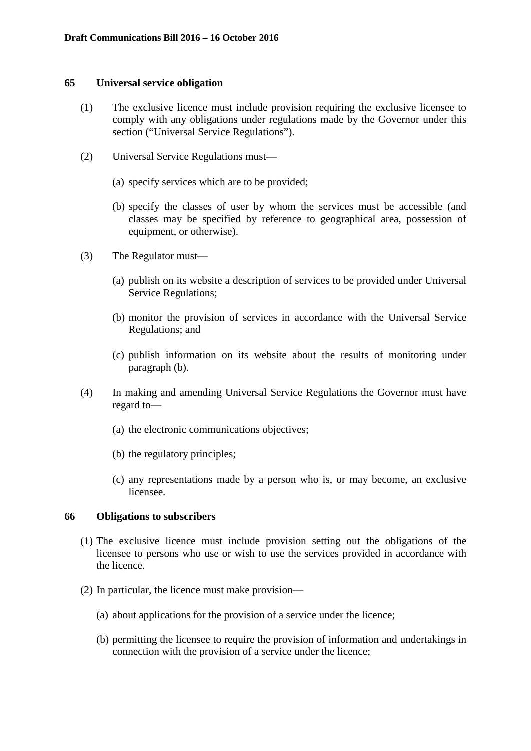#### **65 Universal service obligation**

- (1) The exclusive licence must include provision requiring the exclusive licensee to comply with any obligations under regulations made by the Governor under this section ("Universal Service Regulations").
- (2) Universal Service Regulations must—
	- (a) specify services which are to be provided;
	- (b) specify the classes of user by whom the services must be accessible (and classes may be specified by reference to geographical area, possession of equipment, or otherwise).
- (3) The Regulator must—
	- (a) publish on its website a description of services to be provided under Universal Service Regulations;
	- (b) monitor the provision of services in accordance with the Universal Service Regulations; and
	- (c) publish information on its website about the results of monitoring under paragraph (b).
- (4) In making and amending Universal Service Regulations the Governor must have regard to—
	- (a) the electronic communications objectives;
	- (b) the regulatory principles;
	- (c) any representations made by a person who is, or may become, an exclusive licensee.

#### **66 Obligations to subscribers**

- (1) The exclusive licence must include provision setting out the obligations of the licensee to persons who use or wish to use the services provided in accordance with the licence.
- (2) In particular, the licence must make provision—
	- (a) about applications for the provision of a service under the licence;
	- (b) permitting the licensee to require the provision of information and undertakings in connection with the provision of a service under the licence;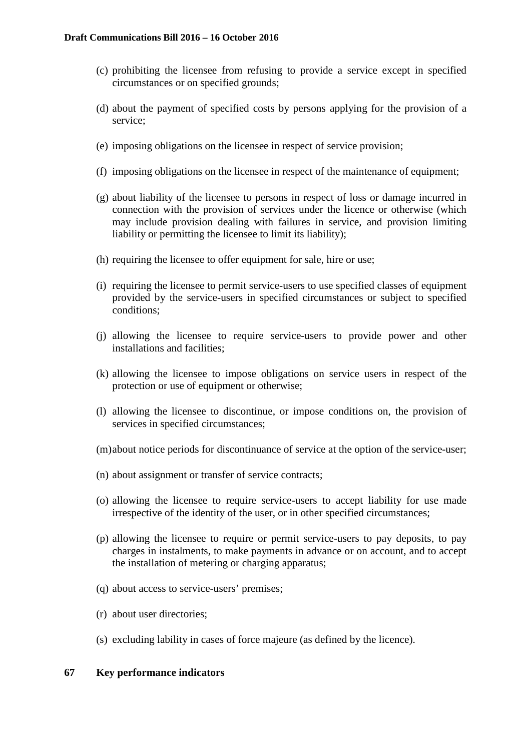- (c) prohibiting the licensee from refusing to provide a service except in specified circumstances or on specified grounds;
- (d) about the payment of specified costs by persons applying for the provision of a service;
- (e) imposing obligations on the licensee in respect of service provision;
- (f) imposing obligations on the licensee in respect of the maintenance of equipment;
- (g) about liability of the licensee to persons in respect of loss or damage incurred in connection with the provision of services under the licence or otherwise (which may include provision dealing with failures in service, and provision limiting liability or permitting the licensee to limit its liability);
- (h) requiring the licensee to offer equipment for sale, hire or use;
- (i) requiring the licensee to permit service-users to use specified classes of equipment provided by the service-users in specified circumstances or subject to specified conditions;
- (j) allowing the licensee to require service-users to provide power and other installations and facilities;
- (k) allowing the licensee to impose obligations on service users in respect of the protection or use of equipment or otherwise;
- (l) allowing the licensee to discontinue, or impose conditions on, the provision of services in specified circumstances;
- (m)about notice periods for discontinuance of service at the option of the service-user;
- (n) about assignment or transfer of service contracts;
- (o) allowing the licensee to require service-users to accept liability for use made irrespective of the identity of the user, or in other specified circumstances;
- (p) allowing the licensee to require or permit service-users to pay deposits, to pay charges in instalments, to make payments in advance or on account, and to accept the installation of metering or charging apparatus;
- (q) about access to service-users' premises;
- (r) about user directories;
- (s) excluding lability in cases of force majeure (as defined by the licence).

## **67 Key performance indicators**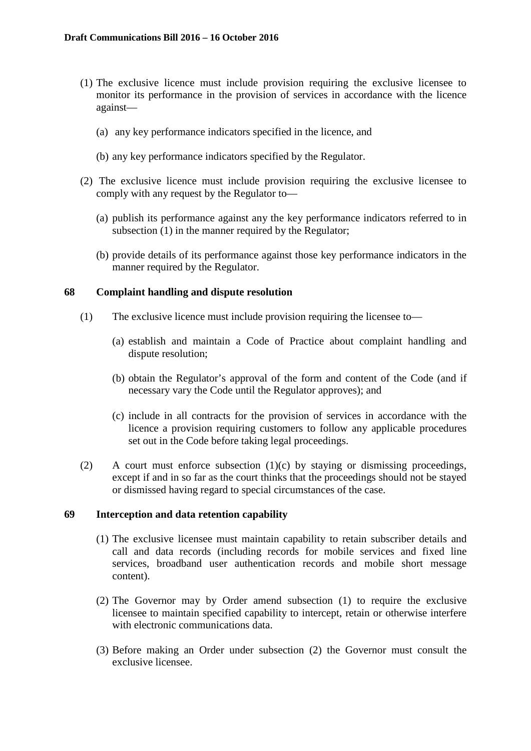- (1) The exclusive licence must include provision requiring the exclusive licensee to monitor its performance in the provision of services in accordance with the licence against—
	- (a) any key performance indicators specified in the licence, and
	- (b) any key performance indicators specified by the Regulator.
- (2) The exclusive licence must include provision requiring the exclusive licensee to comply with any request by the Regulator to—
	- (a) publish its performance against any the key performance indicators referred to in subsection (1) in the manner required by the Regulator;
	- (b) provide details of its performance against those key performance indicators in the manner required by the Regulator.

# **68 Complaint handling and dispute resolution**

- (1) The exclusive licence must include provision requiring the licensee to—
	- (a) establish and maintain a Code of Practice about complaint handling and dispute resolution;
	- (b) obtain the Regulator's approval of the form and content of the Code (and if necessary vary the Code until the Regulator approves); and
	- (c) include in all contracts for the provision of services in accordance with the licence a provision requiring customers to follow any applicable procedures set out in the Code before taking legal proceedings.
- (2) A court must enforce subsection  $(1)(c)$  by staying or dismissing proceedings, except if and in so far as the court thinks that the proceedings should not be stayed or dismissed having regard to special circumstances of the case.

## **69 Interception and data retention capability**

- (1) The exclusive licensee must maintain capability to retain subscriber details and call and data records (including records for mobile services and fixed line services, broadband user authentication records and mobile short message content).
- (2) The Governor may by Order amend subsection (1) to require the exclusive licensee to maintain specified capability to intercept, retain or otherwise interfere with electronic communications data.
- (3) Before making an Order under subsection (2) the Governor must consult the exclusive licensee.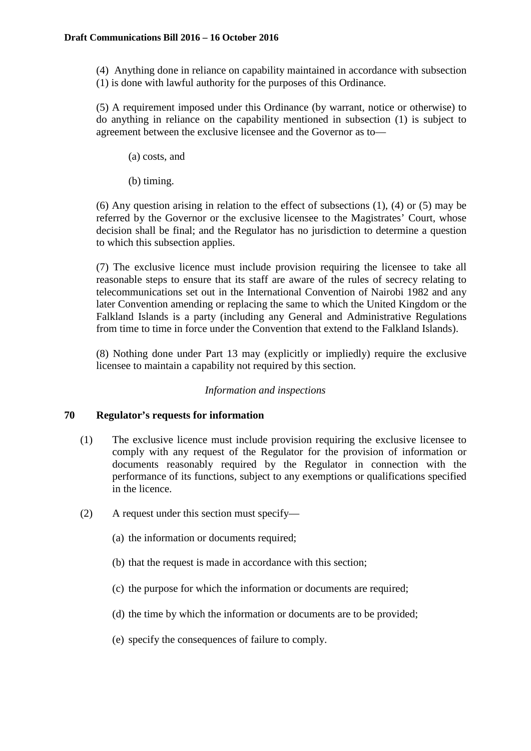(4) Anything done in reliance on capability maintained in accordance with subsection (1) is done with lawful authority for the purposes of this Ordinance.

(5) A requirement imposed under this Ordinance (by warrant, notice or otherwise) to do anything in reliance on the capability mentioned in subsection (1) is subject to agreement between the exclusive licensee and the Governor as to—

- (a) costs, and
- (b) timing.

(6) Any question arising in relation to the effect of subsections (1), (4) or (5) may be referred by the Governor or the exclusive licensee to the Magistrates' Court, whose decision shall be final; and the Regulator has no jurisdiction to determine a question to which this subsection applies.

(7) The exclusive licence must include provision requiring the licensee to take all reasonable steps to ensure that its staff are aware of the rules of secrecy relating to telecommunications set out in the International Convention of Nairobi 1982 and any later Convention amending or replacing the same to which the United Kingdom or the Falkland Islands is a party (including any General and Administrative Regulations from time to time in force under the Convention that extend to the Falkland Islands).

(8) Nothing done under Part 13 may (explicitly or impliedly) require the exclusive licensee to maintain a capability not required by this section.

## *Information and inspections*

## **70 Regulator's requests for information**

- (1) The exclusive licence must include provision requiring the exclusive licensee to comply with any request of the Regulator for the provision of information or documents reasonably required by the Regulator in connection with the performance of its functions, subject to any exemptions or qualifications specified in the licence.
- (2) A request under this section must specify—
	- (a) the information or documents required;
	- (b) that the request is made in accordance with this section;
	- (c) the purpose for which the information or documents are required;
	- (d) the time by which the information or documents are to be provided;
	- (e) specify the consequences of failure to comply.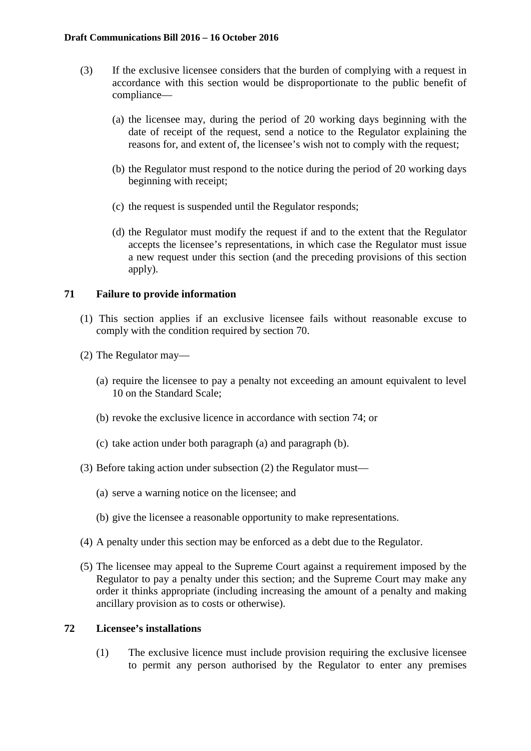- (3) If the exclusive licensee considers that the burden of complying with a request in accordance with this section would be disproportionate to the public benefit of compliance—
	- (a) the licensee may, during the period of 20 working days beginning with the date of receipt of the request, send a notice to the Regulator explaining the reasons for, and extent of, the licensee's wish not to comply with the request;
	- (b) the Regulator must respond to the notice during the period of 20 working days beginning with receipt;
	- (c) the request is suspended until the Regulator responds;
	- (d) the Regulator must modify the request if and to the extent that the Regulator accepts the licensee's representations, in which case the Regulator must issue a new request under this section (and the preceding provisions of this section apply).

# **71 Failure to provide information**

- (1) This section applies if an exclusive licensee fails without reasonable excuse to comply with the condition required by section 70.
- (2) The Regulator may—
	- (a) require the licensee to pay a penalty not exceeding an amount equivalent to level 10 on the Standard Scale;
	- (b) revoke the exclusive licence in accordance with section 74; or
	- (c) take action under both paragraph (a) and paragraph (b).
- (3) Before taking action under subsection (2) the Regulator must—
	- (a) serve a warning notice on the licensee; and
	- (b) give the licensee a reasonable opportunity to make representations.
- (4) A penalty under this section may be enforced as a debt due to the Regulator.
- (5) The licensee may appeal to the Supreme Court against a requirement imposed by the Regulator to pay a penalty under this section; and the Supreme Court may make any order it thinks appropriate (including increasing the amount of a penalty and making ancillary provision as to costs or otherwise).

## **72 Licensee's installations**

(1) The exclusive licence must include provision requiring the exclusive licensee to permit any person authorised by the Regulator to enter any premises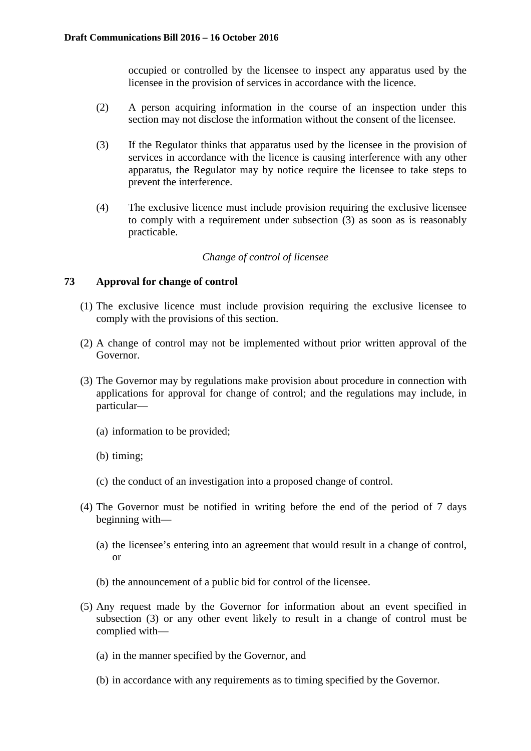occupied or controlled by the licensee to inspect any apparatus used by the licensee in the provision of services in accordance with the licence.

- (2) A person acquiring information in the course of an inspection under this section may not disclose the information without the consent of the licensee.
- (3) If the Regulator thinks that apparatus used by the licensee in the provision of services in accordance with the licence is causing interference with any other apparatus, the Regulator may by notice require the licensee to take steps to prevent the interference.
- (4) The exclusive licence must include provision requiring the exclusive licensee to comply with a requirement under subsection (3) as soon as is reasonably practicable.

# *Change of control of licensee*

# **73 Approval for change of control**

- (1) The exclusive licence must include provision requiring the exclusive licensee to comply with the provisions of this section.
- (2) A change of control may not be implemented without prior written approval of the Governor.
- (3) The Governor may by regulations make provision about procedure in connection with applications for approval for change of control; and the regulations may include, in particular—
	- (a) information to be provided;
	- (b) timing;
	- (c) the conduct of an investigation into a proposed change of control.
- (4) The Governor must be notified in writing before the end of the period of 7 days beginning with—
	- (a) the licensee's entering into an agreement that would result in a change of control, or
	- (b) the announcement of a public bid for control of the licensee.
- (5) Any request made by the Governor for information about an event specified in subsection (3) or any other event likely to result in a change of control must be complied with—
	- (a) in the manner specified by the Governor, and
	- (b) in accordance with any requirements as to timing specified by the Governor.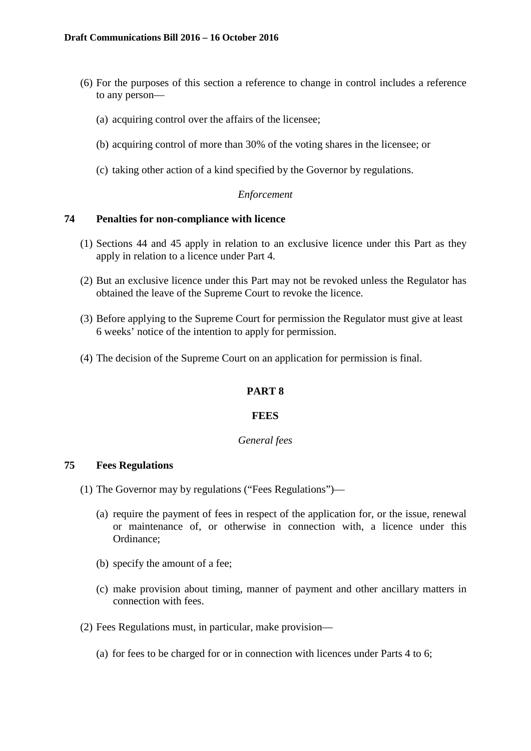- (6) For the purposes of this section a reference to change in control includes a reference to any person—
	- (a) acquiring control over the affairs of the licensee;
	- (b) acquiring control of more than 30% of the voting shares in the licensee; or
	- (c) taking other action of a kind specified by the Governor by regulations.

# *Enforcement*

# **74 Penalties for non-compliance with licence**

- (1) Sections 44 and 45 apply in relation to an exclusive licence under this Part as they apply in relation to a licence under Part 4.
- (2) But an exclusive licence under this Part may not be revoked unless the Regulator has obtained the leave of the Supreme Court to revoke the licence.
- (3) Before applying to the Supreme Court for permission the Regulator must give at least 6 weeks' notice of the intention to apply for permission.
- (4) The decision of the Supreme Court on an application for permission is final.

# **PART 8**

## **FEES**

## *General fees*

# **75 Fees Regulations**

- (1) The Governor may by regulations ("Fees Regulations")—
	- (a) require the payment of fees in respect of the application for, or the issue, renewal or maintenance of, or otherwise in connection with, a licence under this Ordinance;
	- (b) specify the amount of a fee;
	- (c) make provision about timing, manner of payment and other ancillary matters in connection with fees.
- (2) Fees Regulations must, in particular, make provision—
	- (a) for fees to be charged for or in connection with licences under Parts 4 to 6;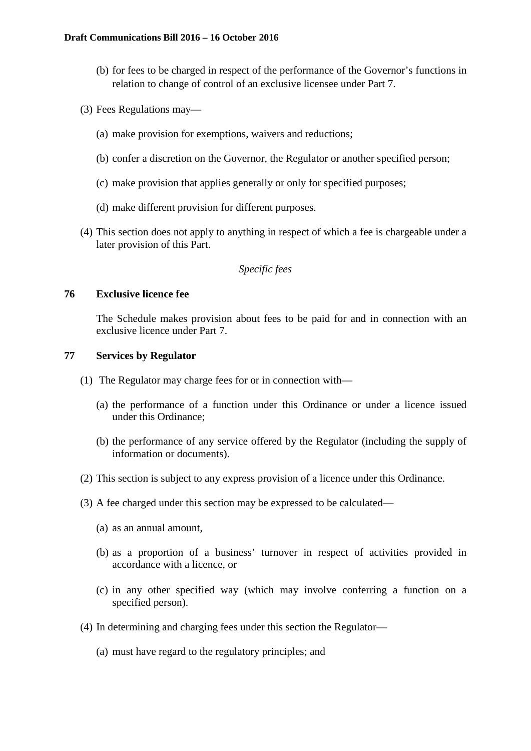- (b) for fees to be charged in respect of the performance of the Governor's functions in relation to change of control of an exclusive licensee under Part 7.
- (3) Fees Regulations may—
	- (a) make provision for exemptions, waivers and reductions;
	- (b) confer a discretion on the Governor, the Regulator or another specified person;
	- (c) make provision that applies generally or only for specified purposes;
	- (d) make different provision for different purposes.
- (4) This section does not apply to anything in respect of which a fee is chargeable under a later provision of this Part.

# *Specific fees*

## **76 Exclusive licence fee**

The Schedule makes provision about fees to be paid for and in connection with an exclusive licence under Part 7.

## **77 Services by Regulator**

- (1) The Regulator may charge fees for or in connection with—
	- (a) the performance of a function under this Ordinance or under a licence issued under this Ordinance;
	- (b) the performance of any service offered by the Regulator (including the supply of information or documents).
- (2) This section is subject to any express provision of a licence under this Ordinance.
- (3) A fee charged under this section may be expressed to be calculated—
	- (a) as an annual amount,
	- (b) as a proportion of a business' turnover in respect of activities provided in accordance with a licence, or
	- (c) in any other specified way (which may involve conferring a function on a specified person).
- (4) In determining and charging fees under this section the Regulator—
	- (a) must have regard to the regulatory principles; and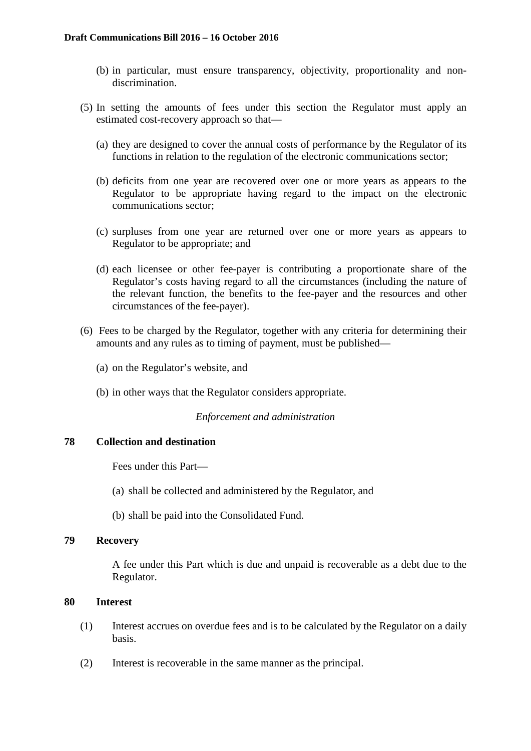- (b) in particular, must ensure transparency, objectivity, proportionality and nondiscrimination.
- (5) In setting the amounts of fees under this section the Regulator must apply an estimated cost-recovery approach so that—
	- (a) they are designed to cover the annual costs of performance by the Regulator of its functions in relation to the regulation of the electronic communications sector;
	- (b) deficits from one year are recovered over one or more years as appears to the Regulator to be appropriate having regard to the impact on the electronic communications sector;
	- (c) surpluses from one year are returned over one or more years as appears to Regulator to be appropriate; and
	- (d) each licensee or other fee-payer is contributing a proportionate share of the Regulator's costs having regard to all the circumstances (including the nature of the relevant function, the benefits to the fee-payer and the resources and other circumstances of the fee-payer).
- (6) Fees to be charged by the Regulator, together with any criteria for determining their amounts and any rules as to timing of payment, must be published—
	- (a) on the Regulator's website, and
	- (b) in other ways that the Regulator considers appropriate.

## *Enforcement and administration*

## **78 Collection and destination**

Fees under this Part—

- (a) shall be collected and administered by the Regulator, and
- (b) shall be paid into the Consolidated Fund.

# **79 Recovery**

A fee under this Part which is due and unpaid is recoverable as a debt due to the Regulator.

## **80 Interest**

- (1) Interest accrues on overdue fees and is to be calculated by the Regulator on a daily basis.
- (2) Interest is recoverable in the same manner as the principal.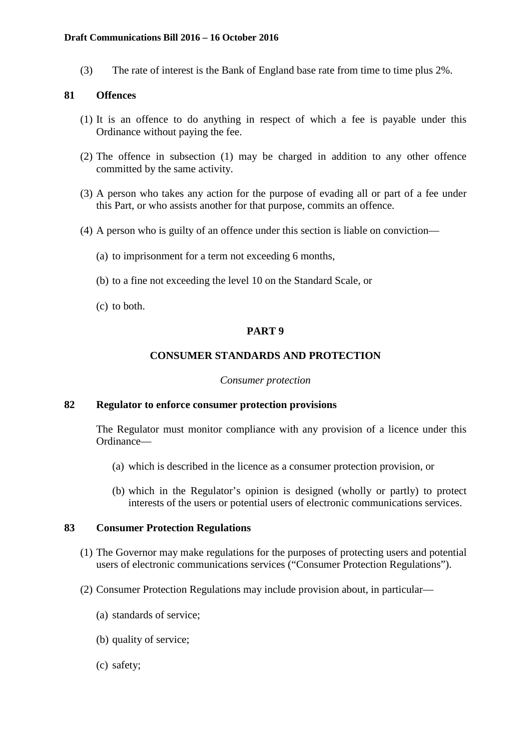#### **Draft Communications Bill 2016 – 16 October 2016**

(3) The rate of interest is the Bank of England base rate from time to time plus 2%.

## **81 Offences**

- (1) It is an offence to do anything in respect of which a fee is payable under this Ordinance without paying the fee.
- (2) The offence in subsection (1) may be charged in addition to any other offence committed by the same activity.
- (3) A person who takes any action for the purpose of evading all or part of a fee under this Part, or who assists another for that purpose, commits an offence.
- (4) A person who is guilty of an offence under this section is liable on conviction—
	- (a) to imprisonment for a term not exceeding 6 months,
	- (b) to a fine not exceeding the level 10 on the Standard Scale, or
	- (c) to both.

## **PART 9**

#### **CONSUMER STANDARDS AND PROTECTION**

#### *Consumer protection*

## **82 Regulator to enforce consumer protection provisions**

The Regulator must monitor compliance with any provision of a licence under this Ordinance—

- (a) which is described in the licence as a consumer protection provision, or
- (b) which in the Regulator's opinion is designed (wholly or partly) to protect interests of the users or potential users of electronic communications services.

## **83 Consumer Protection Regulations**

- (1) The Governor may make regulations for the purposes of protecting users and potential users of electronic communications services ("Consumer Protection Regulations").
- (2) Consumer Protection Regulations may include provision about, in particular—
	- (a) standards of service;
	- (b) quality of service;
	- (c) safety;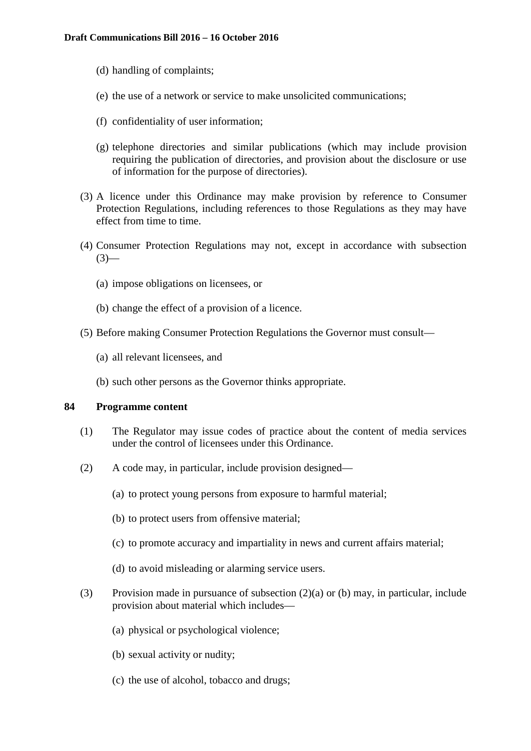- (d) handling of complaints;
- (e) the use of a network or service to make unsolicited communications;
- (f) confidentiality of user information;
- (g) telephone directories and similar publications (which may include provision requiring the publication of directories, and provision about the disclosure or use of information for the purpose of directories).
- (3) A licence under this Ordinance may make provision by reference to Consumer Protection Regulations, including references to those Regulations as they may have effect from time to time.
- (4) Consumer Protection Regulations may not, except in accordance with subsection  $(3)$ —
	- (a) impose obligations on licensees, or
	- (b) change the effect of a provision of a licence.
- (5) Before making Consumer Protection Regulations the Governor must consult—
	- (a) all relevant licensees, and
	- (b) such other persons as the Governor thinks appropriate.

## **84 Programme content**

- (1) The Regulator may issue codes of practice about the content of media services under the control of licensees under this Ordinance.
- (2) A code may, in particular, include provision designed—
	- (a) to protect young persons from exposure to harmful material;
	- (b) to protect users from offensive material;
	- (c) to promote accuracy and impartiality in news and current affairs material;
	- (d) to avoid misleading or alarming service users.
- (3) Provision made in pursuance of subsection  $(2)(a)$  or (b) may, in particular, include provision about material which includes—
	- (a) physical or psychological violence;
	- (b) sexual activity or nudity;
	- (c) the use of alcohol, tobacco and drugs;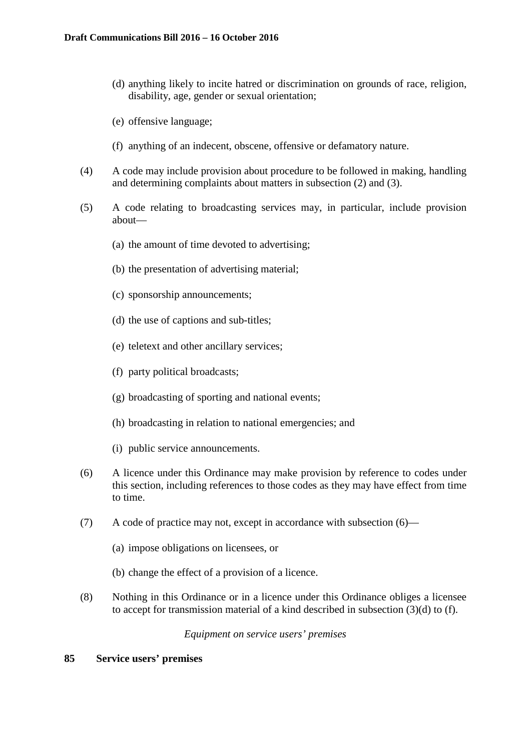- (d) anything likely to incite hatred or discrimination on grounds of race, religion, disability, age, gender or sexual orientation;
- (e) offensive language;
- (f) anything of an indecent, obscene, offensive or defamatory nature.
- (4) A code may include provision about procedure to be followed in making, handling and determining complaints about matters in subsection (2) and (3).
- (5) A code relating to broadcasting services may, in particular, include provision about—
	- (a) the amount of time devoted to advertising;
	- (b) the presentation of advertising material;
	- (c) sponsorship announcements;
	- (d) the use of captions and sub-titles;
	- (e) teletext and other ancillary services;
	- (f) party political broadcasts;
	- (g) broadcasting of sporting and national events;
	- (h) broadcasting in relation to national emergencies; and
	- (i) public service announcements.
- (6) A licence under this Ordinance may make provision by reference to codes under this section, including references to those codes as they may have effect from time to time.
- (7) A code of practice may not, except in accordance with subsection (6)—
	- (a) impose obligations on licensees, or
	- (b) change the effect of a provision of a licence.
- (8) Nothing in this Ordinance or in a licence under this Ordinance obliges a licensee to accept for transmission material of a kind described in subsection (3)(d) to (f).

#### *Equipment on service users' premises*

#### **85 Service users' premises**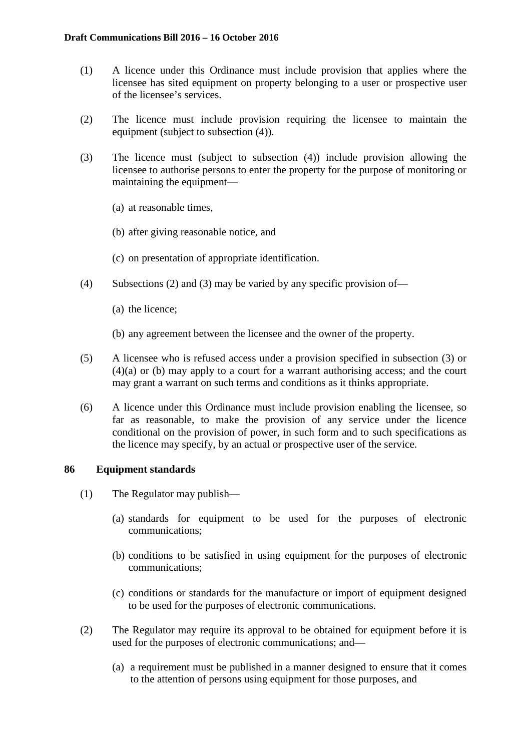- (1) A licence under this Ordinance must include provision that applies where the licensee has sited equipment on property belonging to a user or prospective user of the licensee's services.
- (2) The licence must include provision requiring the licensee to maintain the equipment (subject to subsection (4)).
- (3) The licence must (subject to subsection (4)) include provision allowing the licensee to authorise persons to enter the property for the purpose of monitoring or maintaining the equipment—
	- (a) at reasonable times,
	- (b) after giving reasonable notice, and
	- (c) on presentation of appropriate identification.
- (4) Subsections (2) and (3) may be varied by any specific provision of—
	- (a) the licence;
	- (b) any agreement between the licensee and the owner of the property.
- (5) A licensee who is refused access under a provision specified in subsection (3) or (4)(a) or (b) may apply to a court for a warrant authorising access; and the court may grant a warrant on such terms and conditions as it thinks appropriate.
- (6) A licence under this Ordinance must include provision enabling the licensee, so far as reasonable, to make the provision of any service under the licence conditional on the provision of power, in such form and to such specifications as the licence may specify, by an actual or prospective user of the service.

## **86 Equipment standards**

- (1) The Regulator may publish—
	- (a) standards for equipment to be used for the purposes of electronic communications;
	- (b) conditions to be satisfied in using equipment for the purposes of electronic communications;
	- (c) conditions or standards for the manufacture or import of equipment designed to be used for the purposes of electronic communications.
- (2) The Regulator may require its approval to be obtained for equipment before it is used for the purposes of electronic communications; and—
	- (a) a requirement must be published in a manner designed to ensure that it comes to the attention of persons using equipment for those purposes, and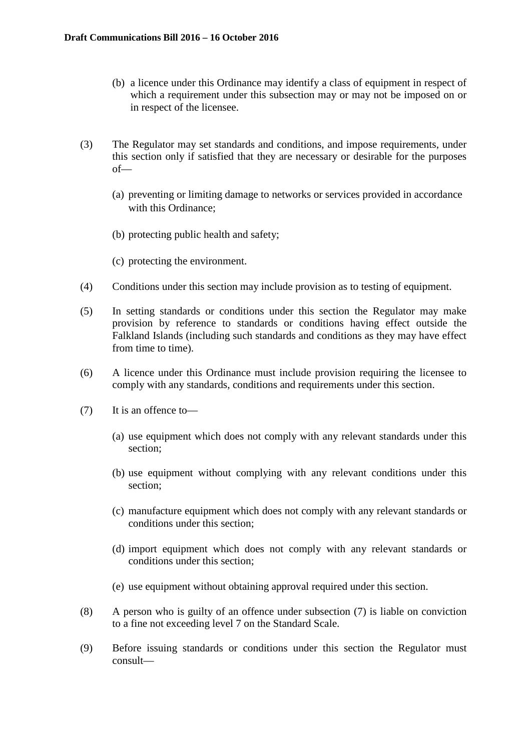- (b) a licence under this Ordinance may identify a class of equipment in respect of which a requirement under this subsection may or may not be imposed on or in respect of the licensee.
- (3) The Regulator may set standards and conditions, and impose requirements, under this section only if satisfied that they are necessary or desirable for the purposes of—
	- (a) preventing or limiting damage to networks or services provided in accordance with this Ordinance;
	- (b) protecting public health and safety;
	- (c) protecting the environment.
- (4) Conditions under this section may include provision as to testing of equipment.
- (5) In setting standards or conditions under this section the Regulator may make provision by reference to standards or conditions having effect outside the Falkland Islands (including such standards and conditions as they may have effect from time to time).
- (6) A licence under this Ordinance must include provision requiring the licensee to comply with any standards, conditions and requirements under this section.
- (7) It is an offence to—
	- (a) use equipment which does not comply with any relevant standards under this section;
	- (b) use equipment without complying with any relevant conditions under this section;
	- (c) manufacture equipment which does not comply with any relevant standards or conditions under this section;
	- (d) import equipment which does not comply with any relevant standards or conditions under this section;
	- (e) use equipment without obtaining approval required under this section.
- (8) A person who is guilty of an offence under subsection (7) is liable on conviction to a fine not exceeding level 7 on the Standard Scale.
- (9) Before issuing standards or conditions under this section the Regulator must consult—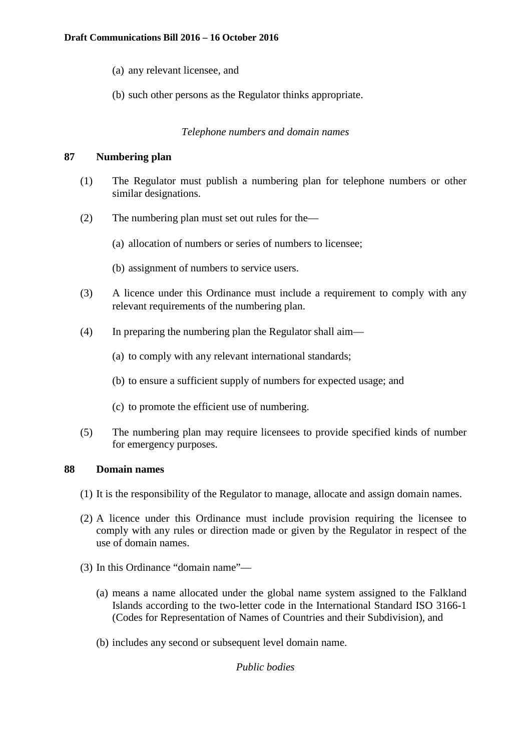- (a) any relevant licensee, and
- (b) such other persons as the Regulator thinks appropriate.

# *Telephone numbers and domain names*

## **87 Numbering plan**

- (1) The Regulator must publish a numbering plan for telephone numbers or other similar designations.
- (2) The numbering plan must set out rules for the—
	- (a) allocation of numbers or series of numbers to licensee;
	- (b) assignment of numbers to service users.
- (3) A licence under this Ordinance must include a requirement to comply with any relevant requirements of the numbering plan.
- (4) In preparing the numbering plan the Regulator shall aim—
	- (a) to comply with any relevant international standards;
	- (b) to ensure a sufficient supply of numbers for expected usage; and
	- (c) to promote the efficient use of numbering.
- (5) The numbering plan may require licensees to provide specified kinds of number for emergency purposes.

## **88 Domain names**

- (1) It is the responsibility of the Regulator to manage, allocate and assign domain names.
- (2) A licence under this Ordinance must include provision requiring the licensee to comply with any rules or direction made or given by the Regulator in respect of the use of domain names.
- (3) In this Ordinance "domain name"—
	- (a) means a name allocated under the global name system assigned to the Falkland Islands according to the two-letter code in the International Standard ISO 3166-1 (Codes for Representation of Names of Countries and their Subdivision), and
	- (b) includes any second or subsequent level domain name.

# *Public bodies*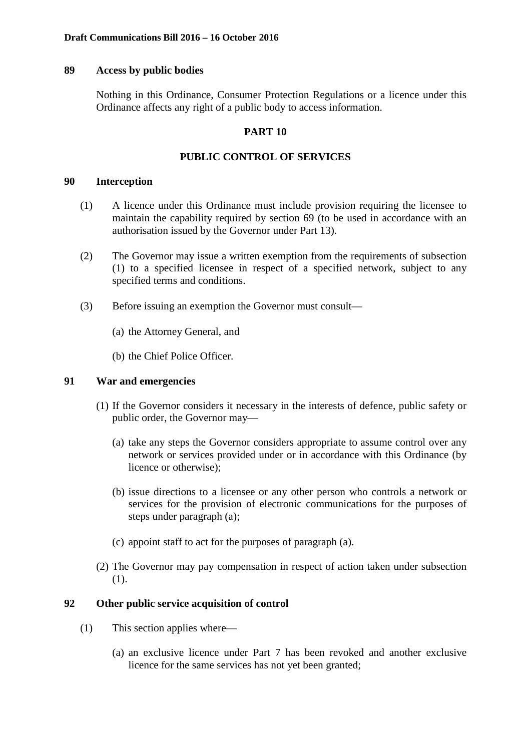## **89 Access by public bodies**

Nothing in this Ordinance, Consumer Protection Regulations or a licence under this Ordinance affects any right of a public body to access information.

# **PART 10**

# **PUBLIC CONTROL OF SERVICES**

## **90 Interception**

- (1) A licence under this Ordinance must include provision requiring the licensee to maintain the capability required by section 69 (to be used in accordance with an authorisation issued by the Governor under Part 13).
- (2) The Governor may issue a written exemption from the requirements of subsection (1) to a specified licensee in respect of a specified network, subject to any specified terms and conditions.
- (3) Before issuing an exemption the Governor must consult—
	- (a) the Attorney General, and
	- (b) the Chief Police Officer.

# **91 War and emergencies**

- (1) If the Governor considers it necessary in the interests of defence, public safety or public order, the Governor may—
	- (a) take any steps the Governor considers appropriate to assume control over any network or services provided under or in accordance with this Ordinance (by licence or otherwise);
	- (b) issue directions to a licensee or any other person who controls a network or services for the provision of electronic communications for the purposes of steps under paragraph (a);
	- (c) appoint staff to act for the purposes of paragraph (a).
- (2) The Governor may pay compensation in respect of action taken under subsection (1).

# **92 Other public service acquisition of control**

- (1) This section applies where—
	- (a) an exclusive licence under Part 7 has been revoked and another exclusive licence for the same services has not yet been granted;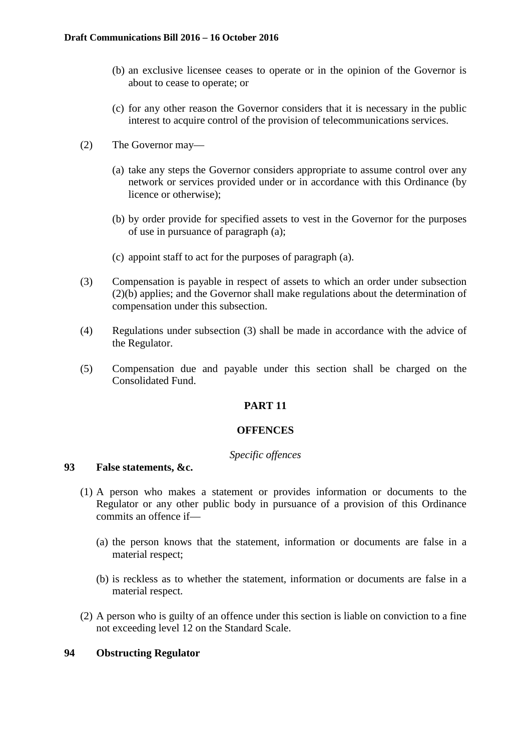- (b) an exclusive licensee ceases to operate or in the opinion of the Governor is about to cease to operate; or
- (c) for any other reason the Governor considers that it is necessary in the public interest to acquire control of the provision of telecommunications services.
- (2) The Governor may—
	- (a) take any steps the Governor considers appropriate to assume control over any network or services provided under or in accordance with this Ordinance (by licence or otherwise);
	- (b) by order provide for specified assets to vest in the Governor for the purposes of use in pursuance of paragraph (a);
	- (c) appoint staff to act for the purposes of paragraph (a).
- (3) Compensation is payable in respect of assets to which an order under subsection (2)(b) applies; and the Governor shall make regulations about the determination of compensation under this subsection.
- (4) Regulations under subsection (3) shall be made in accordance with the advice of the Regulator.
- (5) Compensation due and payable under this section shall be charged on the Consolidated Fund.

# **PART 11**

#### **OFFENCES**

#### *Specific offences*

### **93 False statements, &c.**

- (1) A person who makes a statement or provides information or documents to the Regulator or any other public body in pursuance of a provision of this Ordinance commits an offence if—
	- (a) the person knows that the statement, information or documents are false in a material respect;
	- (b) is reckless as to whether the statement, information or documents are false in a material respect.
- (2) A person who is guilty of an offence under this section is liable on conviction to a fine not exceeding level 12 on the Standard Scale.

## **94 Obstructing Regulator**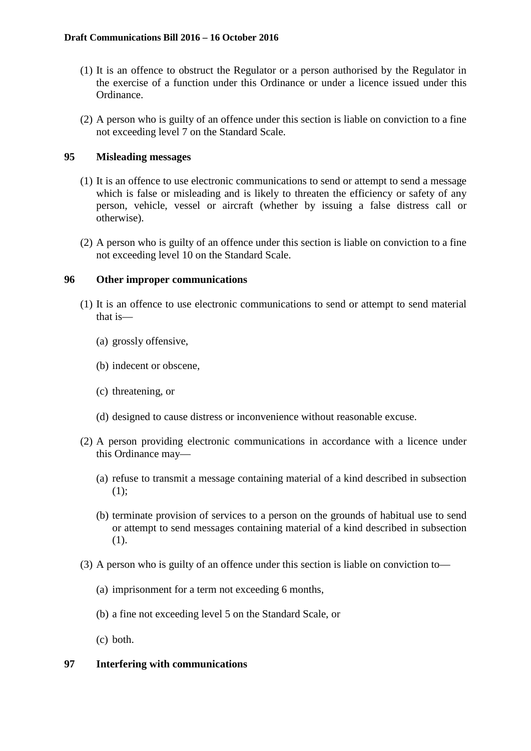- (1) It is an offence to obstruct the Regulator or a person authorised by the Regulator in the exercise of a function under this Ordinance or under a licence issued under this Ordinance.
- (2) A person who is guilty of an offence under this section is liable on conviction to a fine not exceeding level 7 on the Standard Scale.

# **95 Misleading messages**

- (1) It is an offence to use electronic communications to send or attempt to send a message which is false or misleading and is likely to threaten the efficiency or safety of any person, vehicle, vessel or aircraft (whether by issuing a false distress call or otherwise).
- (2) A person who is guilty of an offence under this section is liable on conviction to a fine not exceeding level 10 on the Standard Scale.

# **96 Other improper communications**

- (1) It is an offence to use electronic communications to send or attempt to send material that is—
	- (a) grossly offensive,
	- (b) indecent or obscene,
	- (c) threatening, or
	- (d) designed to cause distress or inconvenience without reasonable excuse.
- (2) A person providing electronic communications in accordance with a licence under this Ordinance may—
	- (a) refuse to transmit a message containing material of a kind described in subsection (1);
	- (b) terminate provision of services to a person on the grounds of habitual use to send or attempt to send messages containing material of a kind described in subsection (1).
- (3) A person who is guilty of an offence under this section is liable on conviction to—
	- (a) imprisonment for a term not exceeding 6 months,
	- (b) a fine not exceeding level 5 on the Standard Scale, or
	- (c) both.

## **97 Interfering with communications**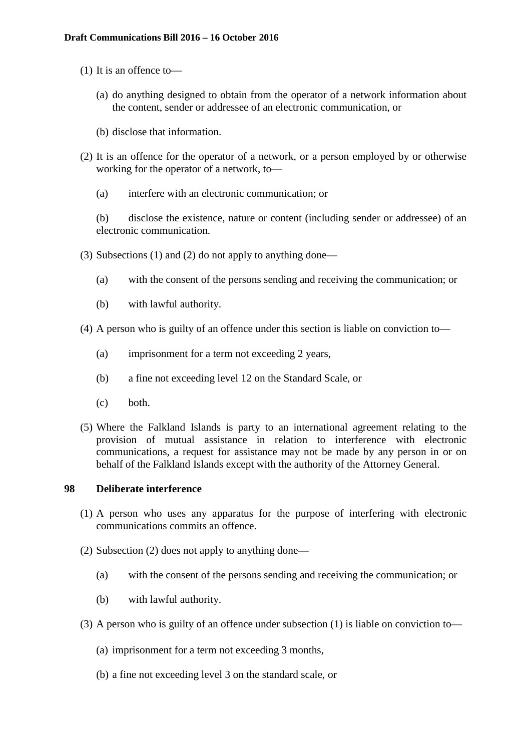- (1) It is an offence to—
	- (a) do anything designed to obtain from the operator of a network information about the content, sender or addressee of an electronic communication, or
	- (b) disclose that information.
- (2) It is an offence for the operator of a network, or a person employed by or otherwise working for the operator of a network, to—
	- (a) interfere with an electronic communication; or

(b) disclose the existence, nature or content (including sender or addressee) of an electronic communication.

- (3) Subsections (1) and (2) do not apply to anything done—
	- (a) with the consent of the persons sending and receiving the communication; or
	- (b) with lawful authority.
- (4) A person who is guilty of an offence under this section is liable on conviction to—
	- (a) imprisonment for a term not exceeding 2 years,
	- (b) a fine not exceeding level 12 on the Standard Scale, or
	- (c) both.
- (5) Where the Falkland Islands is party to an international agreement relating to the provision of mutual assistance in relation to interference with electronic communications, a request for assistance may not be made by any person in or on behalf of the Falkland Islands except with the authority of the Attorney General.

# **98 Deliberate interference**

- (1) A person who uses any apparatus for the purpose of interfering with electronic communications commits an offence.
- (2) Subsection (2) does not apply to anything done—
	- (a) with the consent of the persons sending and receiving the communication; or
	- (b) with lawful authority.
- (3) A person who is guilty of an offence under subsection (1) is liable on conviction to—
	- (a) imprisonment for a term not exceeding 3 months,
	- (b) a fine not exceeding level 3 on the standard scale, or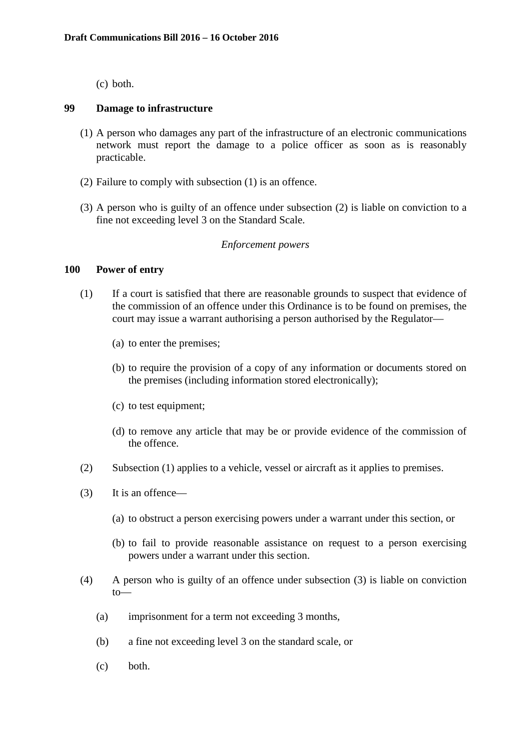(c) both.

#### **99 Damage to infrastructure**

- (1) A person who damages any part of the infrastructure of an electronic communications network must report the damage to a police officer as soon as is reasonably practicable.
- (2) Failure to comply with subsection (1) is an offence.
- (3) A person who is guilty of an offence under subsection (2) is liable on conviction to a fine not exceeding level 3 on the Standard Scale.

#### *Enforcement powers*

### **100 Power of entry**

- (1) If a court is satisfied that there are reasonable grounds to suspect that evidence of the commission of an offence under this Ordinance is to be found on premises, the court may issue a warrant authorising a person authorised by the Regulator—
	- (a) to enter the premises;
	- (b) to require the provision of a copy of any information or documents stored on the premises (including information stored electronically);
	- (c) to test equipment;
	- (d) to remove any article that may be or provide evidence of the commission of the offence.
- (2) Subsection (1) applies to a vehicle, vessel or aircraft as it applies to premises.
- (3) It is an offence—
	- (a) to obstruct a person exercising powers under a warrant under this section, or
	- (b) to fail to provide reasonable assistance on request to a person exercising powers under a warrant under this section.
- (4) A person who is guilty of an offence under subsection (3) is liable on conviction to—
	- (a) imprisonment for a term not exceeding 3 months,
	- (b) a fine not exceeding level 3 on the standard scale, or
	- (c) both.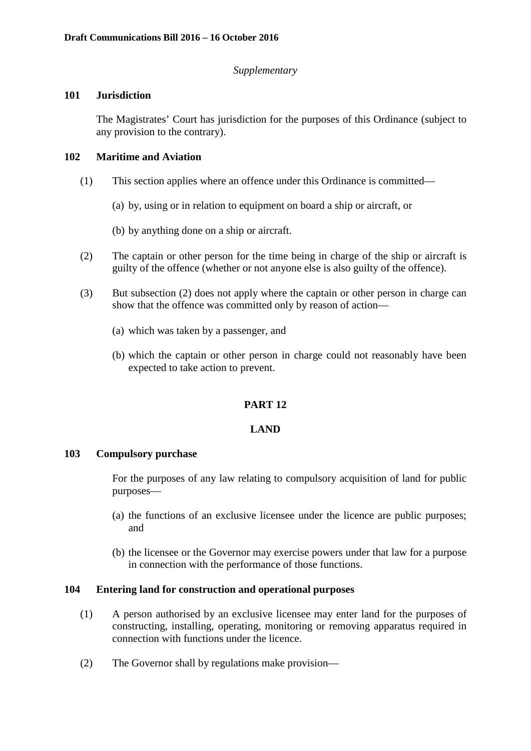# *Supplementary*

# **101 Jurisdiction**

The Magistrates' Court has jurisdiction for the purposes of this Ordinance (subject to any provision to the contrary).

# **102 Maritime and Aviation**

- (1) This section applies where an offence under this Ordinance is committed—
	- (a) by, using or in relation to equipment on board a ship or aircraft, or

(b) by anything done on a ship or aircraft.

- (2) The captain or other person for the time being in charge of the ship or aircraft is guilty of the offence (whether or not anyone else is also guilty of the offence).
- (3) But subsection (2) does not apply where the captain or other person in charge can show that the offence was committed only by reason of action—
	- (a) which was taken by a passenger, and
	- (b) which the captain or other person in charge could not reasonably have been expected to take action to prevent.

# **PART 12**

## **LAND**

## **103 Compulsory purchase**

For the purposes of any law relating to compulsory acquisition of land for public purposes—

- (a) the functions of an exclusive licensee under the licence are public purposes; and
- (b) the licensee or the Governor may exercise powers under that law for a purpose in connection with the performance of those functions.

# **104 Entering land for construction and operational purposes**

- (1) A person authorised by an exclusive licensee may enter land for the purposes of constructing, installing, operating, monitoring or removing apparatus required in connection with functions under the licence.
- (2) The Governor shall by regulations make provision—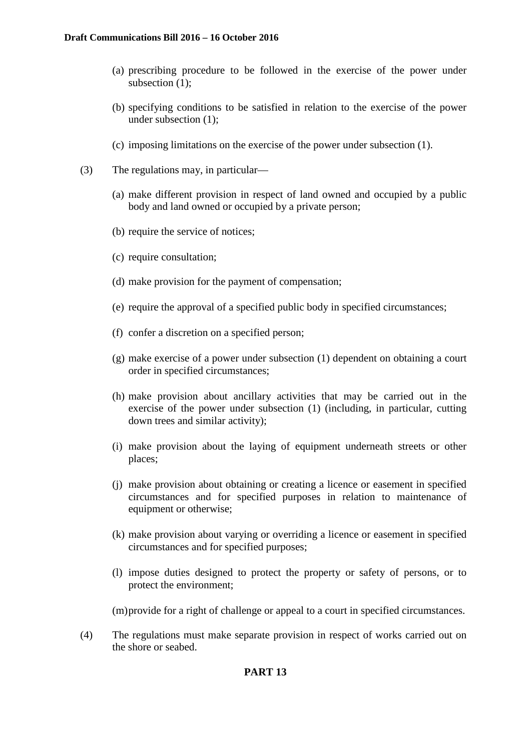- (a) prescribing procedure to be followed in the exercise of the power under subsection (1);
- (b) specifying conditions to be satisfied in relation to the exercise of the power under subsection (1);
- (c) imposing limitations on the exercise of the power under subsection (1).
- (3) The regulations may, in particular—
	- (a) make different provision in respect of land owned and occupied by a public body and land owned or occupied by a private person;
	- (b) require the service of notices;
	- (c) require consultation;
	- (d) make provision for the payment of compensation;
	- (e) require the approval of a specified public body in specified circumstances;
	- (f) confer a discretion on a specified person;
	- (g) make exercise of a power under subsection (1) dependent on obtaining a court order in specified circumstances;
	- (h) make provision about ancillary activities that may be carried out in the exercise of the power under subsection (1) (including, in particular, cutting down trees and similar activity);
	- (i) make provision about the laying of equipment underneath streets or other places;
	- (j) make provision about obtaining or creating a licence or easement in specified circumstances and for specified purposes in relation to maintenance of equipment or otherwise;
	- (k) make provision about varying or overriding a licence or easement in specified circumstances and for specified purposes;
	- (l) impose duties designed to protect the property or safety of persons, or to protect the environment;

(m)provide for a right of challenge or appeal to a court in specified circumstances.

(4) The regulations must make separate provision in respect of works carried out on the shore or seabed.

# **PART 13**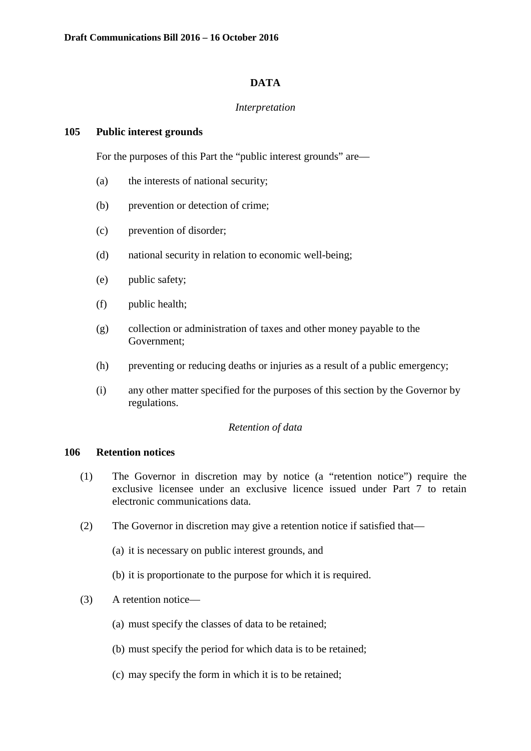## **DATA**

### *Interpretation*

#### **105 Public interest grounds**

For the purposes of this Part the "public interest grounds" are—

- (a) the interests of national security;
- (b) prevention or detection of crime;
- (c) prevention of disorder;
- (d) national security in relation to economic well-being;
- (e) public safety;
- (f) public health;
- (g) collection or administration of taxes and other money payable to the Government;
- (h) preventing or reducing deaths or injuries as a result of a public emergency;
- (i) any other matter specified for the purposes of this section by the Governor by regulations.

#### *Retention of data*

#### **106 Retention notices**

- (1) The Governor in discretion may by notice (a "retention notice") require the exclusive licensee under an exclusive licence issued under Part 7 to retain electronic communications data.
- (2) The Governor in discretion may give a retention notice if satisfied that—
	- (a) it is necessary on public interest grounds, and
	- (b) it is proportionate to the purpose for which it is required.
- (3) A retention notice—
	- (a) must specify the classes of data to be retained;
	- (b) must specify the period for which data is to be retained;
	- (c) may specify the form in which it is to be retained;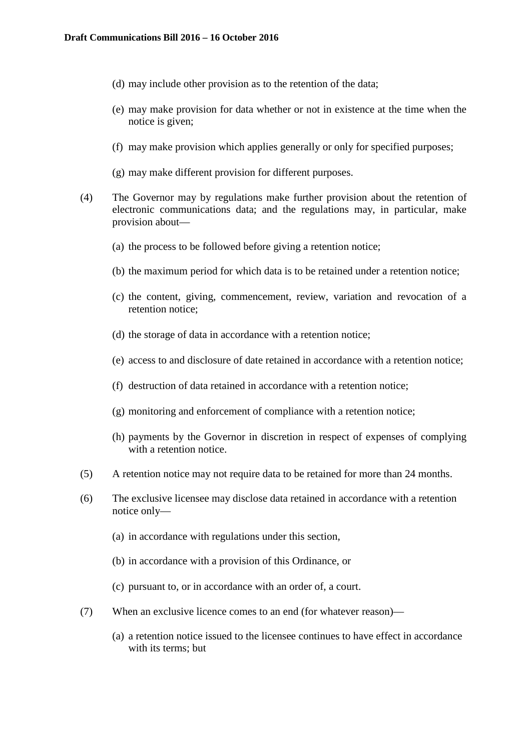- (d) may include other provision as to the retention of the data;
- (e) may make provision for data whether or not in existence at the time when the notice is given;
- (f) may make provision which applies generally or only for specified purposes;
- (g) may make different provision for different purposes.
- (4) The Governor may by regulations make further provision about the retention of electronic communications data; and the regulations may, in particular, make provision about—
	- (a) the process to be followed before giving a retention notice;
	- (b) the maximum period for which data is to be retained under a retention notice;
	- (c) the content, giving, commencement, review, variation and revocation of a retention notice;
	- (d) the storage of data in accordance with a retention notice;
	- (e) access to and disclosure of date retained in accordance with a retention notice;
	- (f) destruction of data retained in accordance with a retention notice;
	- (g) monitoring and enforcement of compliance with a retention notice;
	- (h) payments by the Governor in discretion in respect of expenses of complying with a retention notice.
- (5) A retention notice may not require data to be retained for more than 24 months.
- (6) The exclusive licensee may disclose data retained in accordance with a retention notice only—
	- (a) in accordance with regulations under this section,
	- (b) in accordance with a provision of this Ordinance, or
	- (c) pursuant to, or in accordance with an order of, a court.
- (7) When an exclusive licence comes to an end (for whatever reason)—
	- (a) a retention notice issued to the licensee continues to have effect in accordance with its terms; but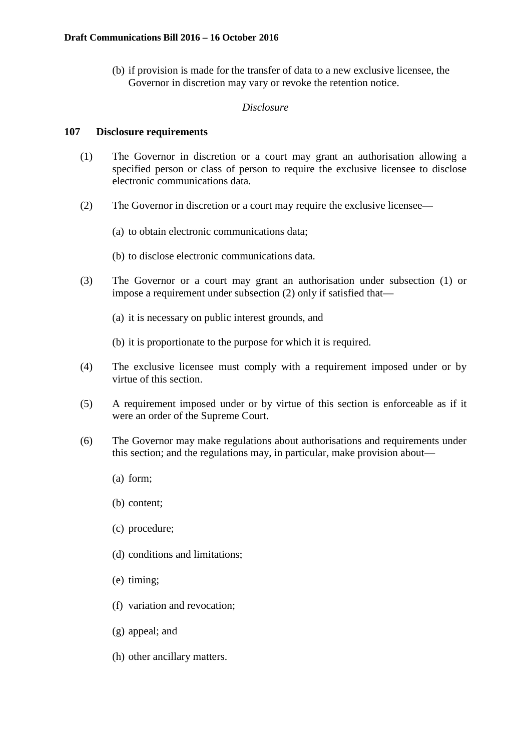(b) if provision is made for the transfer of data to a new exclusive licensee, the Governor in discretion may vary or revoke the retention notice.

# *Disclosure*

## **107 Disclosure requirements**

- (1) The Governor in discretion or a court may grant an authorisation allowing a specified person or class of person to require the exclusive licensee to disclose electronic communications data.
- (2) The Governor in discretion or a court may require the exclusive licensee—
	- (a) to obtain electronic communications data;
	- (b) to disclose electronic communications data.
- (3) The Governor or a court may grant an authorisation under subsection (1) or impose a requirement under subsection (2) only if satisfied that—
	- (a) it is necessary on public interest grounds, and
	- (b) it is proportionate to the purpose for which it is required.
- (4) The exclusive licensee must comply with a requirement imposed under or by virtue of this section.
- (5) A requirement imposed under or by virtue of this section is enforceable as if it were an order of the Supreme Court.
- (6) The Governor may make regulations about authorisations and requirements under this section; and the regulations may, in particular, make provision about—
	- (a) form;
	- (b) content;
	- (c) procedure;
	- (d) conditions and limitations;
	- (e) timing;
	- (f) variation and revocation;
	- (g) appeal; and
	- (h) other ancillary matters.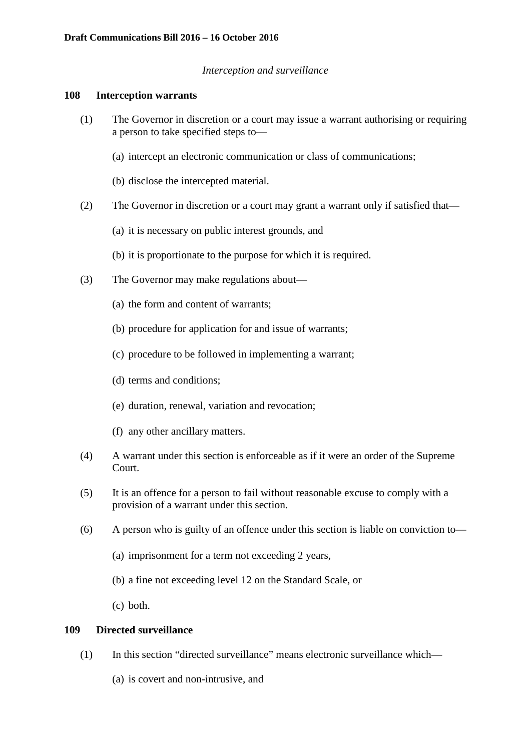## *Interception and surveillance*

#### **108 Interception warrants**

- (1) The Governor in discretion or a court may issue a warrant authorising or requiring a person to take specified steps to—
	- (a) intercept an electronic communication or class of communications;
	- (b) disclose the intercepted material.
- (2) The Governor in discretion or a court may grant a warrant only if satisfied that—
	- (a) it is necessary on public interest grounds, and
	- (b) it is proportionate to the purpose for which it is required.
- (3) The Governor may make regulations about—
	- (a) the form and content of warrants;
	- (b) procedure for application for and issue of warrants;
	- (c) procedure to be followed in implementing a warrant;
	- (d) terms and conditions;
	- (e) duration, renewal, variation and revocation;
	- (f) any other ancillary matters.
- (4) A warrant under this section is enforceable as if it were an order of the Supreme Court.
- (5) It is an offence for a person to fail without reasonable excuse to comply with a provision of a warrant under this section.
- (6) A person who is guilty of an offence under this section is liable on conviction to—
	- (a) imprisonment for a term not exceeding 2 years,
	- (b) a fine not exceeding level 12 on the Standard Scale, or
	- (c) both.

# **109 Directed surveillance**

- (1) In this section "directed surveillance" means electronic surveillance which—
	- (a) is covert and non-intrusive, and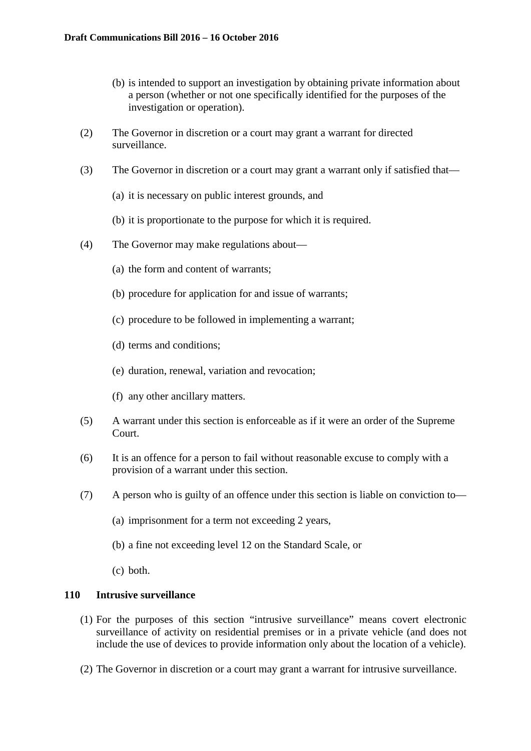- (b) is intended to support an investigation by obtaining private information about a person (whether or not one specifically identified for the purposes of the investigation or operation).
- (2) The Governor in discretion or a court may grant a warrant for directed surveillance.
- (3) The Governor in discretion or a court may grant a warrant only if satisfied that—
	- (a) it is necessary on public interest grounds, and
	- (b) it is proportionate to the purpose for which it is required.
- (4) The Governor may make regulations about—
	- (a) the form and content of warrants;
	- (b) procedure for application for and issue of warrants;
	- (c) procedure to be followed in implementing a warrant;
	- (d) terms and conditions;
	- (e) duration, renewal, variation and revocation;
	- (f) any other ancillary matters.
- (5) A warrant under this section is enforceable as if it were an order of the Supreme Court.
- (6) It is an offence for a person to fail without reasonable excuse to comply with a provision of a warrant under this section.
- (7) A person who is guilty of an offence under this section is liable on conviction to—
	- (a) imprisonment for a term not exceeding 2 years,
	- (b) a fine not exceeding level 12 on the Standard Scale, or
	- (c) both.

## **110 Intrusive surveillance**

- (1) For the purposes of this section "intrusive surveillance" means covert electronic surveillance of activity on residential premises or in a private vehicle (and does not include the use of devices to provide information only about the location of a vehicle).
- (2) The Governor in discretion or a court may grant a warrant for intrusive surveillance.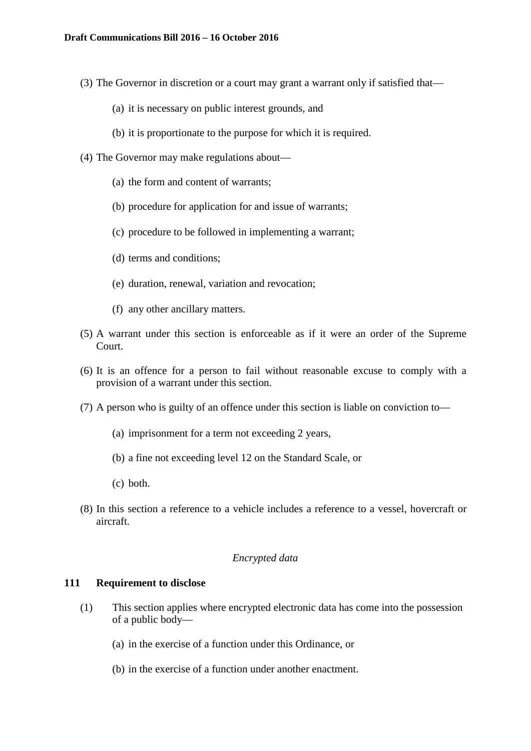- (3) The Governor in discretion or a court may grant a warrant only if satisfied that—
	- (a) it is necessary on public interest grounds, and
	- (b) it is proportionate to the purpose for which it is required.
- (4) The Governor may make regulations about—
	- (a) the form and content of warrants;
	- (b) procedure for application for and issue of warrants;
	- (c) procedure to be followed in implementing a warrant;
	- (d) terms and conditions;
	- (e) duration, renewal, variation and revocation;
	- (f) any other ancillary matters.
- (5) A warrant under this section is enforceable as if it were an order of the Supreme Court.
- (6) It is an offence for a person to fail without reasonable excuse to comply with a provision of a warrant under this section.
- (7) A person who is guilty of an offence under this section is liable on conviction to—
	- (a) imprisonment for a term not exceeding 2 years,
	- (b) a fine not exceeding level 12 on the Standard Scale, or
	- (c) both.
- (8) In this section a reference to a vehicle includes a reference to a vessel, hovercraft or aircraft.

### *Encrypted data*

### **111 Requirement to disclose**

- (1) This section applies where encrypted electronic data has come into the possession of a public body—
	- (a) in the exercise of a function under this Ordinance, or
	- (b) in the exercise of a function under another enactment.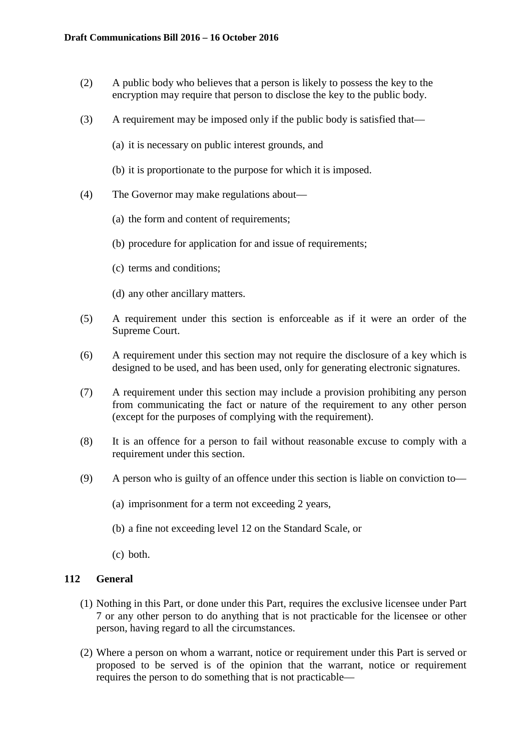- (2) A public body who believes that a person is likely to possess the key to the encryption may require that person to disclose the key to the public body.
- (3) A requirement may be imposed only if the public body is satisfied that—
	- (a) it is necessary on public interest grounds, and
	- (b) it is proportionate to the purpose for which it is imposed.
- (4) The Governor may make regulations about—
	- (a) the form and content of requirements;
	- (b) procedure for application for and issue of requirements;
	- (c) terms and conditions;
	- (d) any other ancillary matters.
- (5) A requirement under this section is enforceable as if it were an order of the Supreme Court.
- (6) A requirement under this section may not require the disclosure of a key which is designed to be used, and has been used, only for generating electronic signatures.
- (7) A requirement under this section may include a provision prohibiting any person from communicating the fact or nature of the requirement to any other person (except for the purposes of complying with the requirement).
- (8) It is an offence for a person to fail without reasonable excuse to comply with a requirement under this section.
- (9) A person who is guilty of an offence under this section is liable on conviction to—
	- (a) imprisonment for a term not exceeding 2 years,
	- (b) a fine not exceeding level 12 on the Standard Scale, or
	- (c) both.

## **112 General**

- (1) Nothing in this Part, or done under this Part, requires the exclusive licensee under Part 7 or any other person to do anything that is not practicable for the licensee or other person, having regard to all the circumstances.
- (2) Where a person on whom a warrant, notice or requirement under this Part is served or proposed to be served is of the opinion that the warrant, notice or requirement requires the person to do something that is not practicable—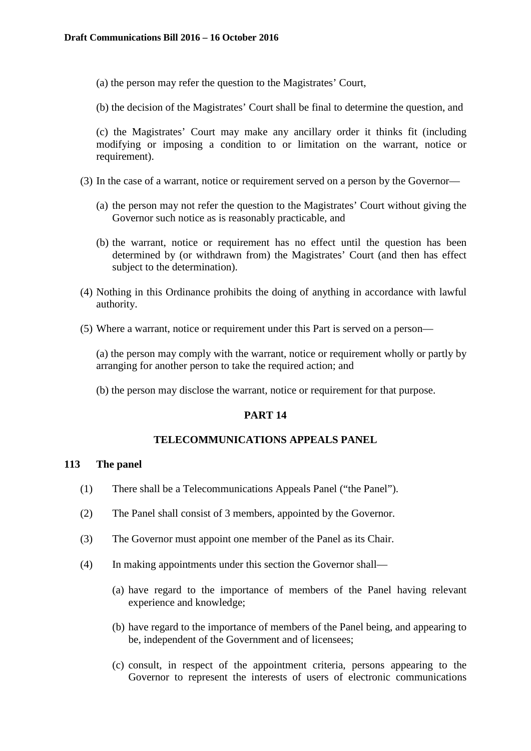- (a) the person may refer the question to the Magistrates' Court,
- (b) the decision of the Magistrates' Court shall be final to determine the question, and

(c) the Magistrates' Court may make any ancillary order it thinks fit (including modifying or imposing a condition to or limitation on the warrant, notice or requirement).

- (3) In the case of a warrant, notice or requirement served on a person by the Governor—
	- (a) the person may not refer the question to the Magistrates' Court without giving the Governor such notice as is reasonably practicable, and
	- (b) the warrant, notice or requirement has no effect until the question has been determined by (or withdrawn from) the Magistrates' Court (and then has effect subject to the determination).
- (4) Nothing in this Ordinance prohibits the doing of anything in accordance with lawful authority.
- (5) Where a warrant, notice or requirement under this Part is served on a person—

(a) the person may comply with the warrant, notice or requirement wholly or partly by arranging for another person to take the required action; and

(b) the person may disclose the warrant, notice or requirement for that purpose.

## **PART 14**

### **TELECOMMUNICATIONS APPEALS PANEL**

## **113 The panel**

- (1) There shall be a Telecommunications Appeals Panel ("the Panel").
- (2) The Panel shall consist of 3 members, appointed by the Governor.
- (3) The Governor must appoint one member of the Panel as its Chair.
- (4) In making appointments under this section the Governor shall—
	- (a) have regard to the importance of members of the Panel having relevant experience and knowledge;
	- (b) have regard to the importance of members of the Panel being, and appearing to be, independent of the Government and of licensees;
	- (c) consult, in respect of the appointment criteria, persons appearing to the Governor to represent the interests of users of electronic communications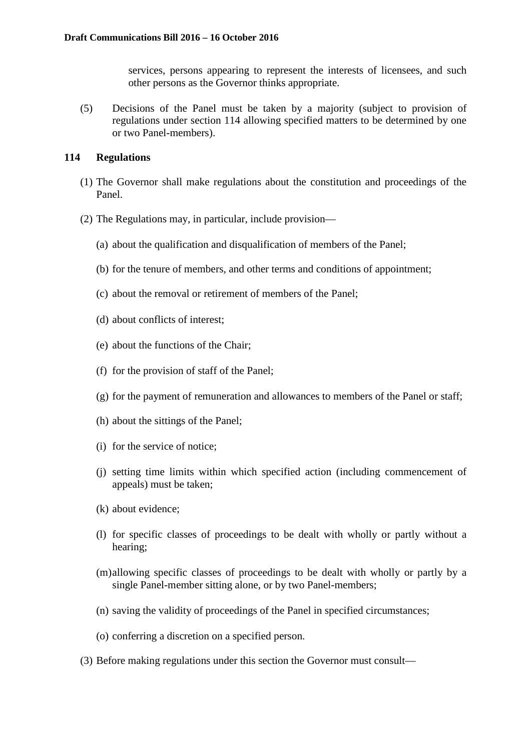services, persons appearing to represent the interests of licensees, and such other persons as the Governor thinks appropriate.

(5) Decisions of the Panel must be taken by a majority (subject to provision of regulations under section 114 allowing specified matters to be determined by one or two Panel-members).

### **114 Regulations**

- (1) The Governor shall make regulations about the constitution and proceedings of the Panel.
- (2) The Regulations may, in particular, include provision—
	- (a) about the qualification and disqualification of members of the Panel;
	- (b) for the tenure of members, and other terms and conditions of appointment;
	- (c) about the removal or retirement of members of the Panel;
	- (d) about conflicts of interest;
	- (e) about the functions of the Chair;
	- (f) for the provision of staff of the Panel;
	- (g) for the payment of remuneration and allowances to members of the Panel or staff;
	- (h) about the sittings of the Panel;
	- (i) for the service of notice;
	- (j) setting time limits within which specified action (including commencement of appeals) must be taken;
	- (k) about evidence;
	- (l) for specific classes of proceedings to be dealt with wholly or partly without a hearing;
	- (m)allowing specific classes of proceedings to be dealt with wholly or partly by a single Panel-member sitting alone, or by two Panel-members;
	- (n) saving the validity of proceedings of the Panel in specified circumstances;
	- (o) conferring a discretion on a specified person.
- (3) Before making regulations under this section the Governor must consult—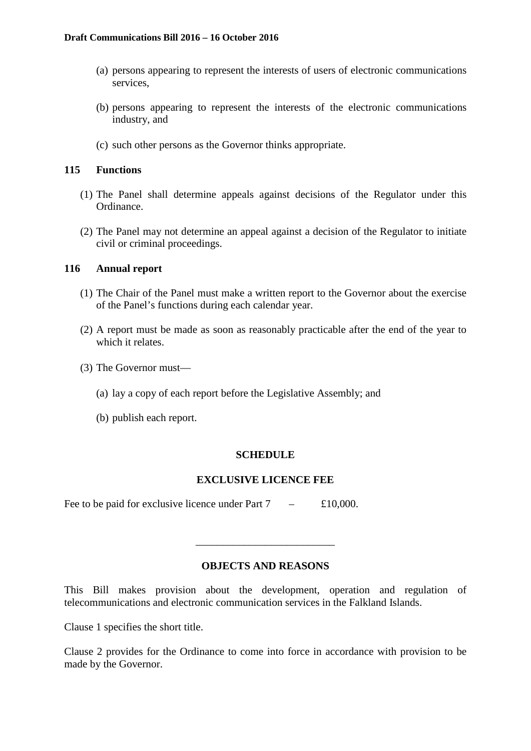- (a) persons appearing to represent the interests of users of electronic communications services,
- (b) persons appearing to represent the interests of the electronic communications industry, and
- (c) such other persons as the Governor thinks appropriate.

## **115 Functions**

- (1) The Panel shall determine appeals against decisions of the Regulator under this Ordinance.
- (2) The Panel may not determine an appeal against a decision of the Regulator to initiate civil or criminal proceedings.

## **116 Annual report**

- (1) The Chair of the Panel must make a written report to the Governor about the exercise of the Panel's functions during each calendar year.
- (2) A report must be made as soon as reasonably practicable after the end of the year to which it relates.
- (3) The Governor must—
	- (a) lay a copy of each report before the Legislative Assembly; and
	- (b) publish each report.

## **SCHEDULE**

## **EXCLUSIVE LICENCE FEE**

Fee to be paid for exclusive licence under Part  $7 - £10,000$ .

## **OBJECTS AND REASONS**

\_\_\_\_\_\_\_\_\_\_\_\_\_\_\_\_\_\_\_\_\_\_\_\_\_\_

This Bill makes provision about the development, operation and regulation of telecommunications and electronic communication services in the Falkland Islands.

Clause 1 specifies the short title.

Clause 2 provides for the Ordinance to come into force in accordance with provision to be made by the Governor.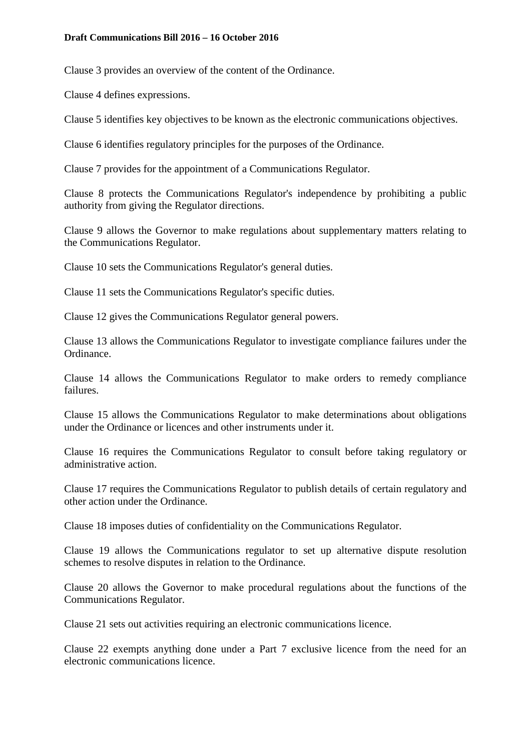Clause 3 provides an overview of the content of the Ordinance.

Clause 4 defines expressions.

Clause 5 identifies key objectives to be known as the electronic communications objectives.

Clause 6 identifies regulatory principles for the purposes of the Ordinance.

Clause 7 provides for the appointment of a Communications Regulator.

Clause 8 protects the Communications Regulator's independence by prohibiting a public authority from giving the Regulator directions.

Clause 9 allows the Governor to make regulations about supplementary matters relating to the Communications Regulator.

Clause 10 sets the Communications Regulator's general duties.

Clause 11 sets the Communications Regulator's specific duties.

Clause 12 gives the Communications Regulator general powers.

Clause 13 allows the Communications Regulator to investigate compliance failures under the Ordinance.

Clause 14 allows the Communications Regulator to make orders to remedy compliance failures.

Clause 15 allows the Communications Regulator to make determinations about obligations under the Ordinance or licences and other instruments under it.

Clause 16 requires the Communications Regulator to consult before taking regulatory or administrative action.

Clause 17 requires the Communications Regulator to publish details of certain regulatory and other action under the Ordinance.

Clause 18 imposes duties of confidentiality on the Communications Regulator.

Clause 19 allows the Communications regulator to set up alternative dispute resolution schemes to resolve disputes in relation to the Ordinance.

Clause 20 allows the Governor to make procedural regulations about the functions of the Communications Regulator.

Clause 21 sets out activities requiring an electronic communications licence.

Clause 22 exempts anything done under a Part 7 exclusive licence from the need for an electronic communications licence.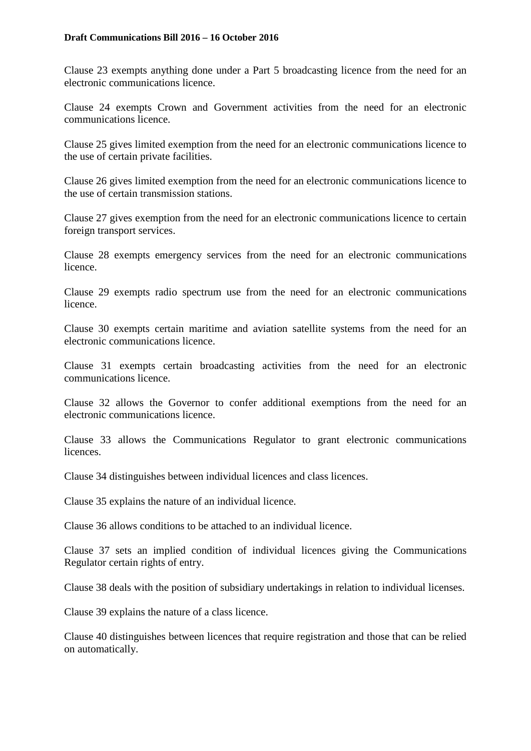Clause 23 exempts anything done under a Part 5 broadcasting licence from the need for an electronic communications licence.

Clause 24 exempts Crown and Government activities from the need for an electronic communications licence.

Clause 25 gives limited exemption from the need for an electronic communications licence to the use of certain private facilities.

Clause 26 gives limited exemption from the need for an electronic communications licence to the use of certain transmission stations.

Clause 27 gives exemption from the need for an electronic communications licence to certain foreign transport services.

Clause 28 exempts emergency services from the need for an electronic communications licence.

Clause 29 exempts radio spectrum use from the need for an electronic communications licence.

Clause 30 exempts certain maritime and aviation satellite systems from the need for an electronic communications licence.

Clause 31 exempts certain broadcasting activities from the need for an electronic communications licence.

Clause 32 allows the Governor to confer additional exemptions from the need for an electronic communications licence.

Clause 33 allows the Communications Regulator to grant electronic communications licences.

Clause 34 distinguishes between individual licences and class licences.

Clause 35 explains the nature of an individual licence.

Clause 36 allows conditions to be attached to an individual licence.

Clause 37 sets an implied condition of individual licences giving the Communications Regulator certain rights of entry.

Clause 38 deals with the position of subsidiary undertakings in relation to individual licenses.

Clause 39 explains the nature of a class licence.

Clause 40 distinguishes between licences that require registration and those that can be relied on automatically.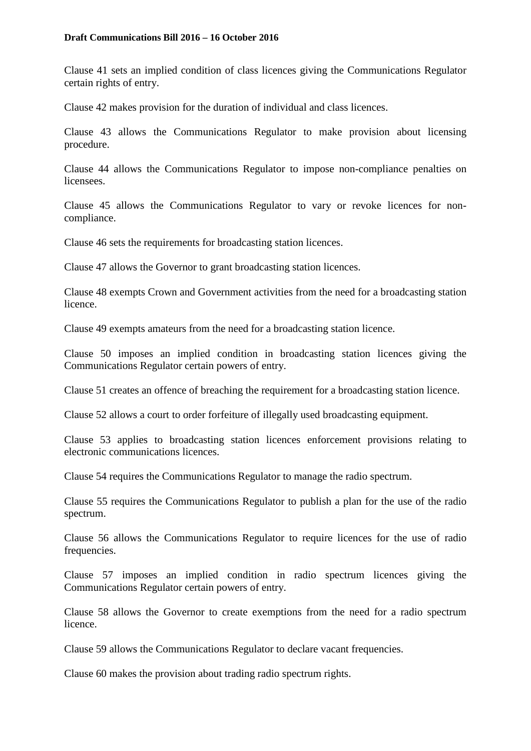Clause 41 sets an implied condition of class licences giving the Communications Regulator certain rights of entry.

Clause 42 makes provision for the duration of individual and class licences.

Clause 43 allows the Communications Regulator to make provision about licensing procedure.

Clause 44 allows the Communications Regulator to impose non-compliance penalties on licensees.

Clause 45 allows the Communications Regulator to vary or revoke licences for noncompliance.

Clause 46 sets the requirements for broadcasting station licences.

Clause 47 allows the Governor to grant broadcasting station licences.

Clause 48 exempts Crown and Government activities from the need for a broadcasting station licence.

Clause 49 exempts amateurs from the need for a broadcasting station licence.

Clause 50 imposes an implied condition in broadcasting station licences giving the Communications Regulator certain powers of entry.

Clause 51 creates an offence of breaching the requirement for a broadcasting station licence.

Clause 52 allows a court to order forfeiture of illegally used broadcasting equipment.

Clause 53 applies to broadcasting station licences enforcement provisions relating to electronic communications licences.

Clause 54 requires the Communications Regulator to manage the radio spectrum.

Clause 55 requires the Communications Regulator to publish a plan for the use of the radio spectrum.

Clause 56 allows the Communications Regulator to require licences for the use of radio frequencies.

Clause 57 imposes an implied condition in radio spectrum licences giving the Communications Regulator certain powers of entry.

Clause 58 allows the Governor to create exemptions from the need for a radio spectrum licence.

Clause 59 allows the Communications Regulator to declare vacant frequencies.

Clause 60 makes the provision about trading radio spectrum rights.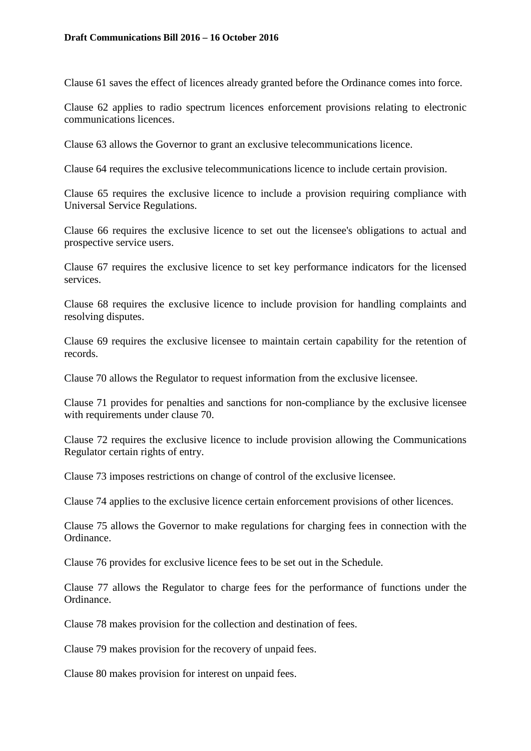Clause 61 saves the effect of licences already granted before the Ordinance comes into force.

Clause 62 applies to radio spectrum licences enforcement provisions relating to electronic communications licences.

Clause 63 allows the Governor to grant an exclusive telecommunications licence.

Clause 64 requires the exclusive telecommunications licence to include certain provision.

Clause 65 requires the exclusive licence to include a provision requiring compliance with Universal Service Regulations.

Clause 66 requires the exclusive licence to set out the licensee's obligations to actual and prospective service users.

Clause 67 requires the exclusive licence to set key performance indicators for the licensed services.

Clause 68 requires the exclusive licence to include provision for handling complaints and resolving disputes.

Clause 69 requires the exclusive licensee to maintain certain capability for the retention of records.

Clause 70 allows the Regulator to request information from the exclusive licensee.

Clause 71 provides for penalties and sanctions for non-compliance by the exclusive licensee with requirements under clause 70.

Clause 72 requires the exclusive licence to include provision allowing the Communications Regulator certain rights of entry.

Clause 73 imposes restrictions on change of control of the exclusive licensee.

Clause 74 applies to the exclusive licence certain enforcement provisions of other licences.

Clause 75 allows the Governor to make regulations for charging fees in connection with the Ordinance.

Clause 76 provides for exclusive licence fees to be set out in the Schedule.

Clause 77 allows the Regulator to charge fees for the performance of functions under the Ordinance.

Clause 78 makes provision for the collection and destination of fees.

Clause 79 makes provision for the recovery of unpaid fees.

Clause 80 makes provision for interest on unpaid fees.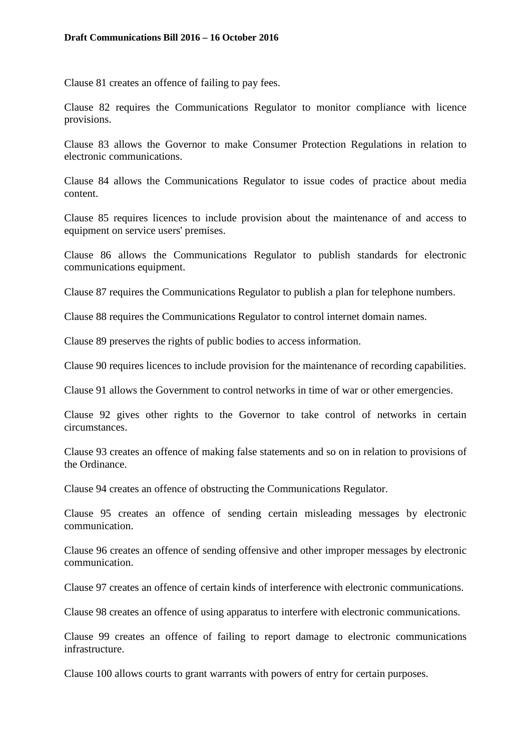Clause 81 creates an offence of failing to pay fees.

Clause 82 requires the Communications Regulator to monitor compliance with licence provisions.

Clause 83 allows the Governor to make Consumer Protection Regulations in relation to electronic communications.

Clause 84 allows the Communications Regulator to issue codes of practice about media content.

Clause 85 requires licences to include provision about the maintenance of and access to equipment on service users' premises.

Clause 86 allows the Communications Regulator to publish standards for electronic communications equipment.

Clause 87 requires the Communications Regulator to publish a plan for telephone numbers.

Clause 88 requires the Communications Regulator to control internet domain names.

Clause 89 preserves the rights of public bodies to access information.

Clause 90 requires licences to include provision for the maintenance of recording capabilities.

Clause 91 allows the Government to control networks in time of war or other emergencies.

Clause 92 gives other rights to the Governor to take control of networks in certain circumstances.

Clause 93 creates an offence of making false statements and so on in relation to provisions of the Ordinance.

Clause 94 creates an offence of obstructing the Communications Regulator.

Clause 95 creates an offence of sending certain misleading messages by electronic communication.

Clause 96 creates an offence of sending offensive and other improper messages by electronic communication.

Clause 97 creates an offence of certain kinds of interference with electronic communications.

Clause 98 creates an offence of using apparatus to interfere with electronic communications.

Clause 99 creates an offence of failing to report damage to electronic communications infrastructure.

Clause 100 allows courts to grant warrants with powers of entry for certain purposes.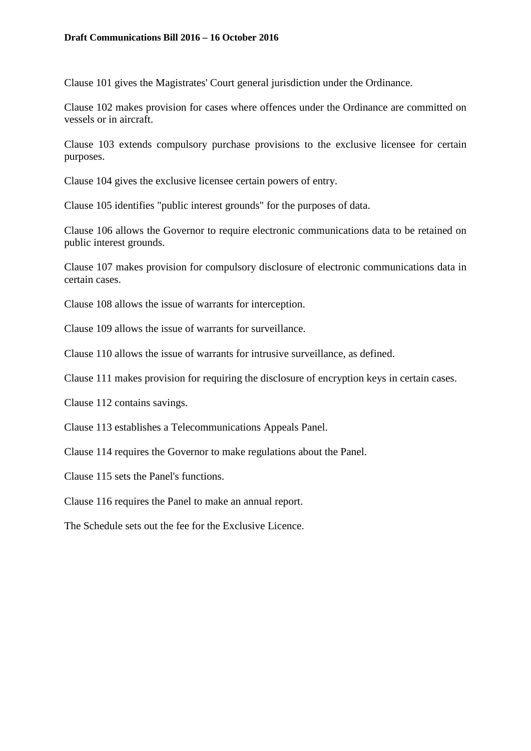Clause 101 gives the Magistrates' Court general jurisdiction under the Ordinance.

Clause 102 makes provision for cases where offences under the Ordinance are committed on vessels or in aircraft.

Clause 103 extends compulsory purchase provisions to the exclusive licensee for certain purposes.

Clause 104 gives the exclusive licensee certain powers of entry.

Clause 105 identifies "public interest grounds" for the purposes of data.

Clause 106 allows the Governor to require electronic communications data to be retained on public interest grounds.

Clause 107 makes provision for compulsory disclosure of electronic communications data in certain cases.

Clause 108 allows the issue of warrants for interception.

Clause 109 allows the issue of warrants for surveillance.

Clause 110 allows the issue of warrants for intrusive surveillance, as defined.

Clause 111 makes provision for requiring the disclosure of encryption keys in certain cases.

Clause 112 contains savings.

Clause 113 establishes a Telecommunications Appeals Panel.

Clause 114 requires the Governor to make regulations about the Panel.

Clause 115 sets the Panel's functions.

Clause 116 requires the Panel to make an annual report.

The Schedule sets out the fee for the Exclusive Licence.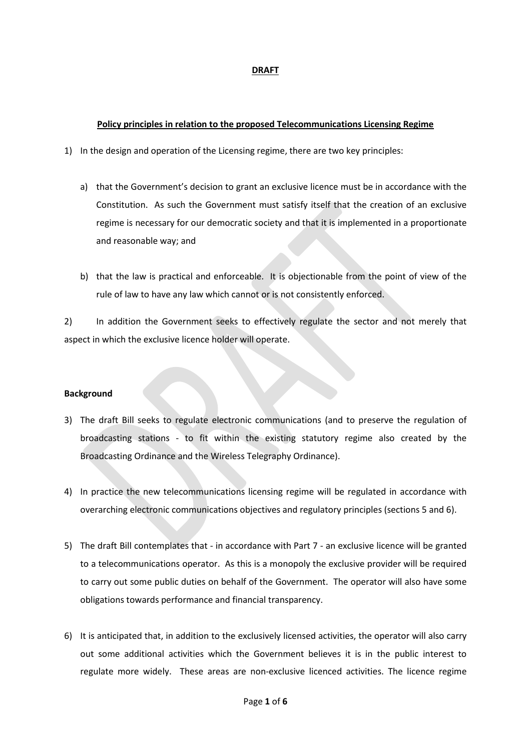#### **DRAFT**

#### **Policy principles in relation to the proposed Telecommunications Licensing Regime**

- 1) In the design and operation of the Licensing regime, there are two key principles:
	- a) that the Government's decision to grant an exclusive licence must be in accordance with the Constitution. As such the Government must satisfy itself that the creation of an exclusive regime is necessary for our democratic society and that it is implemented in a proportionate and reasonable way; and
	- b) that the law is practical and enforceable. It is objectionable from the point of view of the rule of law to have any law which cannot or is not consistently enforced.

2) In addition the Government seeks to effectively regulate the sector and not merely that aspect in which the exclusive licence holder will operate.

#### **Background**

- 3) The draft Bill seeks to regulate electronic communications (and to preserve the regulation of broadcasting stations - to fit within the existing statutory regime also created by the Broadcasting Ordinance and the Wireless Telegraphy Ordinance).
- 4) In practice the new telecommunications licensing regime will be regulated in accordance with overarching electronic communications objectives and regulatory principles (sections 5 and 6).
- 5) The draft Bill contemplates that in accordance with Part 7 an exclusive licence will be granted to a telecommunications operator. As this is a monopoly the exclusive provider will be required to carry out some public duties on behalf of the Government. The operator will also have some obligations towards performance and financial transparency.
- 6) It is anticipated that, in addition to the exclusively licensed activities, the operator will also carry out some additional activities which the Government believes it is in the public interest to regulate more widely. These areas are non-exclusive licenced activities. The licence regime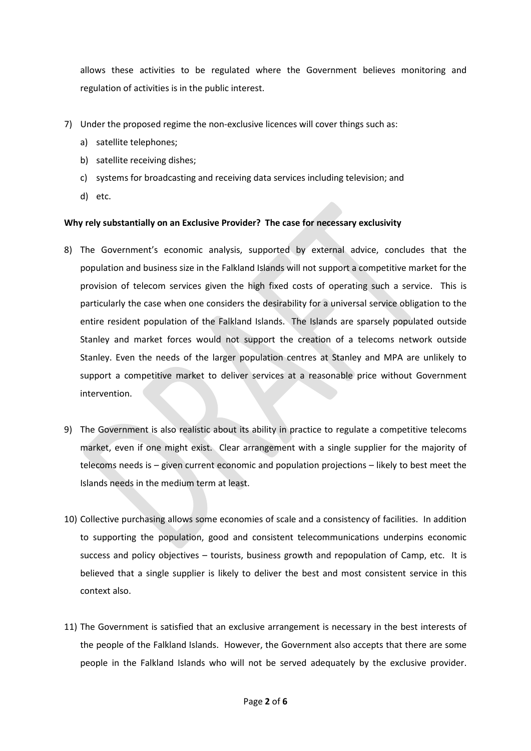allows these activities to be regulated where the Government believes monitoring and regulation of activities is in the public interest.

- 7) Under the proposed regime the non-exclusive licences will cover things such as:
	- a) satellite telephones;
	- b) satellite receiving dishes;
	- c) systems for broadcasting and receiving data services including television; and
	- d) etc.

#### **Why rely substantially on an Exclusive Provider? The case for necessary exclusivity**

- 8) The Government's economic analysis, supported by external advice, concludes that the population and business size in the Falkland Islands will not support a competitive market for the provision of telecom services given the high fixed costs of operating such a service. This is particularly the case when one considers the desirability for a universal service obligation to the entire resident population of the Falkland Islands. The Islands are sparsely populated outside Stanley and market forces would not support the creation of a telecoms network outside Stanley. Even the needs of the larger population centres at Stanley and MPA are unlikely to support a competitive market to deliver services at a reasonable price without Government intervention.
- 9) The Government is also realistic about its ability in practice to regulate a competitive telecoms market, even if one might exist. Clear arrangement with a single supplier for the majority of telecoms needs is – given current economic and population projections – likely to best meet the Islands needs in the medium term at least.
- 10) Collective purchasing allows some economies of scale and a consistency of facilities. In addition to supporting the population, good and consistent telecommunications underpins economic success and policy objectives – tourists, business growth and repopulation of Camp, etc. It is believed that a single supplier is likely to deliver the best and most consistent service in this context also.
- 11) The Government is satisfied that an exclusive arrangement is necessary in the best interests of the people of the Falkland Islands. However, the Government also accepts that there are some people in the Falkland Islands who will not be served adequately by the exclusive provider.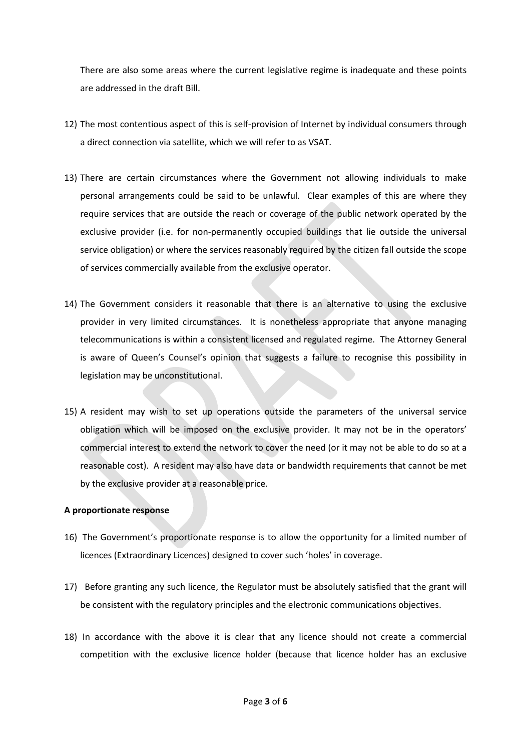There are also some areas where the current legislative regime is inadequate and these points are addressed in the draft Bill.

- 12) The most contentious aspect of this is self-provision of Internet by individual consumers through a direct connection via satellite, which we will refer to as VSAT.
- 13) There are certain circumstances where the Government not allowing individuals to make personal arrangements could be said to be unlawful. Clear examples of this are where they require services that are outside the reach or coverage of the public network operated by the exclusive provider (i.e. for non-permanently occupied buildings that lie outside the universal service obligation) or where the services reasonably required by the citizen fall outside the scope of services commercially available from the exclusive operator.
- 14) The Government considers it reasonable that there is an alternative to using the exclusive provider in very limited circumstances. It is nonetheless appropriate that anyone managing telecommunications is within a consistent licensed and regulated regime. The Attorney General is aware of Queen's Counsel's opinion that suggests a failure to recognise this possibility in legislation may be unconstitutional.
- 15) A resident may wish to set up operations outside the parameters of the universal service obligation which will be imposed on the exclusive provider. It may not be in the operators' commercial interest to extend the network to cover the need (or it may not be able to do so at a reasonable cost). A resident may also have data or bandwidth requirements that cannot be met by the exclusive provider at a reasonable price.

#### **A proportionate response**

- 16) The Government's proportionate response is to allow the opportunity for a limited number of licences (Extraordinary Licences) designed to cover such 'holes' in coverage.
- 17) Before granting any such licence, the Regulator must be absolutely satisfied that the grant will be consistent with the regulatory principles and the electronic communications objectives.
- 18) In accordance with the above it is clear that any licence should not create a commercial competition with the exclusive licence holder (because that licence holder has an exclusive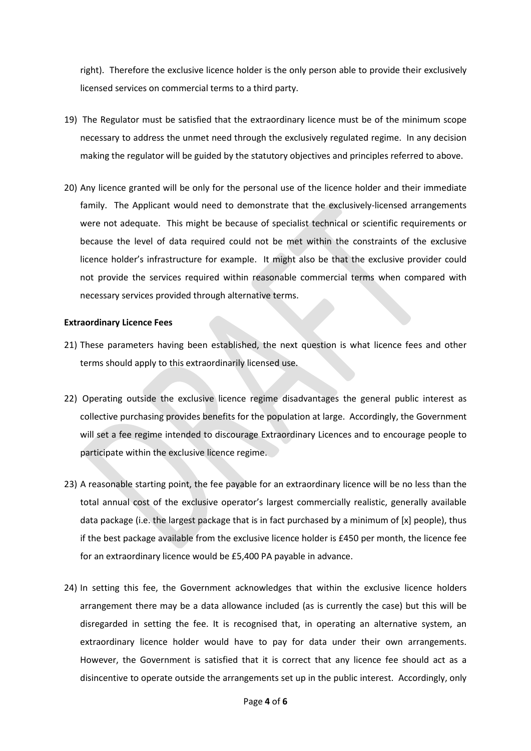right). Therefore the exclusive licence holder is the only person able to provide their exclusively licensed services on commercial terms to a third party.

- 19) The Regulator must be satisfied that the extraordinary licence must be of the minimum scope necessary to address the unmet need through the exclusively regulated regime. In any decision making the regulator will be guided by the statutory objectives and principles referred to above.
- 20) Any licence granted will be only for the personal use of the licence holder and their immediate family. The Applicant would need to demonstrate that the exclusively-licensed arrangements were not adequate. This might be because of specialist technical or scientific requirements or because the level of data required could not be met within the constraints of the exclusive licence holder's infrastructure for example. It might also be that the exclusive provider could not provide the services required within reasonable commercial terms when compared with necessary services provided through alternative terms.

#### **Extraordinary Licence Fees**

- 21) These parameters having been established, the next question is what licence fees and other terms should apply to this extraordinarily licensed use.
- 22) Operating outside the exclusive licence regime disadvantages the general public interest as collective purchasing provides benefits for the population at large. Accordingly, the Government will set a fee regime intended to discourage Extraordinary Licences and to encourage people to participate within the exclusive licence regime.
- 23) A reasonable starting point, the fee payable for an extraordinary licence will be no less than the total annual cost of the exclusive operator's largest commercially realistic, generally available data package (i.e. the largest package that is in fact purchased by a minimum of [x] people), thus if the best package available from the exclusive licence holder is £450 per month, the licence fee for an extraordinary licence would be £5,400 PA payable in advance.
- 24) In setting this fee, the Government acknowledges that within the exclusive licence holders arrangement there may be a data allowance included (as is currently the case) but this will be disregarded in setting the fee. It is recognised that, in operating an alternative system, an extraordinary licence holder would have to pay for data under their own arrangements. However, the Government is satisfied that it is correct that any licence fee should act as a disincentive to operate outside the arrangements set up in the public interest. Accordingly, only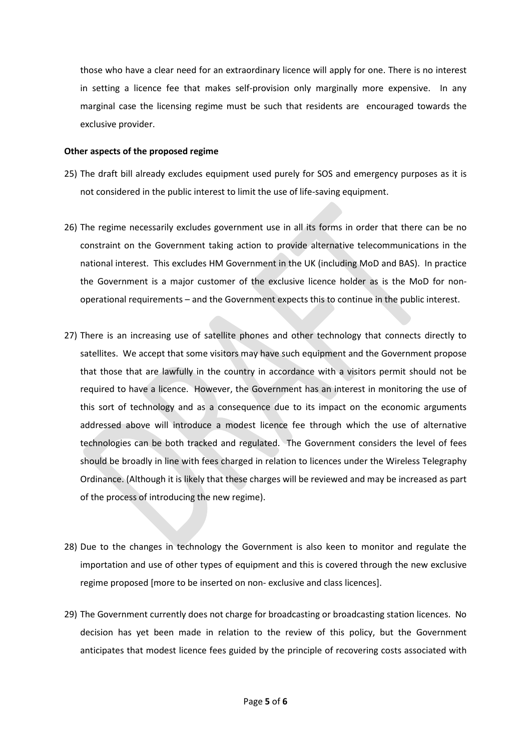those who have a clear need for an extraordinary licence will apply for one. There is no interest in setting a licence fee that makes self-provision only marginally more expensive. In any marginal case the licensing regime must be such that residents are encouraged towards the exclusive provider.

#### **Other aspects of the proposed regime**

- 25) The draft bill already excludes equipment used purely for SOS and emergency purposes as it is not considered in the public interest to limit the use of life-saving equipment.
- 26) The regime necessarily excludes government use in all its forms in order that there can be no constraint on the Government taking action to provide alternative telecommunications in the national interest. This excludes HM Government in the UK (including MoD and BAS). In practice the Government is a major customer of the exclusive licence holder as is the MoD for nonoperational requirements – and the Government expects this to continue in the public interest.
- 27) There is an increasing use of satellite phones and other technology that connects directly to satellites. We accept that some visitors may have such equipment and the Government propose that those that are lawfully in the country in accordance with a visitors permit should not be required to have a licence. However, the Government has an interest in monitoring the use of this sort of technology and as a consequence due to its impact on the economic arguments addressed above will introduce a modest licence fee through which the use of alternative technologies can be both tracked and regulated. The Government considers the level of fees should be broadly in line with fees charged in relation to licences under the Wireless Telegraphy Ordinance. (Although it is likely that these charges will be reviewed and may be increased as part of the process of introducing the new regime).
- 28) Due to the changes in technology the Government is also keen to monitor and regulate the importation and use of other types of equipment and this is covered through the new exclusive regime proposed [more to be inserted on non- exclusive and class licences].
- 29) The Government currently does not charge for broadcasting or broadcasting station licences. No decision has yet been made in relation to the review of this policy, but the Government anticipates that modest licence fees guided by the principle of recovering costs associated with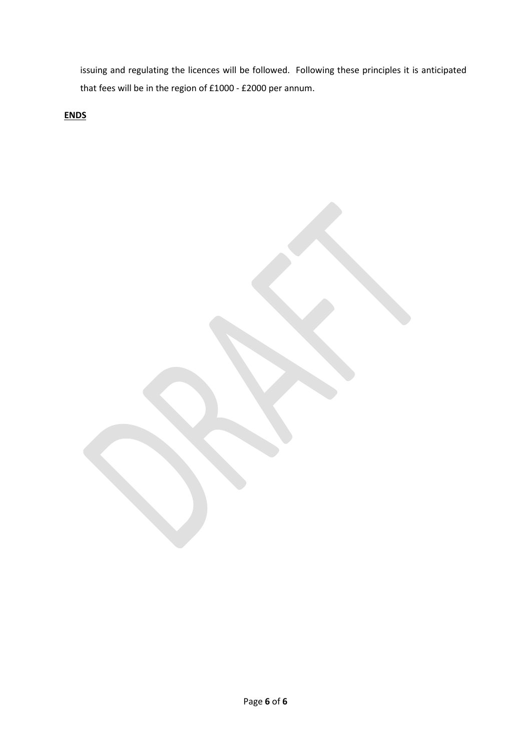issuing and regulating the licences will be followed. Following these principles it is anticipated that fees will be in the region of £1000 - £2000 per annum.

**ENDS**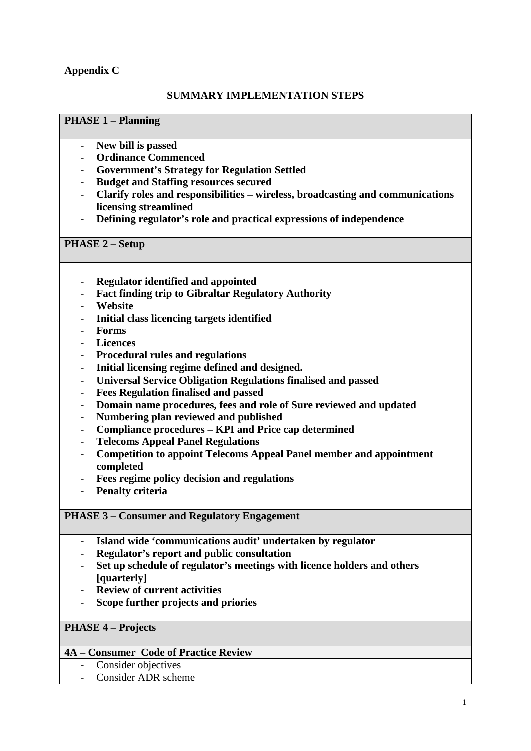# **Appendix C**

## **SUMMARY IMPLEMENTATION STEPS**

## **PHASE 1 – Planning**

- **New bill is passed**
- **Ordinance Commenced**
- **Government's Strategy for Regulation Settled**
- **Budget and Staffing resources secured**
- **Clarify roles and responsibilities – wireless, broadcasting and communications licensing streamlined**
- **Defining regulator's role and practical expressions of independence**

## **PHASE 2 – Setup**

- **Regulator identified and appointed**
- **Fact finding trip to Gibraltar Regulatory Authority**
- **Website**
- **Initial class licencing targets identified**
- **Forms**
- **Licences**
- **Procedural rules and regulations**
- **Initial licensing regime defined and designed.**
- **Universal Service Obligation Regulations finalised and passed**
- **Fees Regulation finalised and passed**
- **Domain name procedures, fees and role of Sure reviewed and updated**
- **Numbering plan reviewed and published**
- **Compliance procedures – KPI and Price cap determined**
- **Telecoms Appeal Panel Regulations**
- **Competition to appoint Telecoms Appeal Panel member and appointment completed**
- **Fees regime policy decision and regulations**
- **Penalty criteria**

## **PHASE 3 – Consumer and Regulatory Engagement**

- **Island wide 'communications audit' undertaken by regulator**
- **Regulator's report and public consultation**
- **Set up schedule of regulator's meetings with licence holders and others [quarterly]**
- **Review of current activities**
- **Scope further projects and priories**

## **PHASE 4 – Projects**

## **4A – Consumer Code of Practice Review**

- Consider objectives
- Consider ADR scheme